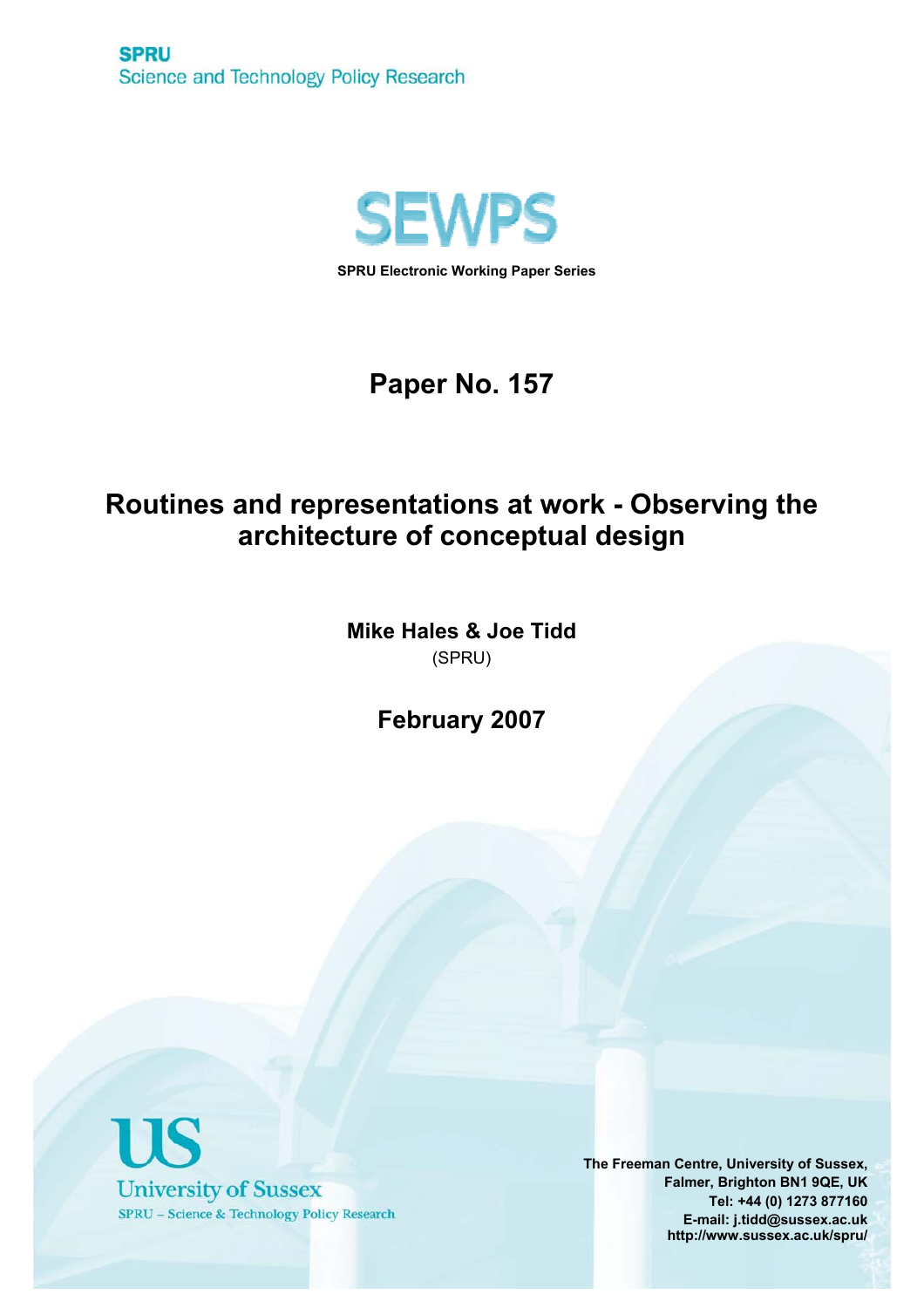

**SPRU Electronic Working Paper Series**

# **Paper No. 157**

# **Routines and representations at work - Observing the architecture of conceptual design**

**Mike Hales & Joe Tidd**  (SPRU)

**February 2007** 



**The Freeman Centre, University of Sussex, Falmer, Brighton BN1 9QE, UK Tel: +44 (0) 1273 877160 E-mail: j.tidd@sussex.ac.uk http://www.sussex.ac.uk/spru/**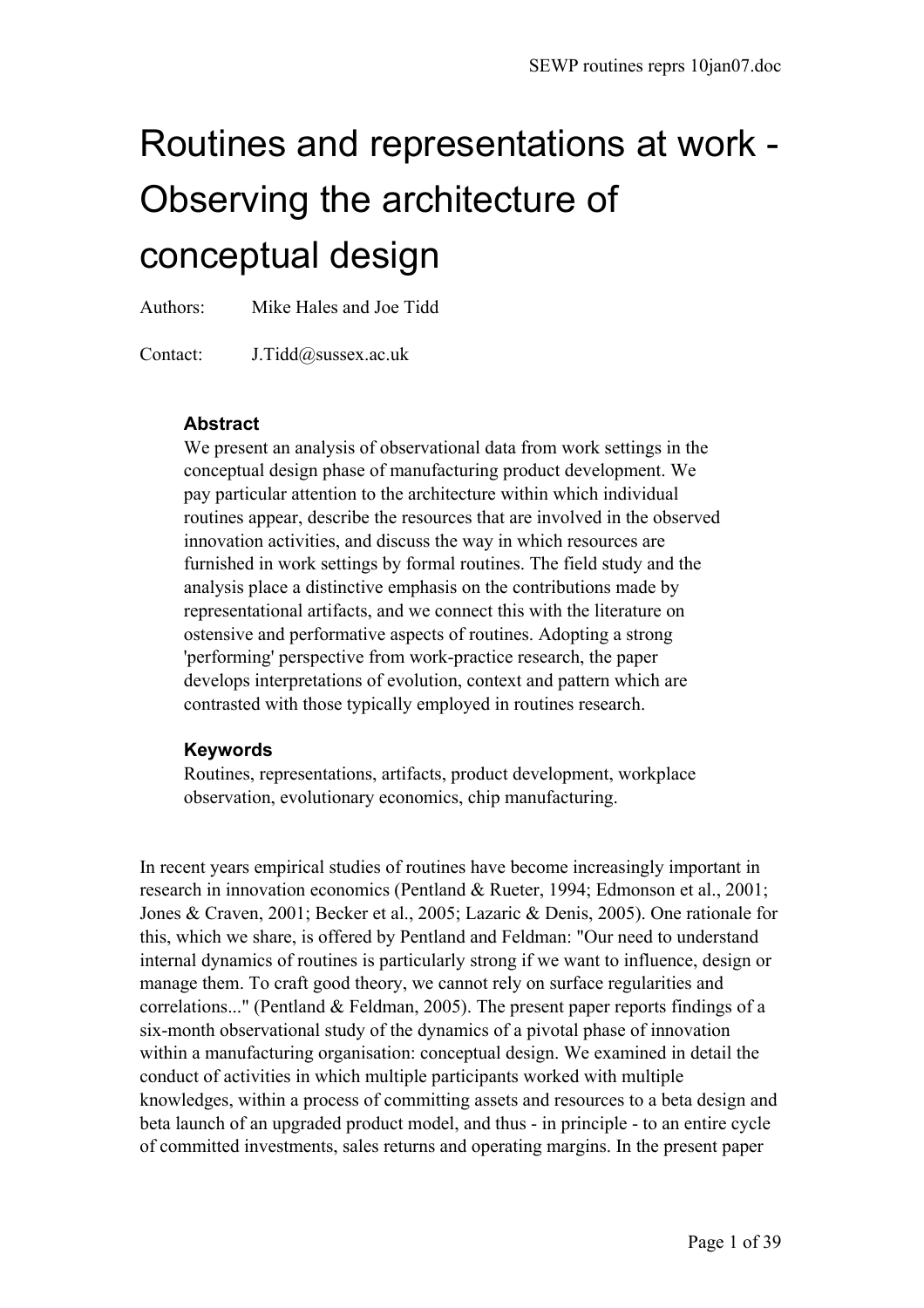# Routines and representations at work - Observing the architecture of conceptual design

Authors: Mike Hales and Joe Tidd

Contact: J.Tidd@sussex.ac.uk

#### **Abstract**

We present an analysis of observational data from work settings in the conceptual design phase of manufacturing product development. We pay particular attention to the architecture within which individual routines appear, describe the resources that are involved in the observed innovation activities, and discuss the way in which resources are furnished in work settings by formal routines. The field study and the analysis place a distinctive emphasis on the contributions made by representational artifacts, and we connect this with the literature on ostensive and performative aspects of routines. Adopting a strong 'performing' perspective from work-practice research, the paper develops interpretations of evolution, context and pattern which are contrasted with those typically employed in routines research.

#### **Keywords**

Routines, representations, artifacts, product development, workplace observation, evolutionary economics, chip manufacturing.

In recent years empirical studies of routines have become increasingly important in research in innovation economics (Pentland & Rueter, 1994; Edmonson et al., 2001; Jones & Craven, 2001; Becker et al., 2005; Lazaric & Denis, 2005). One rationale for this, which we share, is offered by Pentland and Feldman: "Our need to understand internal dynamics of routines is particularly strong if we want to influence, design or manage them. To craft good theory, we cannot rely on surface regularities and correlations..." (Pentland & Feldman, 2005). The present paper reports findings of a six-month observational study of the dynamics of a pivotal phase of innovation within a manufacturing organisation: conceptual design. We examined in detail the conduct of activities in which multiple participants worked with multiple knowledges, within a process of committing assets and resources to a beta design and beta launch of an upgraded product model, and thus - in principle - to an entire cycle of committed investments, sales returns and operating margins. In the present paper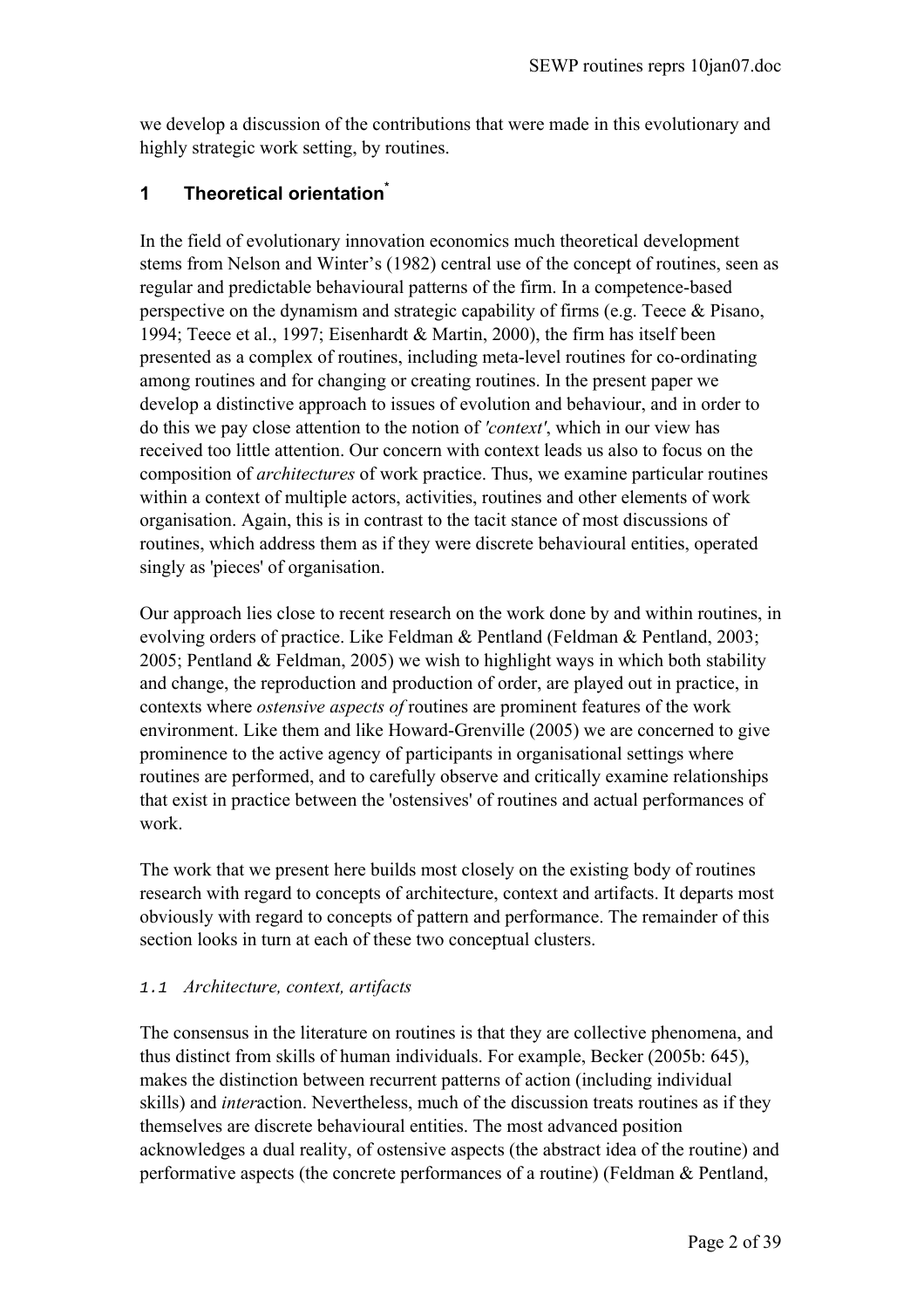we develop a discussion of the contributions that were made in this evolutionary and highly strategic work setting, by routines.

# **1 Theoretical orientatio[n\\*](#page-39-0)**

In the field of evolutionary innovation economics much theoretical development stems from Nelson and Winter's (1982) central use of the concept of routines, seen as regular and predictable behavioural patterns of the firm. In a competence-based perspective on the dynamism and strategic capability of firms (e.g. Teece & Pisano, 1994; Teece et al., 1997; Eisenhardt & Martin, 2000), the firm has itself been presented as a complex of routines, including meta-level routines for co-ordinating among routines and for changing or creating routines. In the present paper we develop a distinctive approach to issues of evolution and behaviour, and in order to do this we pay close attention to the notion of *'context'*, which in our view has received too little attention. Our concern with context leads us also to focus on the composition of *architectures* of work practice. Thus, we examine particular routines within a context of multiple actors, activities, routines and other elements of work organisation. Again, this is in contrast to the tacit stance of most discussions of routines, which address them as if they were discrete behavioural entities, operated singly as 'pieces' of organisation.

Our approach lies close to recent research on the work done by and within routines, in evolving orders of practice. Like Feldman & Pentland (Feldman & Pentland, 2003; 2005; Pentland  $&$  Feldman, 2005) we wish to highlight ways in which both stability and change, the reproduction and production of order, are played out in practice, in contexts where *ostensive aspects of* routines are prominent features of the work environment. Like them and like Howard-Grenville (2005) we are concerned to give prominence to the active agency of participants in organisational settings where routines are performed, and to carefully observe and critically examine relationships that exist in practice between the 'ostensives' of routines and actual performances of work.

The work that we present here builds most closely on the existing body of routines research with regard to concepts of architecture, context and artifacts. It departs most obviously with regard to concepts of pattern and performance. The remainder of this section looks in turn at each of these two conceptual clusters.

# 1.1 *Architecture, context, artifacts*

The consensus in the literature on routines is that they are collective phenomena, and thus distinct from skills of human individuals. For example, Becker (2005b: 645), makes the distinction between recurrent patterns of action (including individual skills) and *inter*action. Nevertheless, much of the discussion treats routines as if they themselves are discrete behavioural entities. The most advanced position acknowledges a dual reality, of ostensive aspects (the abstract idea of the routine) and performative aspects (the concrete performances of a routine) (Feldman & Pentland,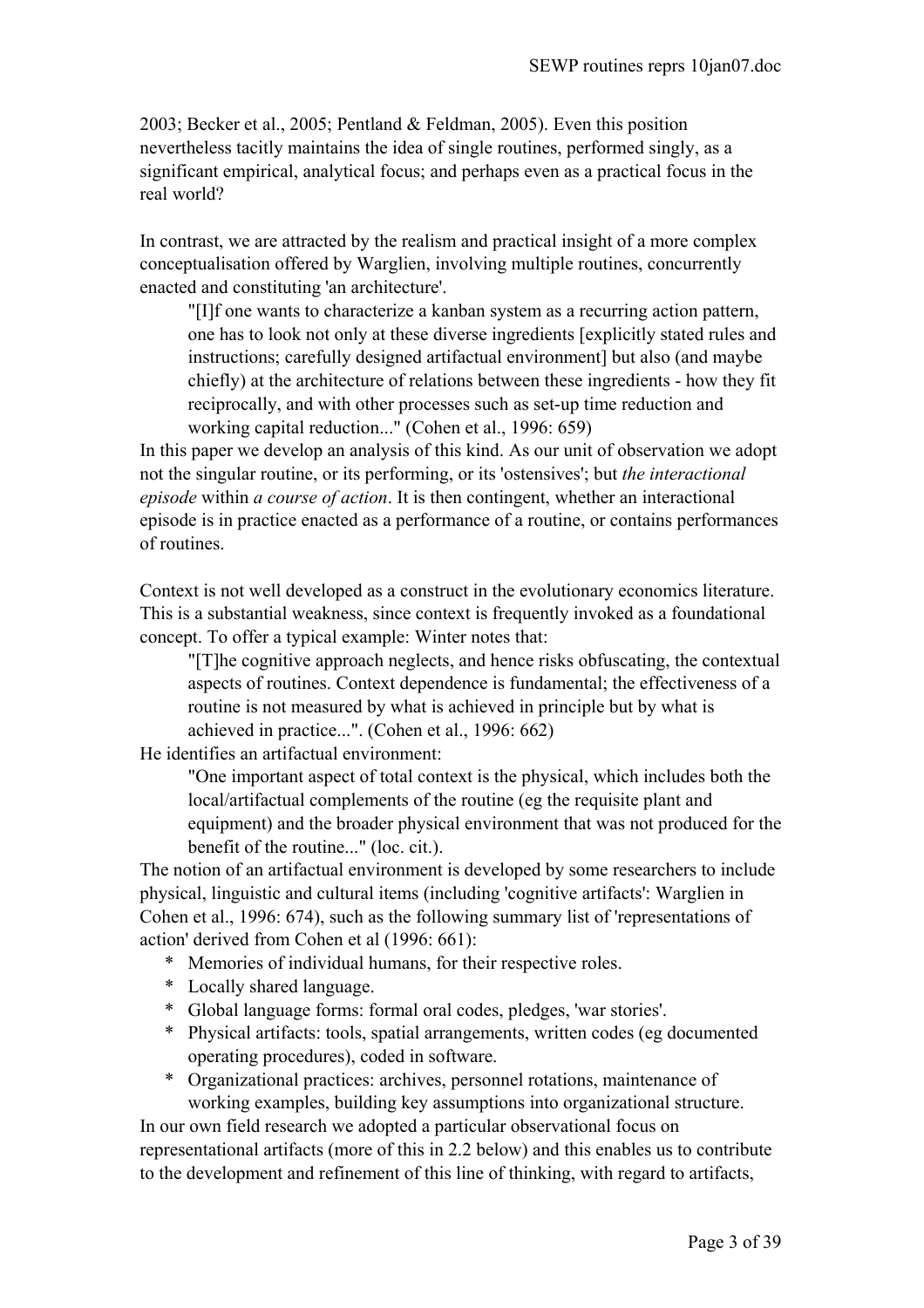2003; Becker et al., 2005; Pentland & Feldman, 2005). Even this position nevertheless tacitly maintains the idea of single routines, performed singly, as a significant empirical, analytical focus; and perhaps even as a practical focus in the real world?

In contrast, we are attracted by the realism and practical insight of a more complex conceptualisation offered by Warglien, involving multiple routines, concurrently enacted and constituting 'an architecture'.

"[I]f one wants to characterize a kanban system as a recurring action pattern, one has to look not only at these diverse ingredients [explicitly stated rules and instructions; carefully designed artifactual environment] but also (and maybe chiefly) at the architecture of relations between these ingredients - how they fit reciprocally, and with other processes such as set-up time reduction and working capital reduction..." (Cohen et al., 1996: 659)

In this paper we develop an analysis of this kind. As our unit of observation we adopt not the singular routine, or its performing, or its 'ostensives'; but *the interactional episode* within *a course of action*. It is then contingent, whether an interactional episode is in practice enacted as a performance of a routine, or contains performances of routines.

Context is not well developed as a construct in the evolutionary economics literature. This is a substantial weakness, since context is frequently invoked as a foundational concept. To offer a typical example: Winter notes that:

"[T]he cognitive approach neglects, and hence risks obfuscating, the contextual aspects of routines. Context dependence is fundamental; the effectiveness of a routine is not measured by what is achieved in principle but by what is achieved in practice...". (Cohen et al., 1996: 662)

He identifies an artifactual environment:

"One important aspect of total context is the physical, which includes both the local/artifactual complements of the routine (eg the requisite plant and equipment) and the broader physical environment that was not produced for the benefit of the routine..." (loc. cit.).

The notion of an artifactual environment is developed by some researchers to include physical, linguistic and cultural items (including 'cognitive artifacts': Warglien in Cohen et al., 1996: 674), such as the following summary list of 'representations of action' derived from Cohen et al (1996: 661):

- \* Memories of individual humans, for their respective roles.
- \* Locally shared language.
- \* Global language forms: formal oral codes, pledges, 'war stories'.
- \* Physical artifacts: tools, spatial arrangements, written codes (eg documented operating procedures), coded in software.
- \* Organizational practices: archives, personnel rotations, maintenance of working examples, building key assumptions into organizational structure.

In our own field research we adopted a particular observational focus on representational artifacts (more of this in 2.2 below) and this enables us to contribute to the development and refinement of this line of thinking, with regard to artifacts,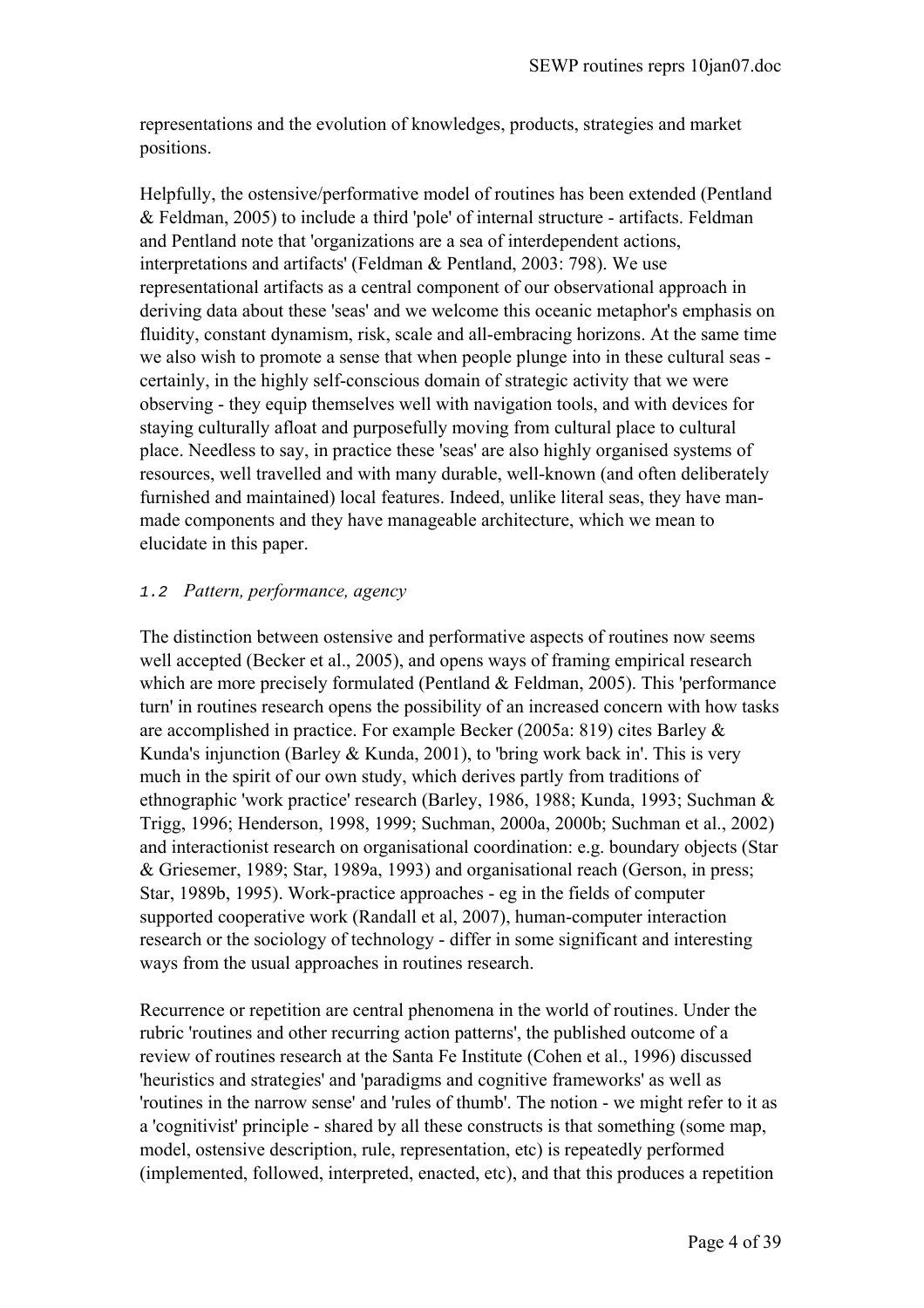representations and the evolution of knowledges, products, strategies and market positions.

Helpfully, the ostensive/performative model of routines has been extended (Pentland & Feldman, 2005) to include a third 'pole' of internal structure - artifacts. Feldman and Pentland note that 'organizations are a sea of interdependent actions, interpretations and artifacts' (Feldman & Pentland, 2003: 798). We use representational artifacts as a central component of our observational approach in deriving data about these 'seas' and we welcome this oceanic metaphor's emphasis on fluidity, constant dynamism, risk, scale and all-embracing horizons. At the same time we also wish to promote a sense that when people plunge into in these cultural seas certainly, in the highly self-conscious domain of strategic activity that we were observing - they equip themselves well with navigation tools, and with devices for staying culturally afloat and purposefully moving from cultural place to cultural place. Needless to say, in practice these 'seas' are also highly organised systems of resources, well travelled and with many durable, well-known (and often deliberately furnished and maintained) local features. Indeed, unlike literal seas, they have manmade components and they have manageable architecture, which we mean to elucidate in this paper.

## 1.2 *Pattern, performance, agency*

The distinction between ostensive and performative aspects of routines now seems well accepted (Becker et al., 2005), and opens ways of framing empirical research which are more precisely formulated (Pentland & Feldman, 2005). This 'performance turn' in routines research opens the possibility of an increased concern with how tasks are accomplished in practice. For example Becker (2005a: 819) cites Barley & Kunda's injunction (Barley & Kunda, 2001), to 'bring work back in'. This is very much in the spirit of our own study, which derives partly from traditions of ethnographic 'work practice' research (Barley, 1986, 1988; Kunda, 1993; Suchman & Trigg, 1996; Henderson, 1998, 1999; Suchman, 2000a, 2000b; Suchman et al., 2002) and interactionist research on organisational coordination: e.g. boundary objects (Star & Griesemer, 1989; Star, 1989a, 1993) and organisational reach (Gerson, in press; Star, 1989b, 1995). Work-practice approaches - eg in the fields of computer supported cooperative work (Randall et al, 2007), human-computer interaction research or the sociology of technology - differ in some significant and interesting ways from the usual approaches in routines research.

Recurrence or repetition are central phenomena in the world of routines. Under the rubric 'routines and other recurring action patterns', the published outcome of a review of routines research at the Santa Fe Institute (Cohen et al., 1996) discussed 'heuristics and strategies' and 'paradigms and cognitive frameworks' as well as 'routines in the narrow sense' and 'rules of thumb'. The notion - we might refer to it as a 'cognitivist' principle - shared by all these constructs is that something (some map, model, ostensive description, rule, representation, etc) is repeatedly performed (implemented, followed, interpreted, enacted, etc), and that this produces a repetition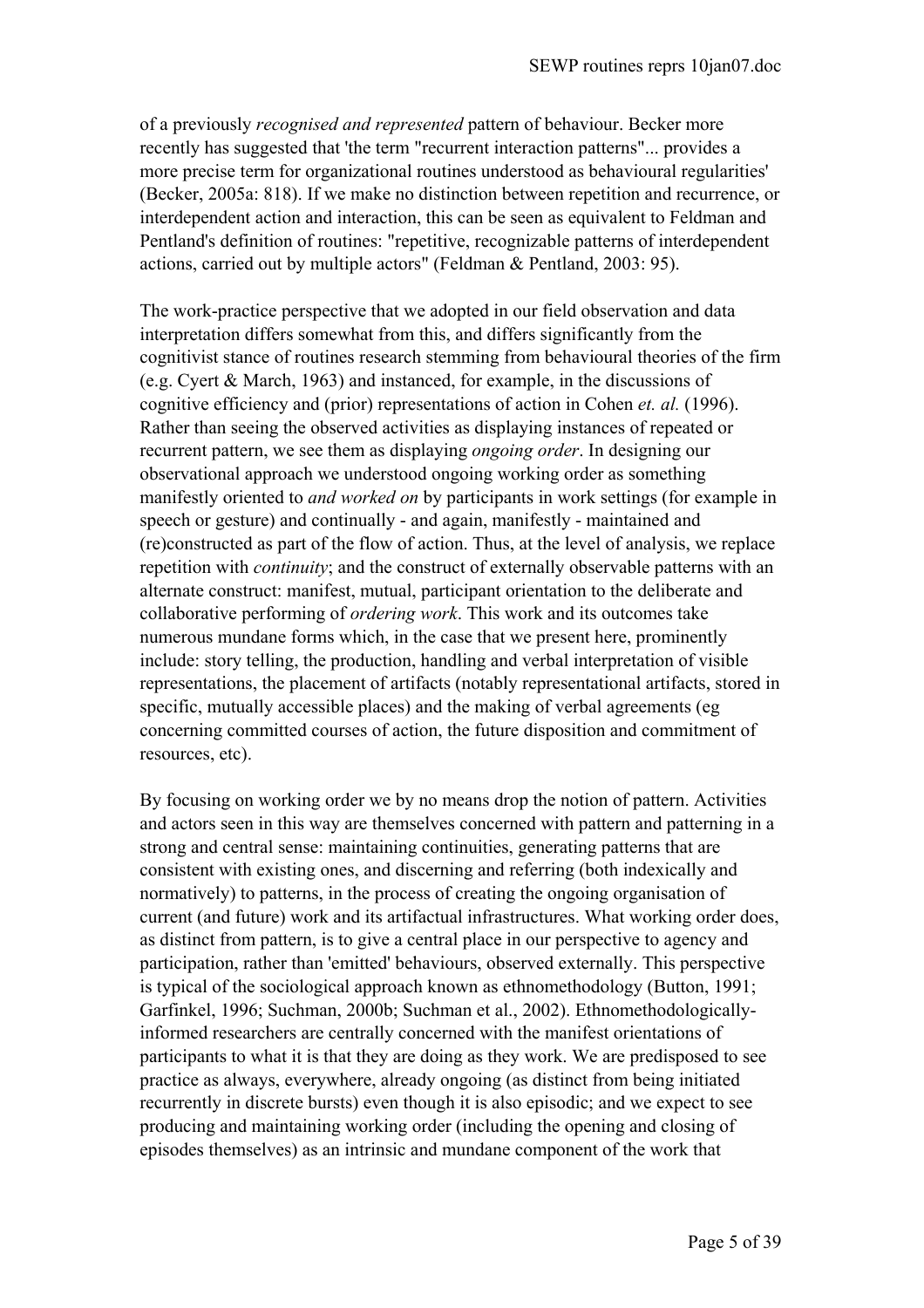of a previously *recognised and represented* pattern of behaviour. Becker more recently has suggested that 'the term "recurrent interaction patterns"... provides a more precise term for organizational routines understood as behavioural regularities' (Becker, 2005a: 818). If we make no distinction between repetition and recurrence, or interdependent action and interaction, this can be seen as equivalent to Feldman and Pentland's definition of routines: "repetitive, recognizable patterns of interdependent actions, carried out by multiple actors" (Feldman & Pentland, 2003: 95).

The work-practice perspective that we adopted in our field observation and data interpretation differs somewhat from this, and differs significantly from the cognitivist stance of routines research stemming from behavioural theories of the firm (e.g. Cyert & March, 1963) and instanced, for example, in the discussions of cognitive efficiency and (prior) representations of action in Cohen *et. al.* (1996). Rather than seeing the observed activities as displaying instances of repeated or recurrent pattern, we see them as displaying *ongoing order*. In designing our observational approach we understood ongoing working order as something manifestly oriented to *and worked on* by participants in work settings (for example in speech or gesture) and continually - and again, manifestly - maintained and (re)constructed as part of the flow of action. Thus, at the level of analysis, we replace repetition with *continuity*; and the construct of externally observable patterns with an alternate construct: manifest, mutual, participant orientation to the deliberate and collaborative performing of *ordering work*. This work and its outcomes take numerous mundane forms which, in the case that we present here, prominently include: story telling, the production, handling and verbal interpretation of visible representations, the placement of artifacts (notably representational artifacts, stored in specific, mutually accessible places) and the making of verbal agreements (eg concerning committed courses of action, the future disposition and commitment of resources, etc).

By focusing on working order we by no means drop the notion of pattern. Activities and actors seen in this way are themselves concerned with pattern and patterning in a strong and central sense: maintaining continuities, generating patterns that are consistent with existing ones, and discerning and referring (both indexically and normatively) to patterns, in the process of creating the ongoing organisation of current (and future) work and its artifactual infrastructures. What working order does, as distinct from pattern, is to give a central place in our perspective to agency and participation, rather than 'emitted' behaviours, observed externally. This perspective is typical of the sociological approach known as ethnomethodology (Button, 1991; Garfinkel, 1996; Suchman, 2000b; Suchman et al., 2002). Ethnomethodologicallyinformed researchers are centrally concerned with the manifest orientations of participants to what it is that they are doing as they work. We are predisposed to see practice as always, everywhere, already ongoing (as distinct from being initiated recurrently in discrete bursts) even though it is also episodic; and we expect to see producing and maintaining working order (including the opening and closing of episodes themselves) as an intrinsic and mundane component of the work that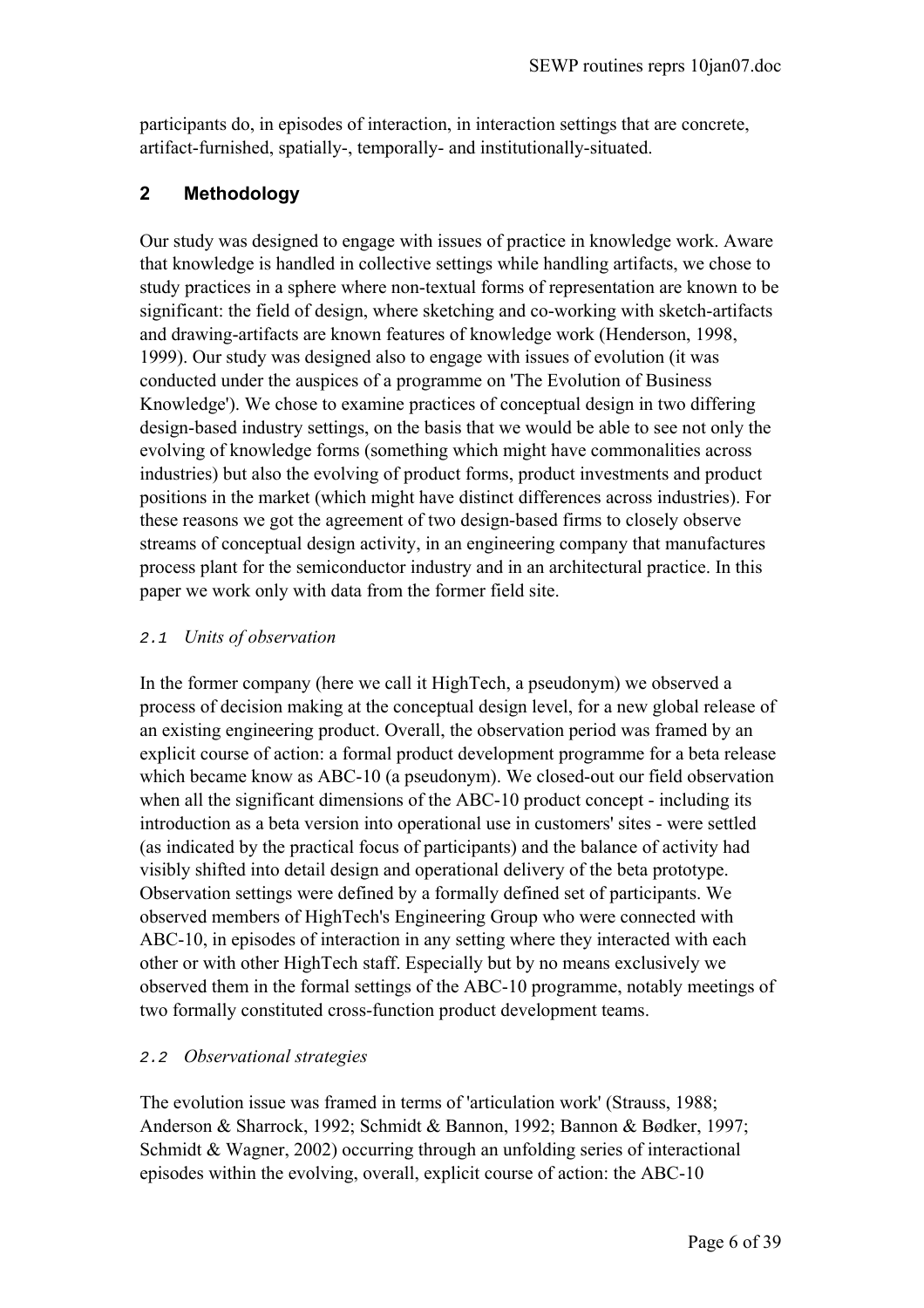participants do, in episodes of interaction, in interaction settings that are concrete, artifact-furnished, spatially-, temporally- and institutionally-situated.

# **2 Methodology**

Our study was designed to engage with issues of practice in knowledge work. Aware that knowledge is handled in collective settings while handling artifacts, we chose to study practices in a sphere where non-textual forms of representation are known to be significant: the field of design, where sketching and co-working with sketch-artifacts and drawing-artifacts are known features of knowledge work (Henderson, 1998, 1999). Our study was designed also to engage with issues of evolution (it was conducted under the auspices of a programme on 'The Evolution of Business Knowledge'). We chose to examine practices of conceptual design in two differing design-based industry settings, on the basis that we would be able to see not only the evolving of knowledge forms (something which might have commonalities across industries) but also the evolving of product forms, product investments and product positions in the market (which might have distinct differences across industries). For these reasons we got the agreement of two design-based firms to closely observe streams of conceptual design activity, in an engineering company that manufactures process plant for the semiconductor industry and in an architectural practice. In this paper we work only with data from the former field site.

# 2.1 *Units of observation*

In the former company (here we call it HighTech, a pseudonym) we observed a process of decision making at the conceptual design level, for a new global release of an existing engineering product. Overall, the observation period was framed by an explicit course of action: a formal product development programme for a beta release which became know as ABC-10 (a pseudonym). We closed-out our field observation when all the significant dimensions of the ABC-10 product concept - including its introduction as a beta version into operational use in customers' sites - were settled (as indicated by the practical focus of participants) and the balance of activity had visibly shifted into detail design and operational delivery of the beta prototype. Observation settings were defined by a formally defined set of participants. We observed members of HighTech's Engineering Group who were connected with ABC-10, in episodes of interaction in any setting where they interacted with each other or with other HighTech staff. Especially but by no means exclusively we observed them in the formal settings of the ABC-10 programme, notably meetings of two formally constituted cross-function product development teams.

# 2.2 *Observational strategies*

The evolution issue was framed in terms of 'articulation work' (Strauss, 1988; Anderson & Sharrock, 1992; Schmidt & Bannon, 1992; Bannon & Bødker, 1997; Schmidt & Wagner, 2002) occurring through an unfolding series of interactional episodes within the evolving, overall, explicit course of action: the ABC-10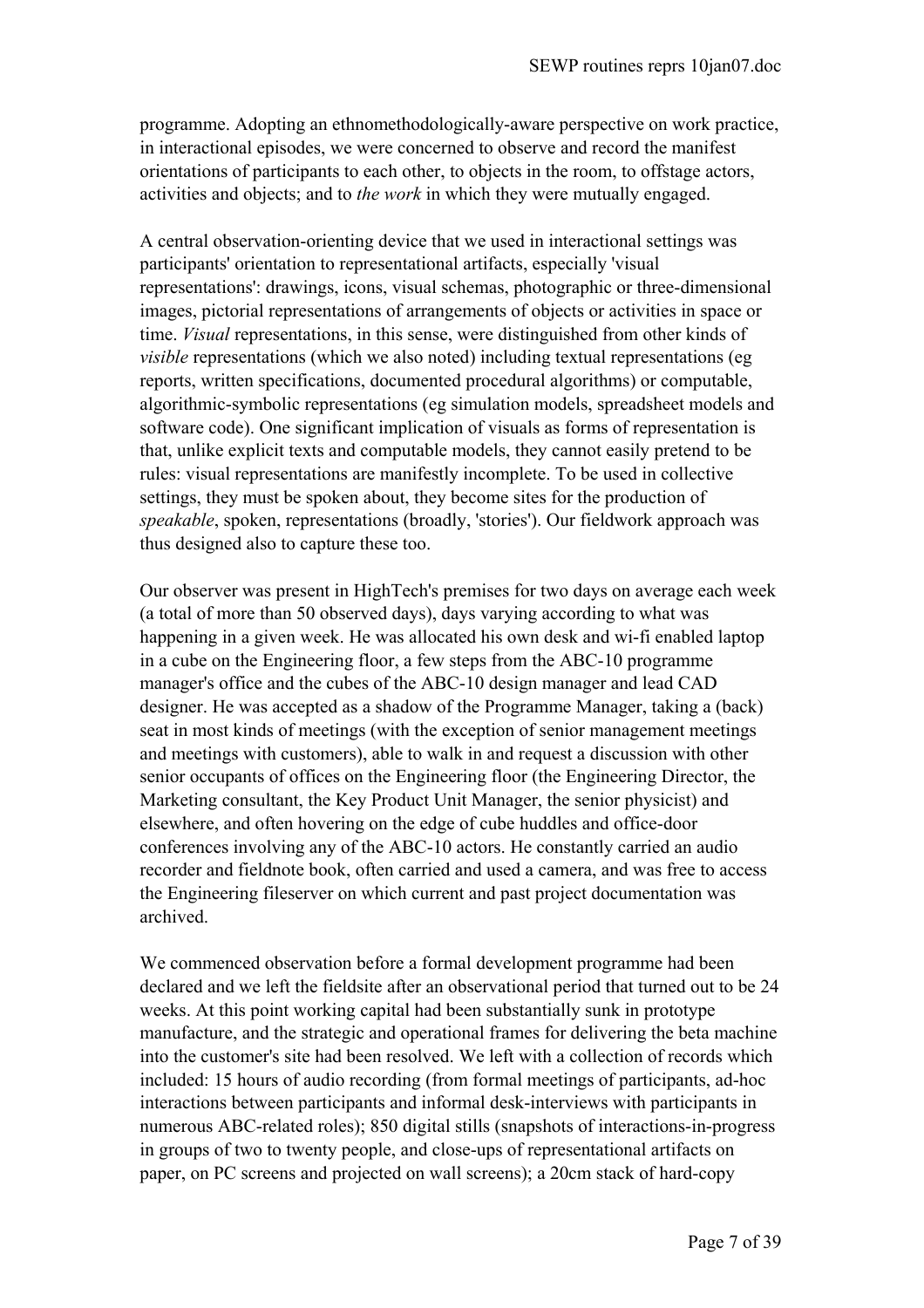programme. Adopting an ethnomethodologically-aware perspective on work practice, in interactional episodes, we were concerned to observe and record the manifest orientations of participants to each other, to objects in the room, to offstage actors, activities and objects; and to *the work* in which they were mutually engaged.

A central observation-orienting device that we used in interactional settings was participants' orientation to representational artifacts, especially 'visual representations': drawings, icons, visual schemas, photographic or three-dimensional images, pictorial representations of arrangements of objects or activities in space or time. *Visual* representations, in this sense, were distinguished from other kinds of *visible* representations (which we also noted) including textual representations (eg reports, written specifications, documented procedural algorithms) or computable, algorithmic-symbolic representations (eg simulation models, spreadsheet models and software code). One significant implication of visuals as forms of representation is that, unlike explicit texts and computable models, they cannot easily pretend to be rules: visual representations are manifestly incomplete. To be used in collective settings, they must be spoken about, they become sites for the production of *speakable*, spoken, representations (broadly, 'stories'). Our fieldwork approach was thus designed also to capture these too.

Our observer was present in HighTech's premises for two days on average each week (a total of more than 50 observed days), days varying according to what was happening in a given week. He was allocated his own desk and wi-fi enabled laptop in a cube on the Engineering floor, a few steps from the ABC-10 programme manager's office and the cubes of the ABC-10 design manager and lead CAD designer. He was accepted as a shadow of the Programme Manager, taking a (back) seat in most kinds of meetings (with the exception of senior management meetings and meetings with customers), able to walk in and request a discussion with other senior occupants of offices on the Engineering floor (the Engineering Director, the Marketing consultant, the Key Product Unit Manager, the senior physicist) and elsewhere, and often hovering on the edge of cube huddles and office-door conferences involving any of the ABC-10 actors. He constantly carried an audio recorder and fieldnote book, often carried and used a camera, and was free to access the Engineering fileserver on which current and past project documentation was archived.

We commenced observation before a formal development programme had been declared and we left the fieldsite after an observational period that turned out to be 24 weeks. At this point working capital had been substantially sunk in prototype manufacture, and the strategic and operational frames for delivering the beta machine into the customer's site had been resolved. We left with a collection of records which included: 15 hours of audio recording (from formal meetings of participants, ad-hoc interactions between participants and informal desk-interviews with participants in numerous ABC-related roles); 850 digital stills (snapshots of interactions-in-progress in groups of two to twenty people, and close-ups of representational artifacts on paper, on PC screens and projected on wall screens); a 20cm stack of hard-copy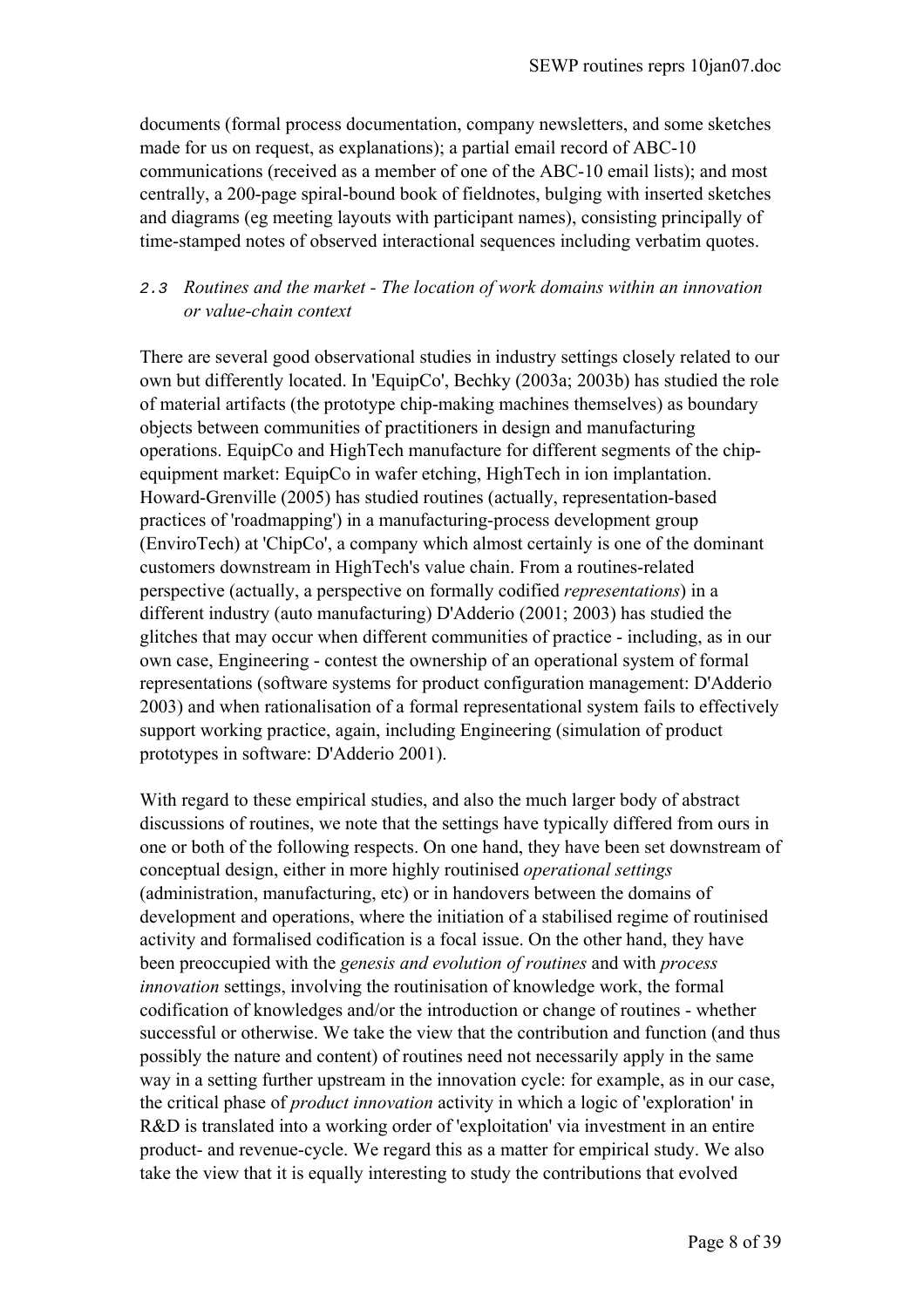documents (formal process documentation, company newsletters, and some sketches made for us on request, as explanations); a partial email record of ABC-10 communications (received as a member of one of the ABC-10 email lists); and most centrally, a 200-page spiral-bound book of fieldnotes, bulging with inserted sketches and diagrams (eg meeting layouts with participant names), consisting principally of time-stamped notes of observed interactional sequences including verbatim quotes.

# 2.3 *Routines and the market - The location of work domains within an innovation or value-chain context*

There are several good observational studies in industry settings closely related to our own but differently located. In 'EquipCo', Bechky (2003a; 2003b) has studied the role of material artifacts (the prototype chip-making machines themselves) as boundary objects between communities of practitioners in design and manufacturing operations. EquipCo and HighTech manufacture for different segments of the chipequipment market: EquipCo in wafer etching, HighTech in ion implantation. Howard-Grenville (2005) has studied routines (actually, representation-based practices of 'roadmapping') in a manufacturing-process development group (EnviroTech) at 'ChipCo', a company which almost certainly is one of the dominant customers downstream in HighTech's value chain. From a routines-related perspective (actually, a perspective on formally codified *representations*) in a different industry (auto manufacturing) D'Adderio (2001; 2003) has studied the glitches that may occur when different communities of practice - including, as in our own case, Engineering - contest the ownership of an operational system of formal representations (software systems for product configuration management: D'Adderio 2003) and when rationalisation of a formal representational system fails to effectively support working practice, again, including Engineering (simulation of product prototypes in software: D'Adderio 2001).

With regard to these empirical studies, and also the much larger body of abstract discussions of routines, we note that the settings have typically differed from ours in one or both of the following respects. On one hand, they have been set downstream of conceptual design, either in more highly routinised *operational settings*  (administration, manufacturing, etc) or in handovers between the domains of development and operations, where the initiation of a stabilised regime of routinised activity and formalised codification is a focal issue. On the other hand, they have been preoccupied with the *genesis and evolution of routines* and with *process innovation* settings, involving the routinisation of knowledge work, the formal codification of knowledges and/or the introduction or change of routines - whether successful or otherwise. We take the view that the contribution and function (and thus possibly the nature and content) of routines need not necessarily apply in the same way in a setting further upstream in the innovation cycle: for example, as in our case, the critical phase of *product innovation* activity in which a logic of 'exploration' in R&D is translated into a working order of 'exploitation' via investment in an entire product- and revenue-cycle. We regard this as a matter for empirical study. We also take the view that it is equally interesting to study the contributions that evolved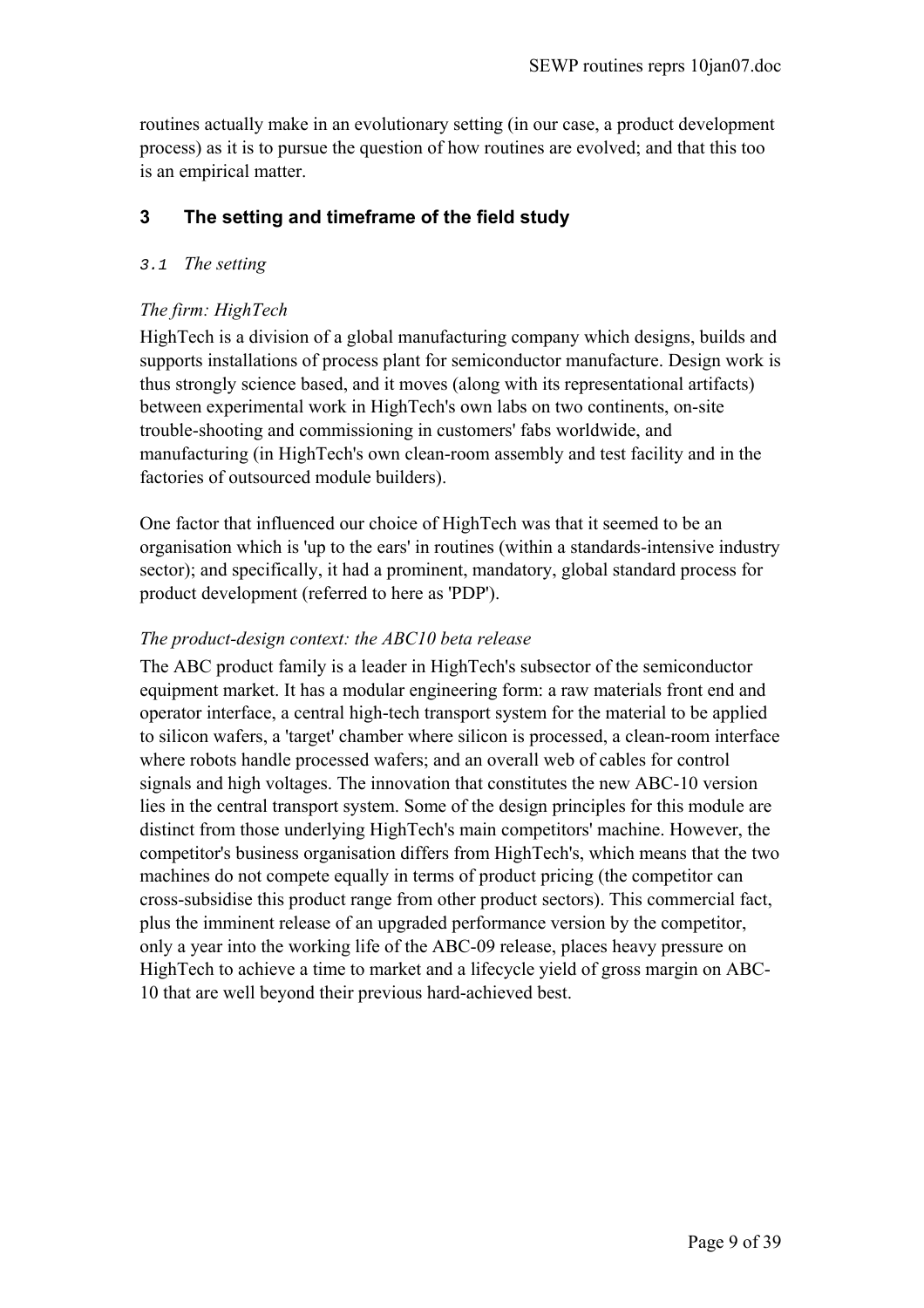routines actually make in an evolutionary setting (in our case, a product development process) as it is to pursue the question of how routines are evolved; and that this too is an empirical matter.

# **3 The setting and timeframe of the field study**

# 3.1 *The setting*

# *The firm: HighTech*

HighTech is a division of a global manufacturing company which designs, builds and supports installations of process plant for semiconductor manufacture. Design work is thus strongly science based, and it moves (along with its representational artifacts) between experimental work in HighTech's own labs on two continents, on-site trouble-shooting and commissioning in customers' fabs worldwide, and manufacturing (in HighTech's own clean-room assembly and test facility and in the factories of outsourced module builders).

One factor that influenced our choice of HighTech was that it seemed to be an organisation which is 'up to the ears' in routines (within a standards-intensive industry sector); and specifically, it had a prominent, mandatory, global standard process for product development (referred to here as 'PDP').

# *The product-design context: the ABC10 beta release*

The ABC product family is a leader in HighTech's subsector of the semiconductor equipment market. It has a modular engineering form: a raw materials front end and operator interface, a central high-tech transport system for the material to be applied to silicon wafers, a 'target' chamber where silicon is processed, a clean-room interface where robots handle processed wafers; and an overall web of cables for control signals and high voltages. The innovation that constitutes the new ABC-10 version lies in the central transport system. Some of the design principles for this module are distinct from those underlying HighTech's main competitors' machine. However, the competitor's business organisation differs from HighTech's, which means that the two machines do not compete equally in terms of product pricing (the competitor can cross-subsidise this product range from other product sectors). This commercial fact, plus the imminent release of an upgraded performance version by the competitor, only a year into the working life of the ABC-09 release, places heavy pressure on HighTech to achieve a time to market and a lifecycle yield of gross margin on ABC-10 that are well beyond their previous hard-achieved best.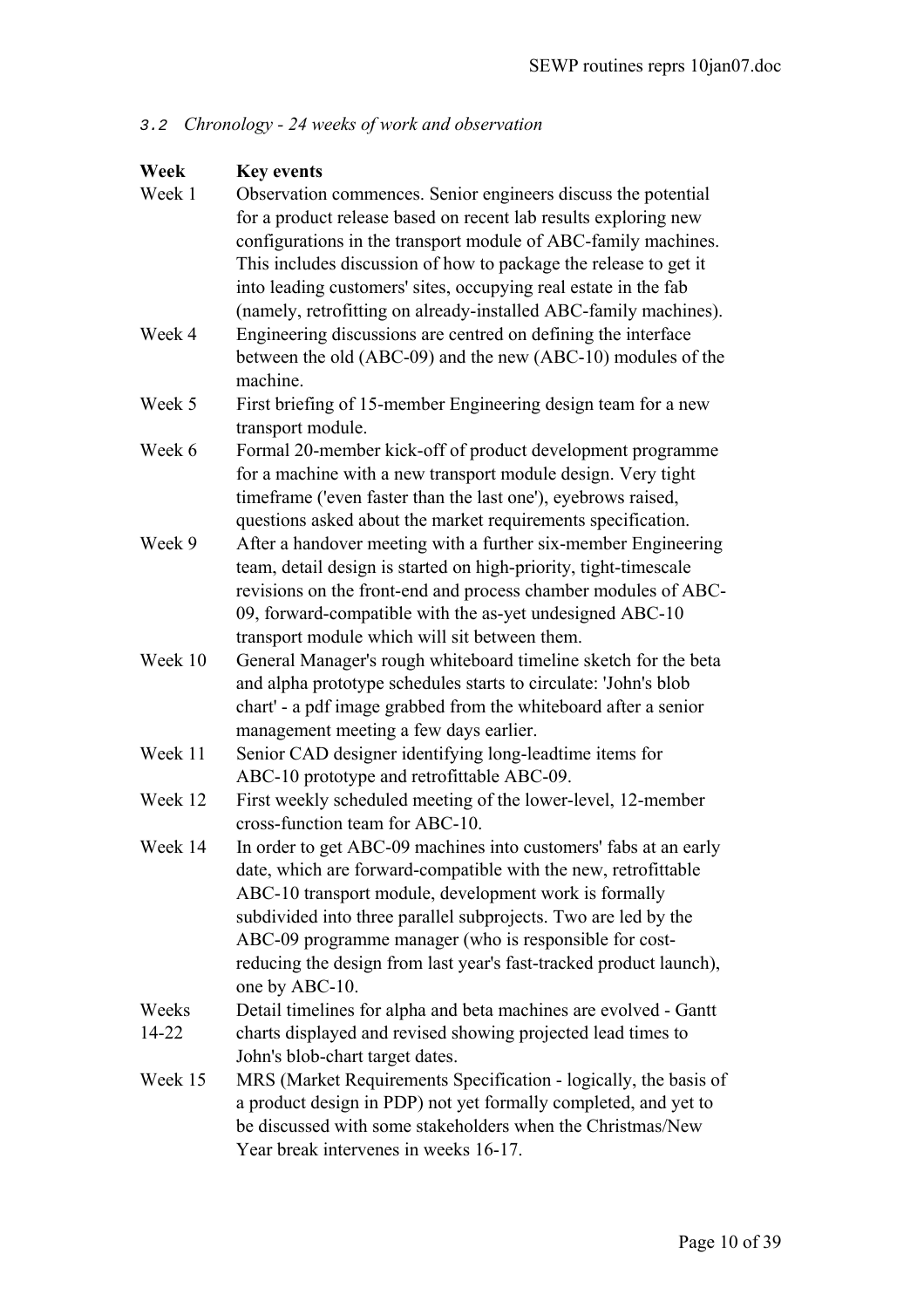# 3.2 *Chronology - 24 weeks of work and observation*

| Week    | <b>Key events</b>                                                  |  |
|---------|--------------------------------------------------------------------|--|
| Week 1  | Observation commences. Senior engineers discuss the potential      |  |
|         | for a product release based on recent lab results exploring new    |  |
|         | configurations in the transport module of ABC-family machines.     |  |
|         | This includes discussion of how to package the release to get it   |  |
|         | into leading customers' sites, occupying real estate in the fab    |  |
|         | (namely, retrofitting on already-installed ABC-family machines).   |  |
| Week 4  | Engineering discussions are centred on defining the interface      |  |
|         | between the old (ABC-09) and the new (ABC-10) modules of the       |  |
|         | machine.                                                           |  |
| Week 5  | First briefing of 15-member Engineering design team for a new      |  |
|         | transport module.                                                  |  |
| Week 6  | Formal 20-member kick-off of product development programme         |  |
|         | for a machine with a new transport module design. Very tight       |  |
|         | timeframe ('even faster than the last one'), eyebrows raised,      |  |
|         | questions asked about the market requirements specification.       |  |
| Week 9  | After a handover meeting with a further six-member Engineering     |  |
|         | team, detail design is started on high-priority, tight-timescale   |  |
|         | revisions on the front-end and process chamber modules of ABC-     |  |
|         | 09, forward-compatible with the as-yet undesigned ABC-10           |  |
|         | transport module which will sit between them.                      |  |
| Week 10 | General Manager's rough whiteboard timeline sketch for the beta    |  |
|         | and alpha prototype schedules starts to circulate: 'John's blob    |  |
|         | chart' - a pdf image grabbed from the whiteboard after a senior    |  |
|         | management meeting a few days earlier.                             |  |
| Week 11 | Senior CAD designer identifying long-leadtime items for            |  |
|         | ABC-10 prototype and retrofittable ABC-09.                         |  |
| Week 12 | First weekly scheduled meeting of the lower-level, 12-member       |  |
|         | cross-function team for ABC-10.                                    |  |
| Week 14 | In order to get ABC-09 machines into customers' fabs at an early   |  |
|         | date, which are forward-compatible with the new, retrofittable     |  |
|         | ABC-10 transport module, development work is formally              |  |
|         | subdivided into three parallel subprojects. Two are led by the     |  |
|         | ABC-09 programme manager (who is responsible for cost-             |  |
|         | reducing the design from last year's fast-tracked product launch), |  |
|         | one by ABC-10.                                                     |  |
| Weeks   | Detail timelines for alpha and beta machines are evolved - Gantt   |  |
| 14-22   | charts displayed and revised showing projected lead times to       |  |
|         | John's blob-chart target dates.                                    |  |
| Week 15 | MRS (Market Requirements Specification - logically, the basis of   |  |
|         | a product design in PDP) not yet formally completed, and yet to    |  |
|         | be discussed with some stakeholders when the Christmas/New         |  |
|         | Year break intervenes in weeks 16-17.                              |  |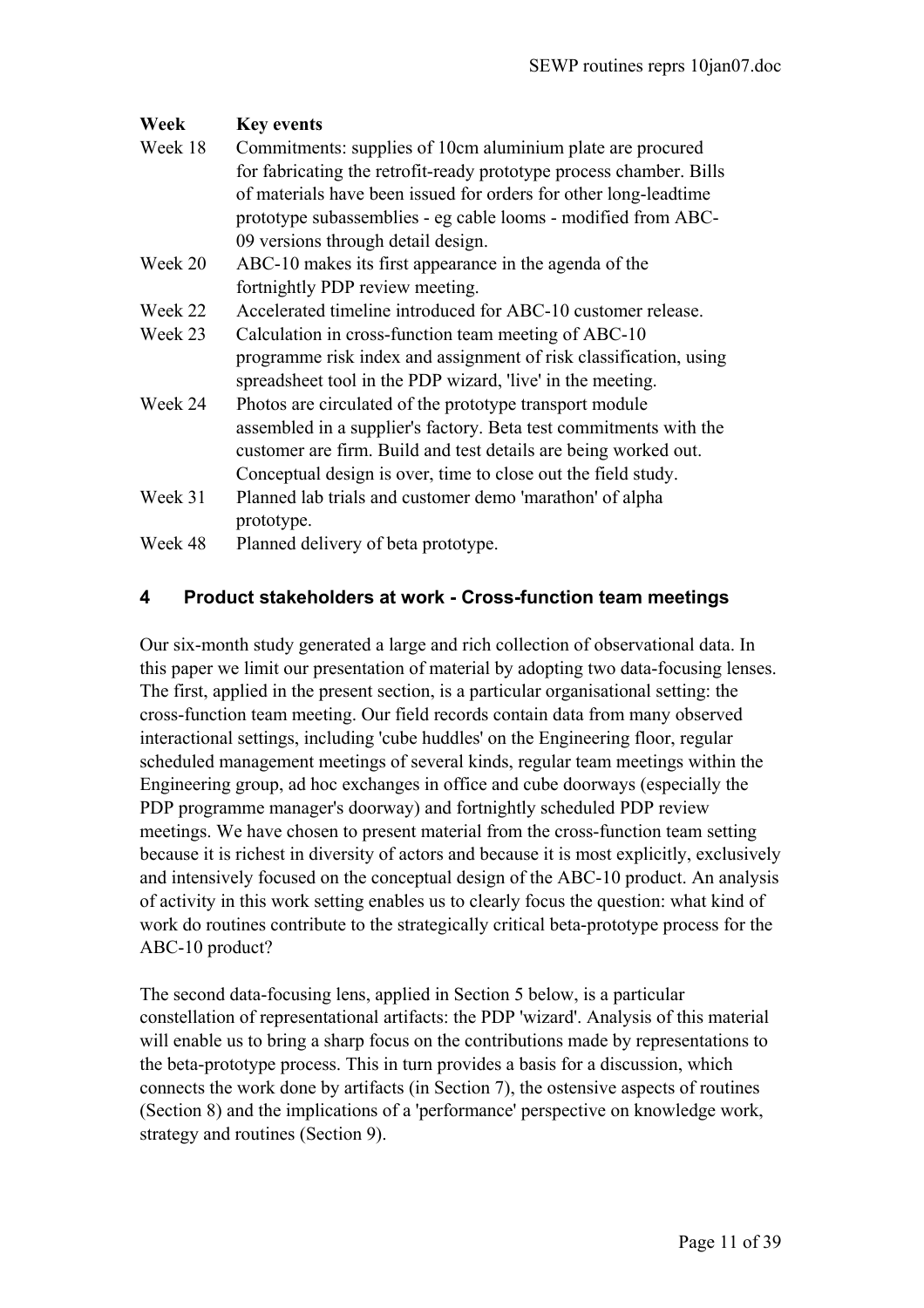| Week                                           | <b>Key events</b>                                                   |  |
|------------------------------------------------|---------------------------------------------------------------------|--|
| Week 18                                        | Commitments: supplies of 10cm aluminium plate are procured          |  |
|                                                | for fabricating the retrofit-ready prototype process chamber. Bills |  |
|                                                | of materials have been issued for orders for other long-leadtime    |  |
|                                                | prototype subassemblies - eg cable looms - modified from ABC-       |  |
|                                                | 09 versions through detail design.                                  |  |
| Week 20                                        | ABC-10 makes its first appearance in the agenda of the              |  |
|                                                | fortnightly PDP review meeting.                                     |  |
| Week 22                                        | Accelerated timeline introduced for ABC-10 customer release.        |  |
| Week 23                                        | Calculation in cross-function team meeting of ABC-10                |  |
|                                                | programme risk index and assignment of risk classification, using   |  |
|                                                | spreadsheet tool in the PDP wizard, 'live' in the meeting.          |  |
| Week 24                                        | Photos are circulated of the prototype transport module             |  |
|                                                | assembled in a supplier's factory. Beta test commitments with the   |  |
|                                                | customer are firm. Build and test details are being worked out.     |  |
|                                                | Conceptual design is over, time to close out the field study.       |  |
| Week 31                                        | Planned lab trials and customer demo 'marathon' of alpha            |  |
|                                                | prototype.                                                          |  |
| Planned delivery of beta prototype.<br>Week 48 |                                                                     |  |

# **4 Product stakeholders at work - Cross-function team meetings**

Our six-month study generated a large and rich collection of observational data. In this paper we limit our presentation of material by adopting two data-focusing lenses. The first, applied in the present section, is a particular organisational setting: the cross-function team meeting. Our field records contain data from many observed interactional settings, including 'cube huddles' on the Engineering floor, regular scheduled management meetings of several kinds, regular team meetings within the Engineering group, ad hoc exchanges in office and cube doorways (especially the PDP programme manager's doorway) and fortnightly scheduled PDP review meetings. We have chosen to present material from the cross-function team setting because it is richest in diversity of actors and because it is most explicitly, exclusively and intensively focused on the conceptual design of the ABC-10 product. An analysis of activity in this work setting enables us to clearly focus the question: what kind of work do routines contribute to the strategically critical beta-prototype process for the ABC-10 product?

The second data-focusing lens, applied in Section 5 below, is a particular constellation of representational artifacts: the PDP 'wizard'. Analysis of this material will enable us to bring a sharp focus on the contributions made by representations to the beta-prototype process. This in turn provides a basis for a discussion, which connects the work done by artifacts (in Section 7), the ostensive aspects of routines (Section 8) and the implications of a 'performance' perspective on knowledge work, strategy and routines (Section 9).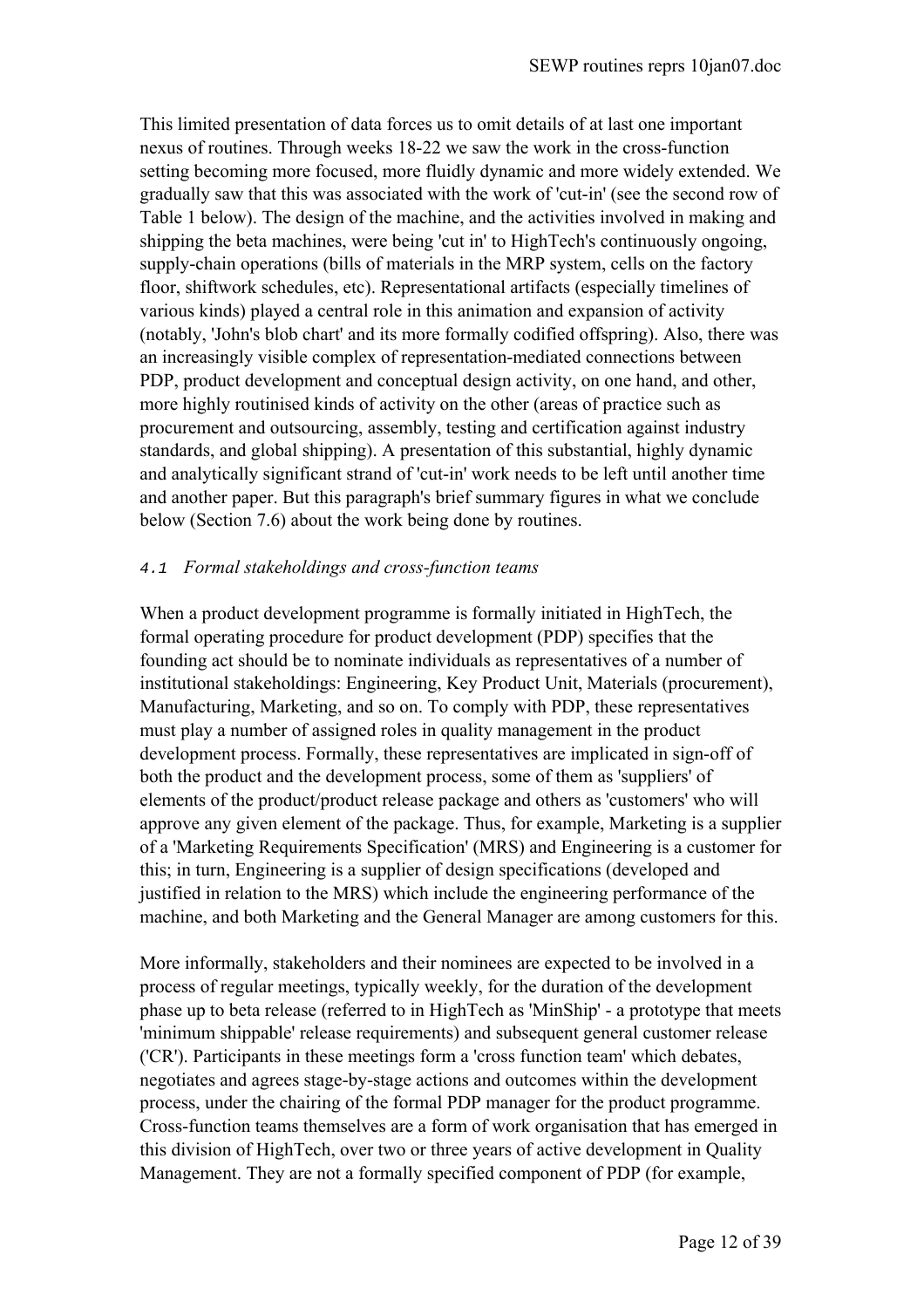This limited presentation of data forces us to omit details of at last one important nexus of routines. Through weeks 18-22 we saw the work in the cross-function setting becoming more focused, more fluidly dynamic and more widely extended. We gradually saw that this was associated with the work of 'cut-in' (see the second row of Table 1 below). The design of the machine, and the activities involved in making and shipping the beta machines, were being 'cut in' to HighTech's continuously ongoing, supply-chain operations (bills of materials in the MRP system, cells on the factory floor, shiftwork schedules, etc). Representational artifacts (especially timelines of various kinds) played a central role in this animation and expansion of activity (notably, 'John's blob chart' and its more formally codified offspring). Also, there was an increasingly visible complex of representation-mediated connections between PDP, product development and conceptual design activity, on one hand, and other, more highly routinised kinds of activity on the other (areas of practice such as procurement and outsourcing, assembly, testing and certification against industry standards, and global shipping). A presentation of this substantial, highly dynamic and analytically significant strand of 'cut-in' work needs to be left until another time and another paper. But this paragraph's brief summary figures in what we conclude below (Section 7.6) about the work being done by routines.

## 4.1 *Formal stakeholdings and cross-function teams*

When a product development programme is formally initiated in HighTech, the formal operating procedure for product development (PDP) specifies that the founding act should be to nominate individuals as representatives of a number of institutional stakeholdings: Engineering, Key Product Unit, Materials (procurement), Manufacturing, Marketing, and so on. To comply with PDP, these representatives must play a number of assigned roles in quality management in the product development process. Formally, these representatives are implicated in sign-off of both the product and the development process, some of them as 'suppliers' of elements of the product/product release package and others as 'customers' who will approve any given element of the package. Thus, for example, Marketing is a supplier of a 'Marketing Requirements Specification' (MRS) and Engineering is a customer for this; in turn, Engineering is a supplier of design specifications (developed and justified in relation to the MRS) which include the engineering performance of the machine, and both Marketing and the General Manager are among customers for this.

More informally, stakeholders and their nominees are expected to be involved in a process of regular meetings, typically weekly, for the duration of the development phase up to beta release (referred to in HighTech as 'MinShip' - a prototype that meets 'minimum shippable' release requirements) and subsequent general customer release ('CR'). Participants in these meetings form a 'cross function team' which debates, negotiates and agrees stage-by-stage actions and outcomes within the development process, under the chairing of the formal PDP manager for the product programme. Cross-function teams themselves are a form of work organisation that has emerged in this division of HighTech, over two or three years of active development in Quality Management. They are not a formally specified component of PDP (for example,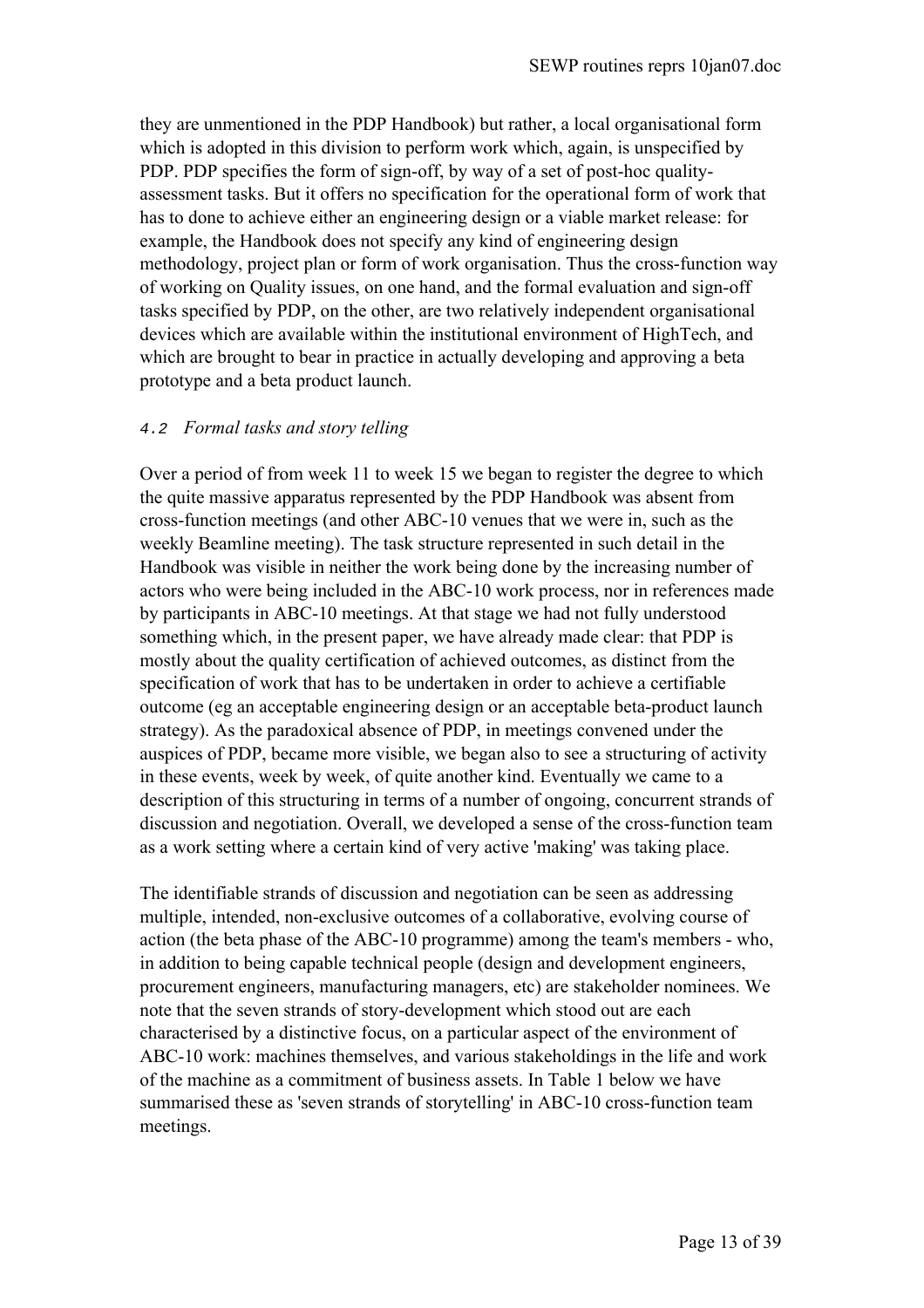they are unmentioned in the PDP Handbook) but rather, a local organisational form which is adopted in this division to perform work which, again, is unspecified by PDP. PDP specifies the form of sign-off, by way of a set of post-hoc qualityassessment tasks. But it offers no specification for the operational form of work that has to done to achieve either an engineering design or a viable market release: for example, the Handbook does not specify any kind of engineering design methodology, project plan or form of work organisation. Thus the cross-function way of working on Quality issues, on one hand, and the formal evaluation and sign-off tasks specified by PDP, on the other, are two relatively independent organisational devices which are available within the institutional environment of HighTech, and which are brought to bear in practice in actually developing and approving a beta prototype and a beta product launch.

# 4.2 *Formal tasks and story telling*

Over a period of from week 11 to week 15 we began to register the degree to which the quite massive apparatus represented by the PDP Handbook was absent from cross-function meetings (and other ABC-10 venues that we were in, such as the weekly Beamline meeting). The task structure represented in such detail in the Handbook was visible in neither the work being done by the increasing number of actors who were being included in the ABC-10 work process, nor in references made by participants in ABC-10 meetings. At that stage we had not fully understood something which, in the present paper, we have already made clear: that PDP is mostly about the quality certification of achieved outcomes, as distinct from the specification of work that has to be undertaken in order to achieve a certifiable outcome (eg an acceptable engineering design or an acceptable beta-product launch strategy). As the paradoxical absence of PDP, in meetings convened under the auspices of PDP, became more visible, we began also to see a structuring of activity in these events, week by week, of quite another kind. Eventually we came to a description of this structuring in terms of a number of ongoing, concurrent strands of discussion and negotiation. Overall, we developed a sense of the cross-function team as a work setting where a certain kind of very active 'making' was taking place.

The identifiable strands of discussion and negotiation can be seen as addressing multiple, intended, non-exclusive outcomes of a collaborative, evolving course of action (the beta phase of the ABC-10 programme) among the team's members - who, in addition to being capable technical people (design and development engineers, procurement engineers, manufacturing managers, etc) are stakeholder nominees. We note that the seven strands of story-development which stood out are each characterised by a distinctive focus, on a particular aspect of the environment of ABC-10 work: machines themselves, and various stakeholdings in the life and work of the machine as a commitment of business assets. In Table 1 below we have summarised these as 'seven strands of storytelling' in ABC-10 cross-function team meetings.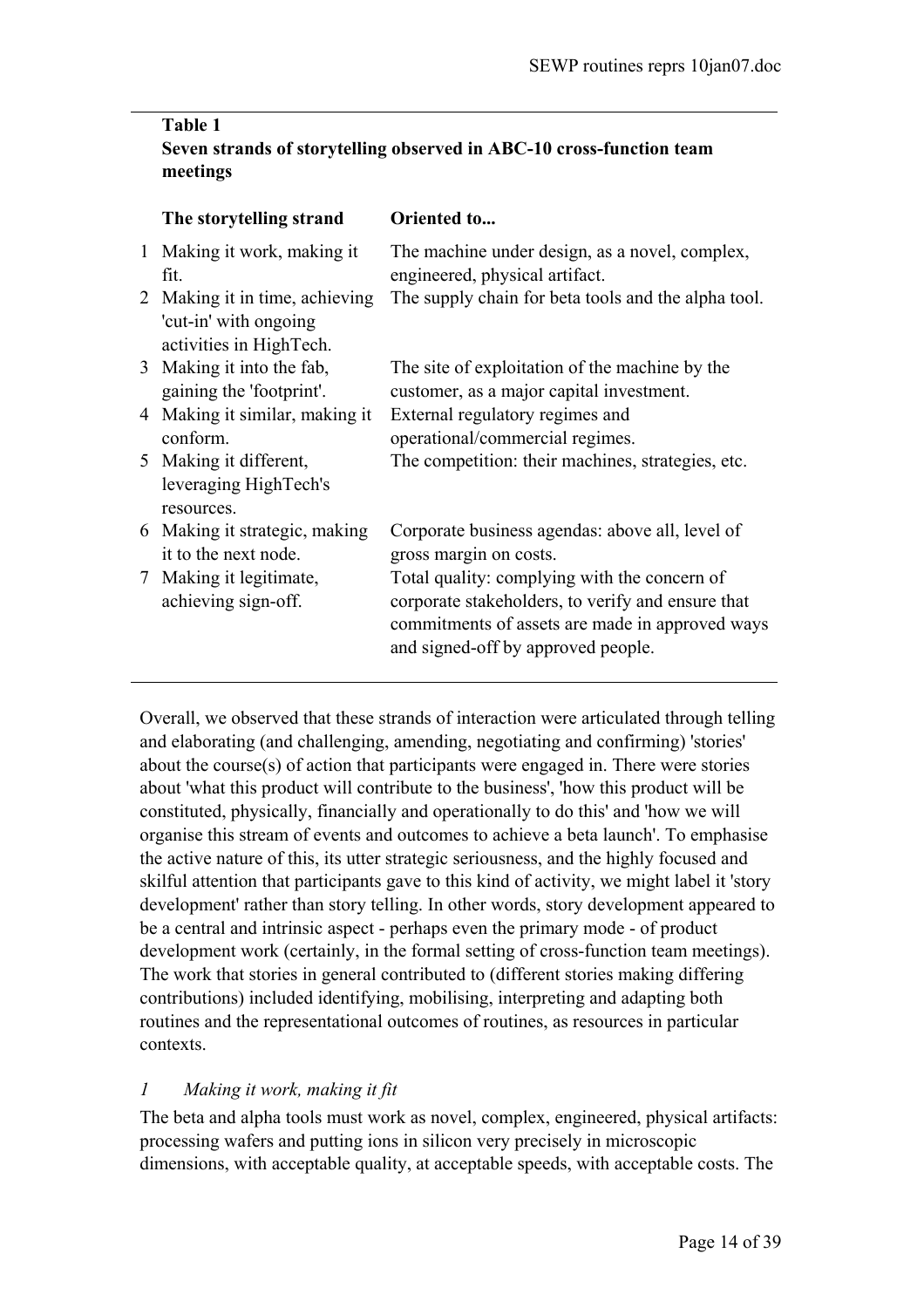# **Table 1 Seven strands of storytelling observed in ABC-10 cross-function team meetings**

|                 | The storytelling strand                                                            | Oriented to                                                                                                                                                                                |
|-----------------|------------------------------------------------------------------------------------|--------------------------------------------------------------------------------------------------------------------------------------------------------------------------------------------|
| $\mathbf{1}$    | Making it work, making it<br>fit.                                                  | The machine under design, as a novel, complex,<br>engineered, physical artifact.                                                                                                           |
|                 | 2 Making it in time, achieving<br>'cut-in' with ongoing<br>activities in HighTech. | The supply chain for beta tools and the alpha tool.                                                                                                                                        |
|                 | 3 Making it into the fab,<br>gaining the 'footprint'.                              | The site of exploitation of the machine by the<br>customer, as a major capital investment.                                                                                                 |
| 4               | Making it similar, making it<br>conform.                                           | External regulatory regimes and<br>operational/commercial regimes.                                                                                                                         |
|                 | 5 Making it different,<br>leveraging HighTech's<br>resources.                      | The competition: their machines, strategies, etc.                                                                                                                                          |
|                 | 6 Making it strategic, making<br>it to the next node.                              | Corporate business agendas: above all, level of<br>gross margin on costs.                                                                                                                  |
| $7\phantom{.0}$ | Making it legitimate,<br>achieving sign-off.                                       | Total quality: complying with the concern of<br>corporate stakeholders, to verify and ensure that<br>commitments of assets are made in approved ways<br>and signed-off by approved people. |

Overall, we observed that these strands of interaction were articulated through telling and elaborating (and challenging, amending, negotiating and confirming) 'stories' about the course(s) of action that participants were engaged in. There were stories about 'what this product will contribute to the business', 'how this product will be constituted, physically, financially and operationally to do this' and 'how we will organise this stream of events and outcomes to achieve a beta launch'. To emphasise the active nature of this, its utter strategic seriousness, and the highly focused and skilful attention that participants gave to this kind of activity, we might label it 'story development' rather than story telling. In other words, story development appeared to be a central and intrinsic aspect - perhaps even the primary mode - of product development work (certainly, in the formal setting of cross-function team meetings). The work that stories in general contributed to (different stories making differing contributions) included identifying, mobilising, interpreting and adapting both routines and the representational outcomes of routines, as resources in particular contexts.

# *1 Making it work, making it fit*

The beta and alpha tools must work as novel, complex, engineered, physical artifacts: processing wafers and putting ions in silicon very precisely in microscopic dimensions, with acceptable quality, at acceptable speeds, with acceptable costs. The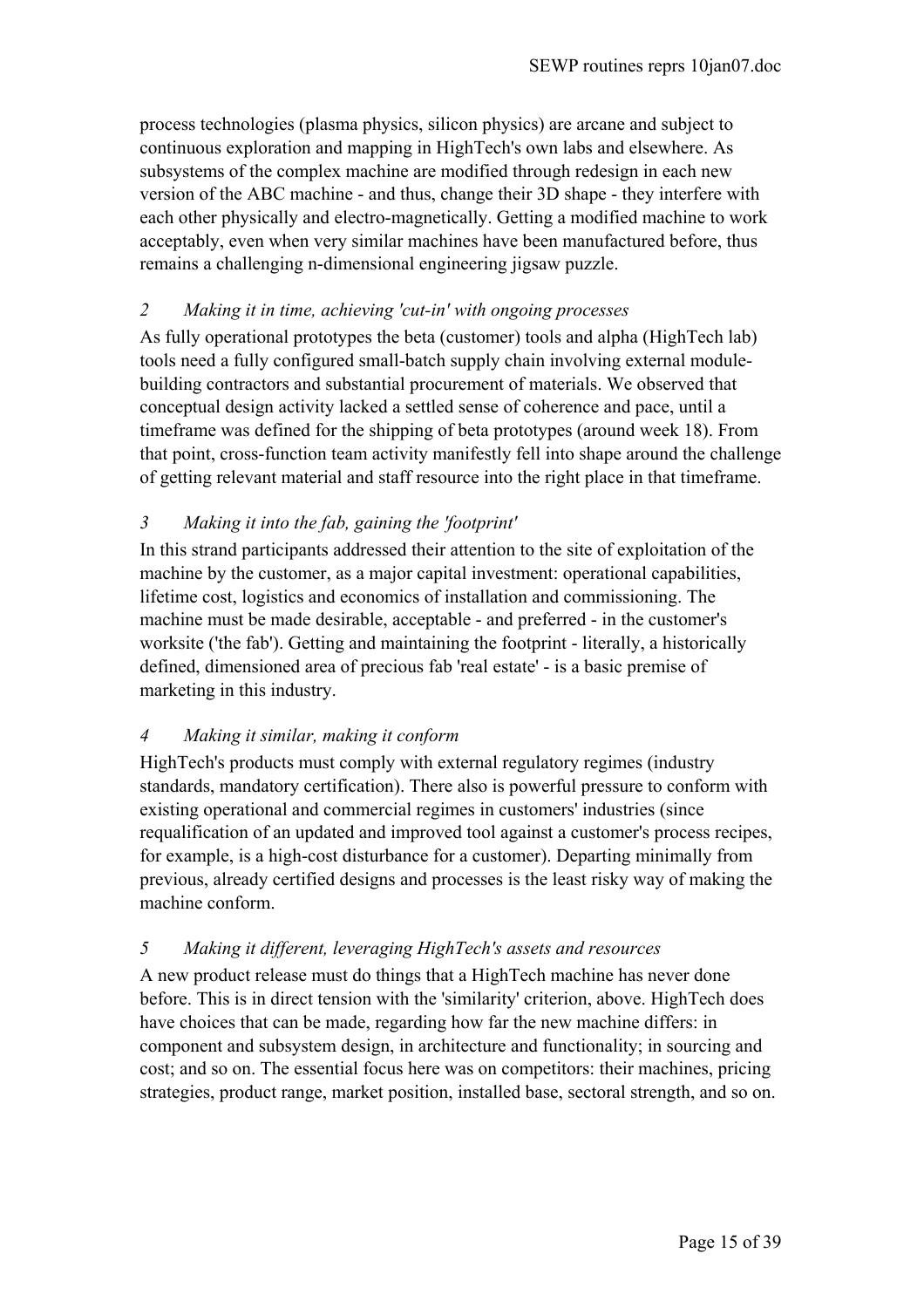process technologies (plasma physics, silicon physics) are arcane and subject to continuous exploration and mapping in HighTech's own labs and elsewhere. As subsystems of the complex machine are modified through redesign in each new version of the ABC machine - and thus, change their 3D shape - they interfere with each other physically and electro-magnetically. Getting a modified machine to work acceptably, even when very similar machines have been manufactured before, thus remains a challenging n-dimensional engineering jigsaw puzzle.

## *2 Making it in time, achieving 'cut-in' with ongoing processes*

As fully operational prototypes the beta (customer) tools and alpha (HighTech lab) tools need a fully configured small-batch supply chain involving external modulebuilding contractors and substantial procurement of materials. We observed that conceptual design activity lacked a settled sense of coherence and pace, until a timeframe was defined for the shipping of beta prototypes (around week 18). From that point, cross-function team activity manifestly fell into shape around the challenge of getting relevant material and staff resource into the right place in that timeframe.

# *3 Making it into the fab, gaining the 'footprint'*

In this strand participants addressed their attention to the site of exploitation of the machine by the customer, as a major capital investment: operational capabilities, lifetime cost, logistics and economics of installation and commissioning. The machine must be made desirable, acceptable - and preferred - in the customer's worksite ('the fab'). Getting and maintaining the footprint - literally, a historically defined, dimensioned area of precious fab 'real estate' - is a basic premise of marketing in this industry.

## *4 Making it similar, making it conform*

HighTech's products must comply with external regulatory regimes (industry standards, mandatory certification). There also is powerful pressure to conform with existing operational and commercial regimes in customers' industries (since requalification of an updated and improved tool against a customer's process recipes, for example, is a high-cost disturbance for a customer). Departing minimally from previous, already certified designs and processes is the least risky way of making the machine conform.

## *5 Making it different, leveraging HighTech's assets and resources*

A new product release must do things that a HighTech machine has never done before. This is in direct tension with the 'similarity' criterion, above. HighTech does have choices that can be made, regarding how far the new machine differs: in component and subsystem design, in architecture and functionality; in sourcing and cost; and so on. The essential focus here was on competitors: their machines, pricing strategies, product range, market position, installed base, sectoral strength, and so on.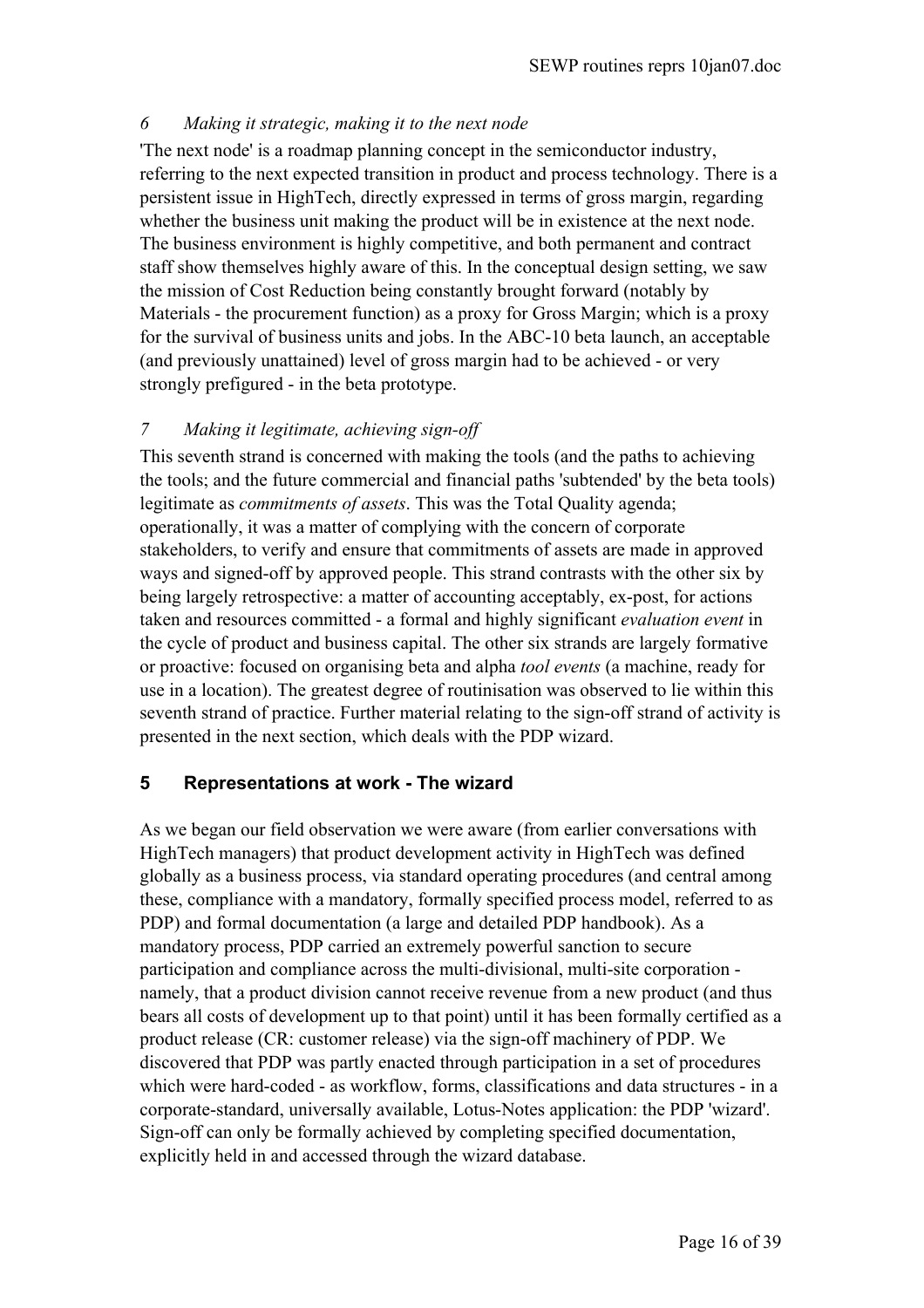# *6 Making it strategic, making it to the next node*

'The next node' is a roadmap planning concept in the semiconductor industry, referring to the next expected transition in product and process technology. There is a persistent issue in HighTech, directly expressed in terms of gross margin, regarding whether the business unit making the product will be in existence at the next node. The business environment is highly competitive, and both permanent and contract staff show themselves highly aware of this. In the conceptual design setting, we saw the mission of Cost Reduction being constantly brought forward (notably by Materials - the procurement function) as a proxy for Gross Margin; which is a proxy for the survival of business units and jobs. In the ABC-10 beta launch, an acceptable (and previously unattained) level of gross margin had to be achieved - or very strongly prefigured - in the beta prototype.

# *7 Making it legitimate, achieving sign-off*

This seventh strand is concerned with making the tools (and the paths to achieving the tools; and the future commercial and financial paths 'subtended' by the beta tools) legitimate as *commitments of assets*. This was the Total Quality agenda; operationally, it was a matter of complying with the concern of corporate stakeholders, to verify and ensure that commitments of assets are made in approved ways and signed-off by approved people. This strand contrasts with the other six by being largely retrospective: a matter of accounting acceptably, ex-post, for actions taken and resources committed - a formal and highly significant *evaluation event* in the cycle of product and business capital. The other six strands are largely formative or proactive: focused on organising beta and alpha *tool events* (a machine, ready for use in a location). The greatest degree of routinisation was observed to lie within this seventh strand of practice. Further material relating to the sign-off strand of activity is presented in the next section, which deals with the PDP wizard.

# **5 Representations at work - The wizard**

As we began our field observation we were aware (from earlier conversations with HighTech managers) that product development activity in HighTech was defined globally as a business process, via standard operating procedures (and central among these, compliance with a mandatory, formally specified process model, referred to as PDP) and formal documentation (a large and detailed PDP handbook). As a mandatory process, PDP carried an extremely powerful sanction to secure participation and compliance across the multi-divisional, multi-site corporation namely, that a product division cannot receive revenue from a new product (and thus bears all costs of development up to that point) until it has been formally certified as a product release (CR: customer release) via the sign-off machinery of PDP. We discovered that PDP was partly enacted through participation in a set of procedures which were hard-coded - as workflow, forms, classifications and data structures - in a corporate-standard, universally available, Lotus-Notes application: the PDP 'wizard'. Sign-off can only be formally achieved by completing specified documentation, explicitly held in and accessed through the wizard database.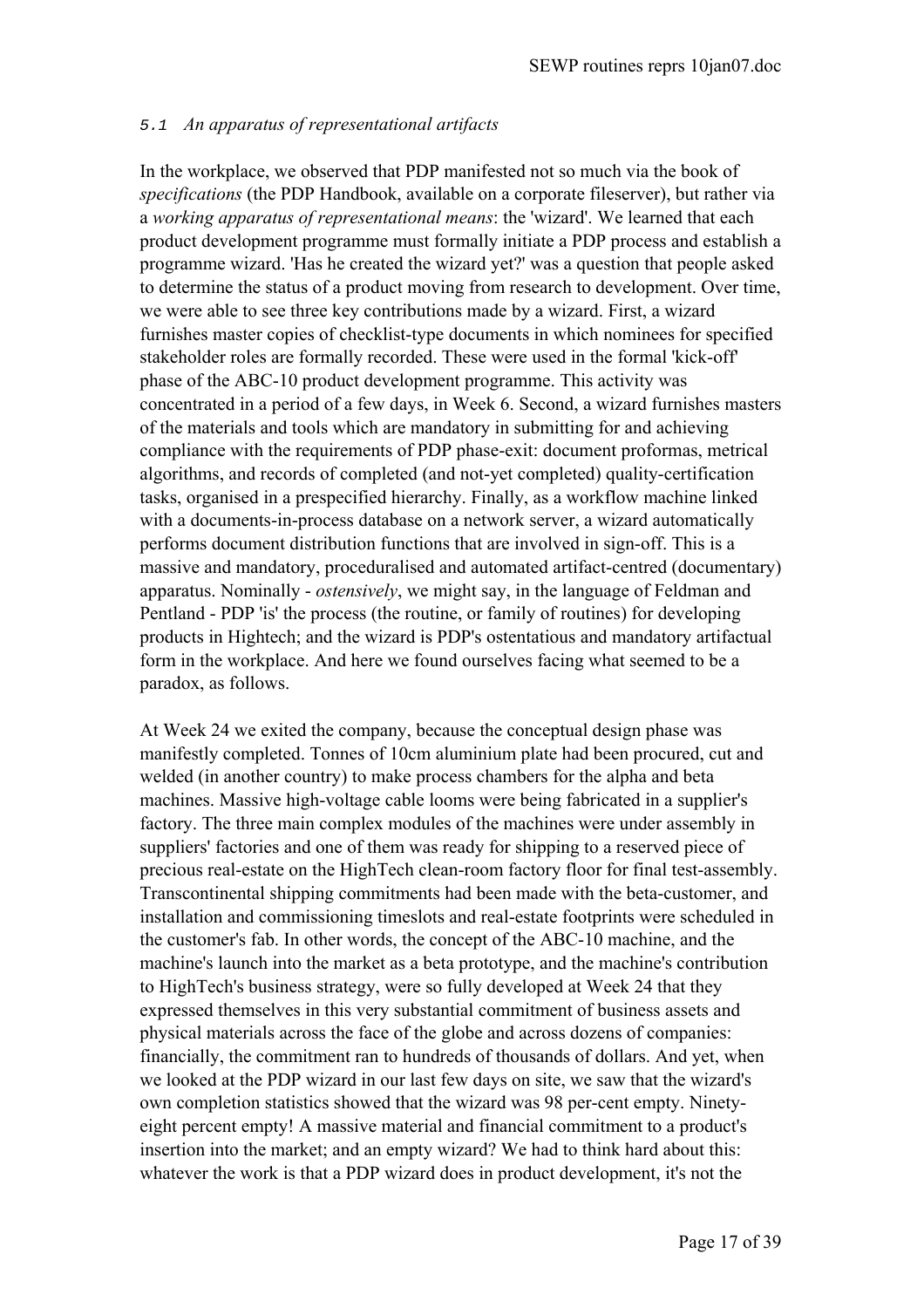#### 5.1 *An apparatus of representational artifacts*

In the workplace, we observed that PDP manifested not so much via the book of *specifications* (the PDP Handbook, available on a corporate fileserver), but rather via a *working apparatus of representational means*: the 'wizard'. We learned that each product development programme must formally initiate a PDP process and establish a programme wizard. 'Has he created the wizard yet?' was a question that people asked to determine the status of a product moving from research to development. Over time, we were able to see three key contributions made by a wizard. First, a wizard furnishes master copies of checklist-type documents in which nominees for specified stakeholder roles are formally recorded. These were used in the formal 'kick-off' phase of the ABC-10 product development programme. This activity was concentrated in a period of a few days, in Week 6. Second, a wizard furnishes masters of the materials and tools which are mandatory in submitting for and achieving compliance with the requirements of PDP phase-exit: document proformas, metrical algorithms, and records of completed (and not-yet completed) quality-certification tasks, organised in a prespecified hierarchy. Finally, as a workflow machine linked with a documents-in-process database on a network server, a wizard automatically performs document distribution functions that are involved in sign-off. This is a massive and mandatory, proceduralised and automated artifact-centred (documentary) apparatus. Nominally - *ostensively*, we might say, in the language of Feldman and Pentland - PDP 'is' the process (the routine, or family of routines) for developing products in Hightech; and the wizard is PDP's ostentatious and mandatory artifactual form in the workplace. And here we found ourselves facing what seemed to be a paradox, as follows.

At Week 24 we exited the company, because the conceptual design phase was manifestly completed. Tonnes of 10cm aluminium plate had been procured, cut and welded (in another country) to make process chambers for the alpha and beta machines. Massive high-voltage cable looms were being fabricated in a supplier's factory. The three main complex modules of the machines were under assembly in suppliers' factories and one of them was ready for shipping to a reserved piece of precious real-estate on the HighTech clean-room factory floor for final test-assembly. Transcontinental shipping commitments had been made with the beta-customer, and installation and commissioning timeslots and real-estate footprints were scheduled in the customer's fab. In other words, the concept of the ABC-10 machine, and the machine's launch into the market as a beta prototype, and the machine's contribution to HighTech's business strategy, were so fully developed at Week 24 that they expressed themselves in this very substantial commitment of business assets and physical materials across the face of the globe and across dozens of companies: financially, the commitment ran to hundreds of thousands of dollars. And yet, when we looked at the PDP wizard in our last few days on site, we saw that the wizard's own completion statistics showed that the wizard was 98 per-cent empty. Ninetyeight percent empty! A massive material and financial commitment to a product's insertion into the market; and an empty wizard? We had to think hard about this: whatever the work is that a PDP wizard does in product development, it's not the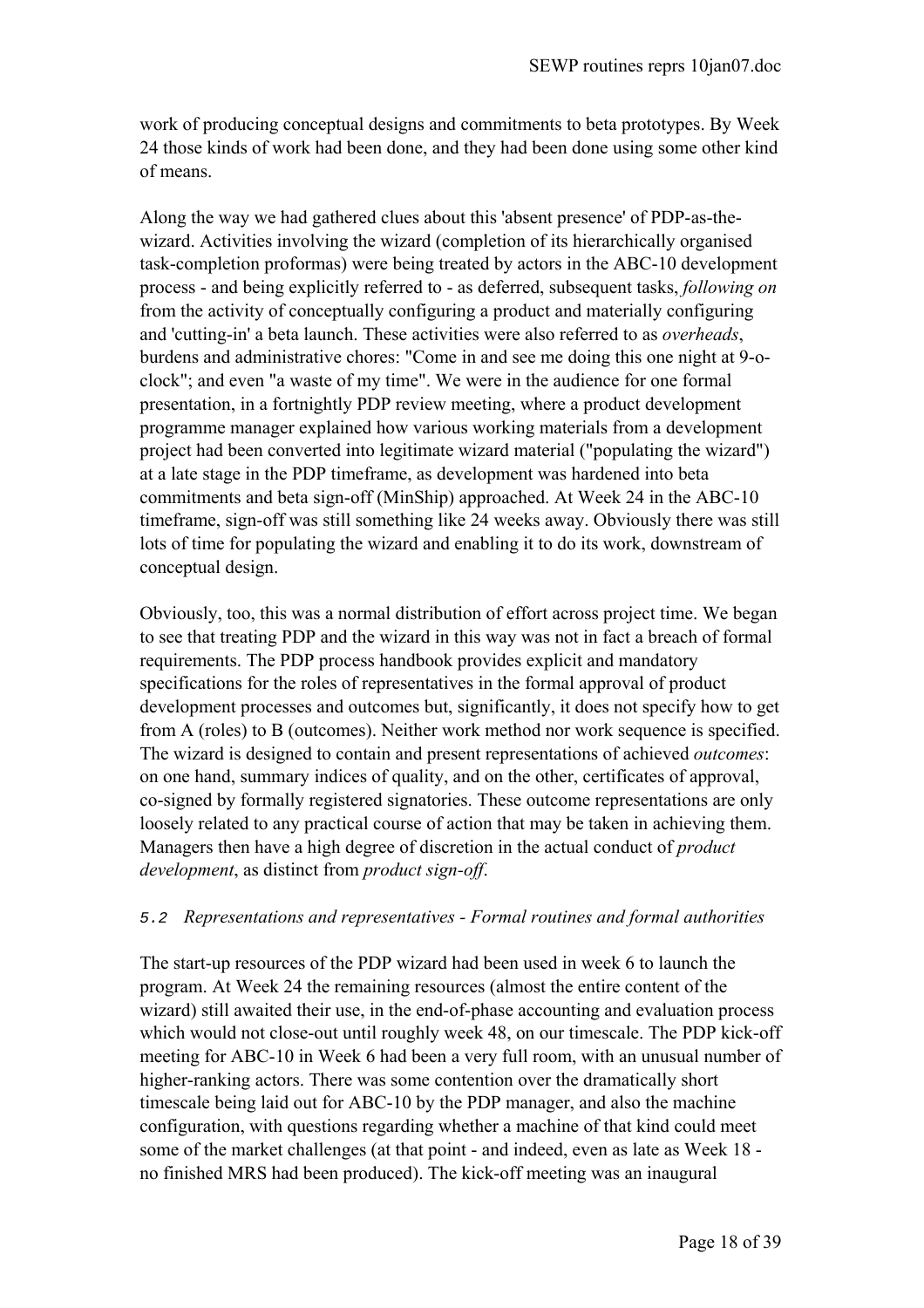work of producing conceptual designs and commitments to beta prototypes. By Week 24 those kinds of work had been done, and they had been done using some other kind of means.

Along the way we had gathered clues about this 'absent presence' of PDP-as-thewizard. Activities involving the wizard (completion of its hierarchically organised task-completion proformas) were being treated by actors in the ABC-10 development process - and being explicitly referred to - as deferred, subsequent tasks, *following on* from the activity of conceptually configuring a product and materially configuring and 'cutting-in' a beta launch. These activities were also referred to as *overheads*, burdens and administrative chores: "Come in and see me doing this one night at 9-oclock"; and even "a waste of my time". We were in the audience for one formal presentation, in a fortnightly PDP review meeting, where a product development programme manager explained how various working materials from a development project had been converted into legitimate wizard material ("populating the wizard") at a late stage in the PDP timeframe, as development was hardened into beta commitments and beta sign-off (MinShip) approached. At Week 24 in the ABC-10 timeframe, sign-off was still something like 24 weeks away. Obviously there was still lots of time for populating the wizard and enabling it to do its work, downstream of conceptual design.

Obviously, too, this was a normal distribution of effort across project time. We began to see that treating PDP and the wizard in this way was not in fact a breach of formal requirements. The PDP process handbook provides explicit and mandatory specifications for the roles of representatives in the formal approval of product development processes and outcomes but, significantly, it does not specify how to get from A (roles) to B (outcomes). Neither work method nor work sequence is specified. The wizard is designed to contain and present representations of achieved *outcomes*: on one hand, summary indices of quality, and on the other, certificates of approval, co-signed by formally registered signatories. These outcome representations are only loosely related to any practical course of action that may be taken in achieving them. Managers then have a high degree of discretion in the actual conduct of *product development*, as distinct from *product sign-off*.

## 5.2 *Representations and representatives - Formal routines and formal authorities*

The start-up resources of the PDP wizard had been used in week 6 to launch the program. At Week 24 the remaining resources (almost the entire content of the wizard) still awaited their use, in the end-of-phase accounting and evaluation process which would not close-out until roughly week 48, on our timescale. The PDP kick-off meeting for ABC-10 in Week 6 had been a very full room, with an unusual number of higher-ranking actors. There was some contention over the dramatically short timescale being laid out for ABC-10 by the PDP manager, and also the machine configuration, with questions regarding whether a machine of that kind could meet some of the market challenges (at that point - and indeed, even as late as Week 18 no finished MRS had been produced). The kick-off meeting was an inaugural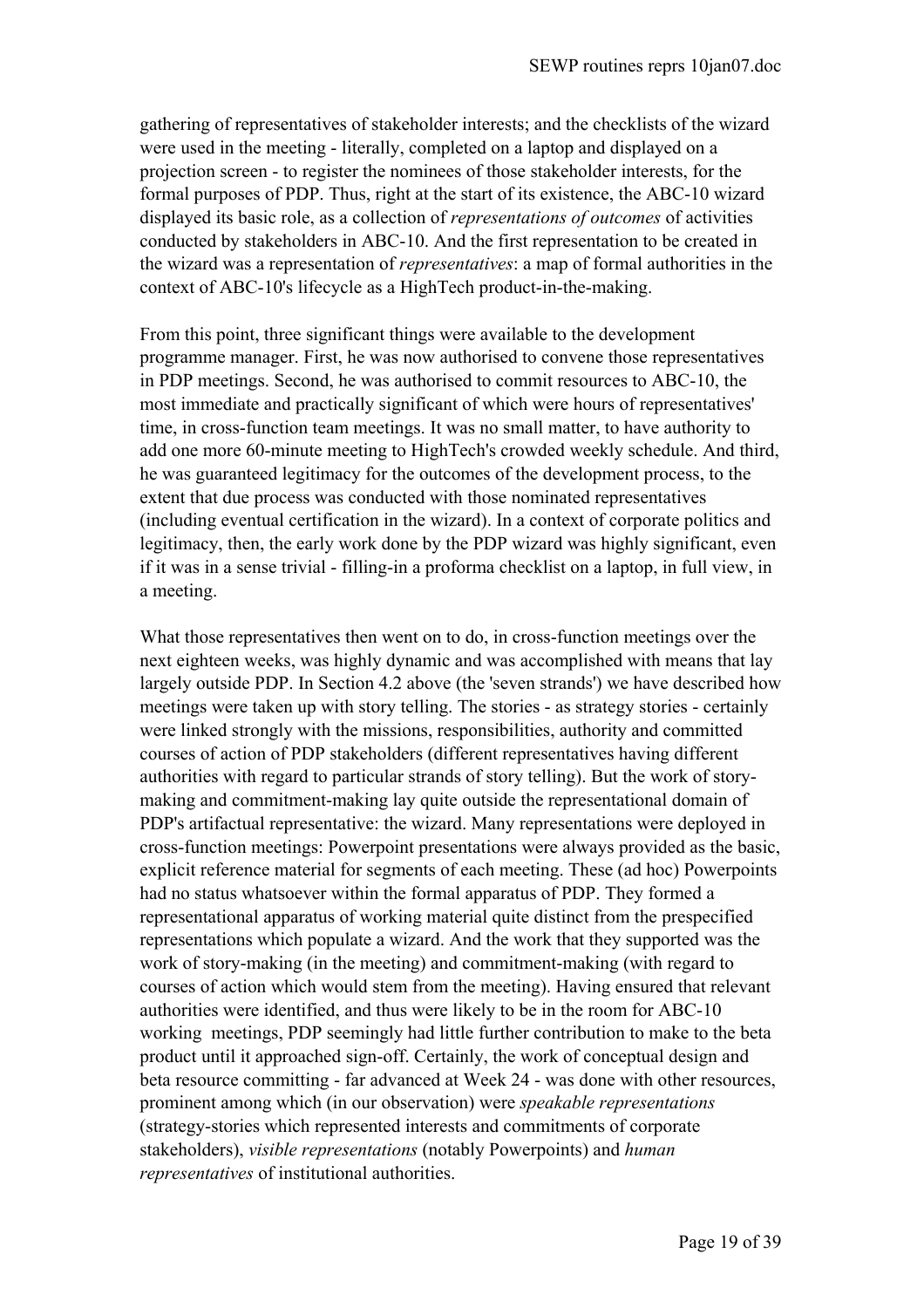gathering of representatives of stakeholder interests; and the checklists of the wizard were used in the meeting - literally, completed on a laptop and displayed on a projection screen - to register the nominees of those stakeholder interests, for the formal purposes of PDP. Thus, right at the start of its existence, the ABC-10 wizard displayed its basic role, as a collection of *representations of outcomes* of activities conducted by stakeholders in ABC-10. And the first representation to be created in the wizard was a representation of *representatives*: a map of formal authorities in the context of ABC-10's lifecycle as a HighTech product-in-the-making.

From this point, three significant things were available to the development programme manager. First, he was now authorised to convene those representatives in PDP meetings. Second, he was authorised to commit resources to ABC-10, the most immediate and practically significant of which were hours of representatives' time, in cross-function team meetings. It was no small matter, to have authority to add one more 60-minute meeting to HighTech's crowded weekly schedule. And third, he was guaranteed legitimacy for the outcomes of the development process, to the extent that due process was conducted with those nominated representatives (including eventual certification in the wizard). In a context of corporate politics and legitimacy, then, the early work done by the PDP wizard was highly significant, even if it was in a sense trivial - filling-in a proforma checklist on a laptop, in full view, in a meeting.

What those representatives then went on to do, in cross-function meetings over the next eighteen weeks, was highly dynamic and was accomplished with means that lay largely outside PDP. In Section 4.2 above (the 'seven strands') we have described how meetings were taken up with story telling. The stories - as strategy stories - certainly were linked strongly with the missions, responsibilities, authority and committed courses of action of PDP stakeholders (different representatives having different authorities with regard to particular strands of story telling). But the work of storymaking and commitment-making lay quite outside the representational domain of PDP's artifactual representative: the wizard. Many representations were deployed in cross-function meetings: Powerpoint presentations were always provided as the basic, explicit reference material for segments of each meeting. These (ad hoc) Powerpoints had no status whatsoever within the formal apparatus of PDP. They formed a representational apparatus of working material quite distinct from the prespecified representations which populate a wizard. And the work that they supported was the work of story-making (in the meeting) and commitment-making (with regard to courses of action which would stem from the meeting). Having ensured that relevant authorities were identified, and thus were likely to be in the room for ABC-10 working meetings, PDP seemingly had little further contribution to make to the beta product until it approached sign-off. Certainly, the work of conceptual design and beta resource committing - far advanced at Week 24 - was done with other resources, prominent among which (in our observation) were *speakable representations*  (strategy-stories which represented interests and commitments of corporate stakeholders), *visible representations* (notably Powerpoints) and *human representatives* of institutional authorities.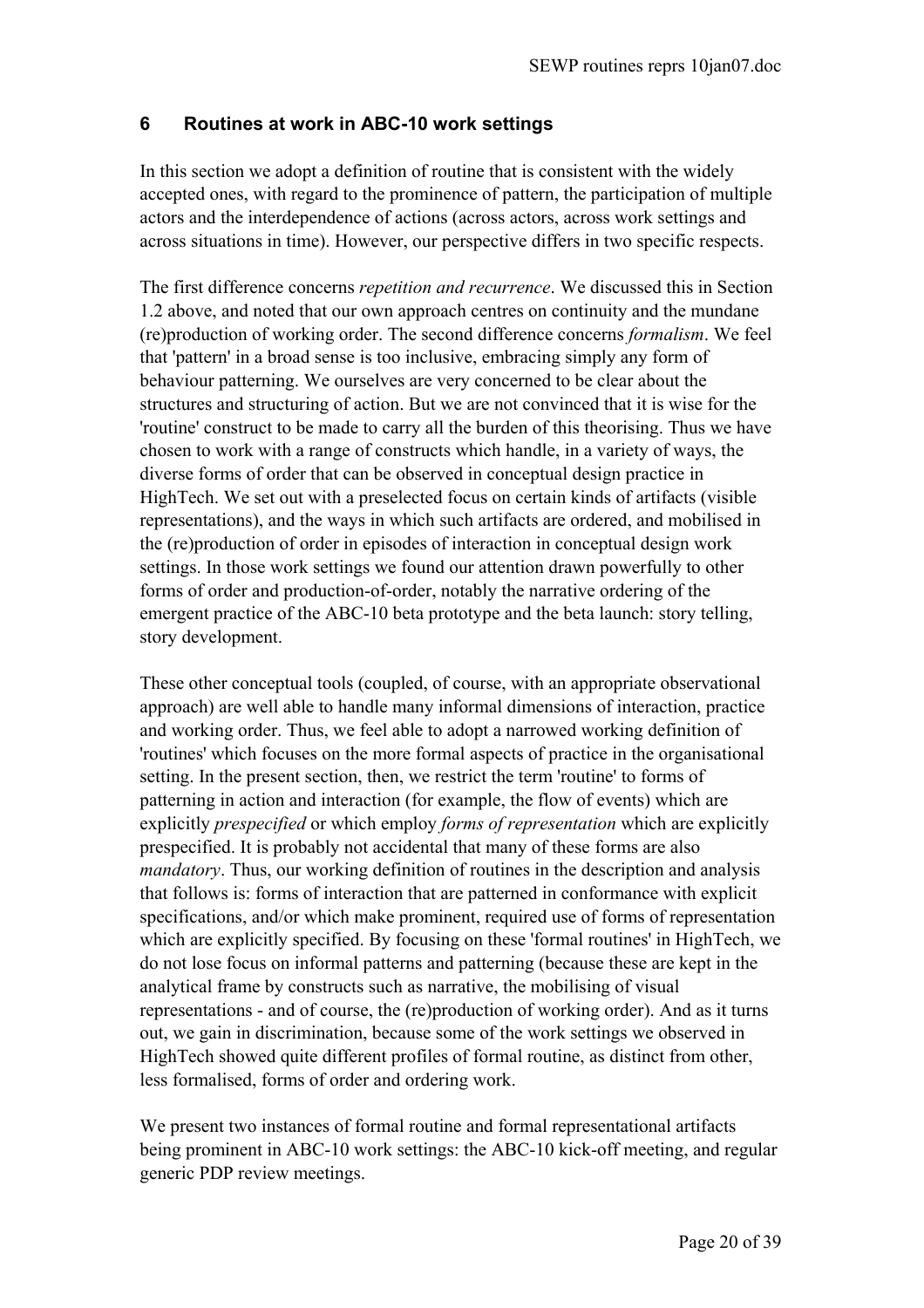# **6 Routines at work in ABC-10 work settings**

In this section we adopt a definition of routine that is consistent with the widely accepted ones, with regard to the prominence of pattern, the participation of multiple actors and the interdependence of actions (across actors, across work settings and across situations in time). However, our perspective differs in two specific respects.

The first difference concerns *repetition and recurrence*. We discussed this in Section 1.2 above, and noted that our own approach centres on continuity and the mundane (re)production of working order. The second difference concerns *formalism*. We feel that 'pattern' in a broad sense is too inclusive, embracing simply any form of behaviour patterning. We ourselves are very concerned to be clear about the structures and structuring of action. But we are not convinced that it is wise for the 'routine' construct to be made to carry all the burden of this theorising. Thus we have chosen to work with a range of constructs which handle, in a variety of ways, the diverse forms of order that can be observed in conceptual design practice in HighTech. We set out with a preselected focus on certain kinds of artifacts (visible representations), and the ways in which such artifacts are ordered, and mobilised in the (re)production of order in episodes of interaction in conceptual design work settings. In those work settings we found our attention drawn powerfully to other forms of order and production-of-order, notably the narrative ordering of the emergent practice of the ABC-10 beta prototype and the beta launch: story telling, story development.

These other conceptual tools (coupled, of course, with an appropriate observational approach) are well able to handle many informal dimensions of interaction, practice and working order. Thus, we feel able to adopt a narrowed working definition of 'routines' which focuses on the more formal aspects of practice in the organisational setting. In the present section, then, we restrict the term 'routine' to forms of patterning in action and interaction (for example, the flow of events) which are explicitly *prespecified* or which employ *forms of representation* which are explicitly prespecified. It is probably not accidental that many of these forms are also *mandatory*. Thus, our working definition of routines in the description and analysis that follows is: forms of interaction that are patterned in conformance with explicit specifications, and/or which make prominent, required use of forms of representation which are explicitly specified. By focusing on these 'formal routines' in HighTech, we do not lose focus on informal patterns and patterning (because these are kept in the analytical frame by constructs such as narrative, the mobilising of visual representations - and of course, the (re)production of working order). And as it turns out, we gain in discrimination, because some of the work settings we observed in HighTech showed quite different profiles of formal routine, as distinct from other, less formalised, forms of order and ordering work.

We present two instances of formal routine and formal representational artifacts being prominent in ABC-10 work settings: the ABC-10 kick-off meeting, and regular generic PDP review meetings.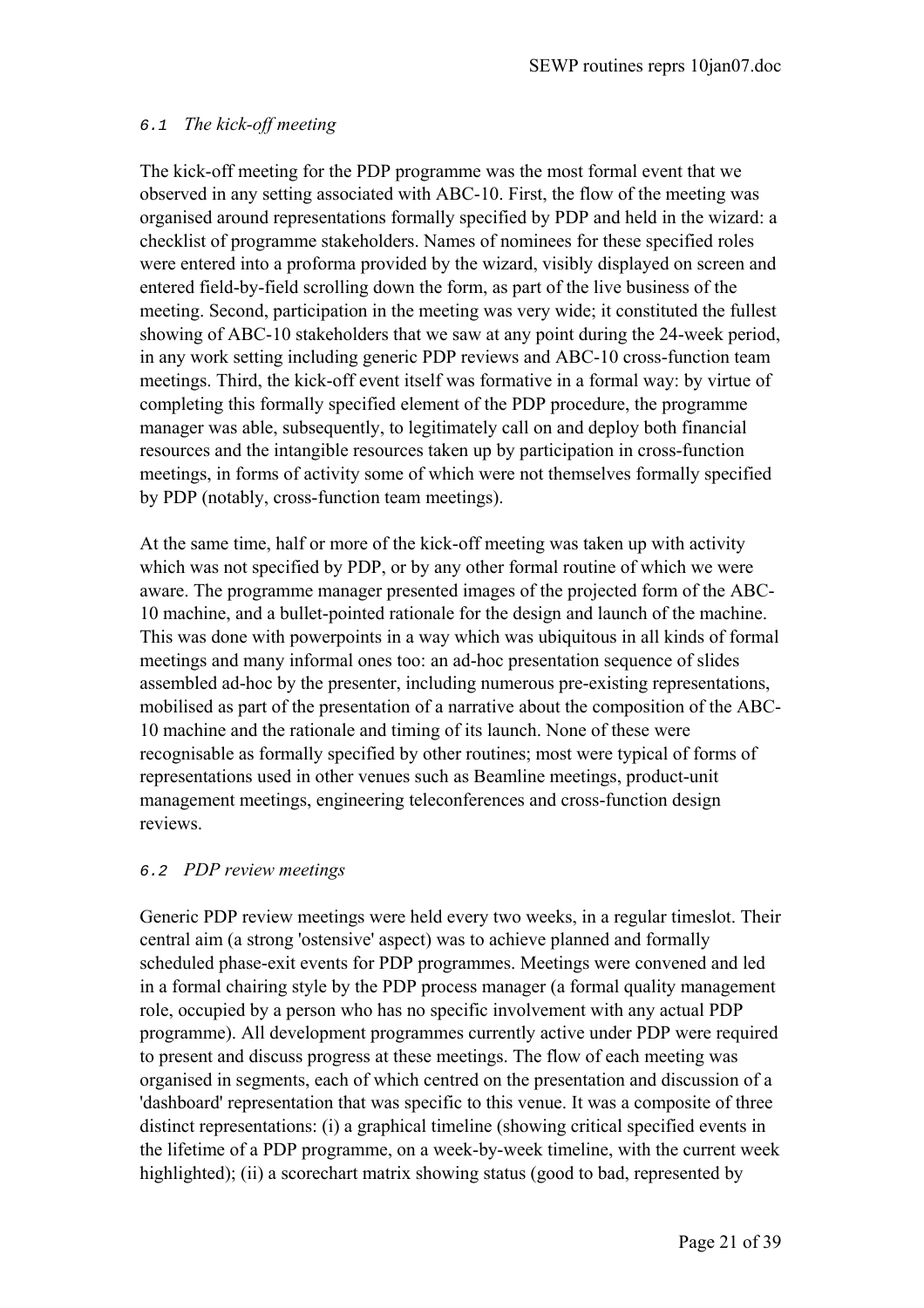# 6.1 *The kick-off meeting*

The kick-off meeting for the PDP programme was the most formal event that we observed in any setting associated with ABC-10. First, the flow of the meeting was organised around representations formally specified by PDP and held in the wizard: a checklist of programme stakeholders. Names of nominees for these specified roles were entered into a proforma provided by the wizard, visibly displayed on screen and entered field-by-field scrolling down the form, as part of the live business of the meeting. Second, participation in the meeting was very wide; it constituted the fullest showing of ABC-10 stakeholders that we saw at any point during the 24-week period, in any work setting including generic PDP reviews and ABC-10 cross-function team meetings. Third, the kick-off event itself was formative in a formal way: by virtue of completing this formally specified element of the PDP procedure, the programme manager was able, subsequently, to legitimately call on and deploy both financial resources and the intangible resources taken up by participation in cross-function meetings, in forms of activity some of which were not themselves formally specified by PDP (notably, cross-function team meetings).

At the same time, half or more of the kick-off meeting was taken up with activity which was not specified by PDP, or by any other formal routine of which we were aware. The programme manager presented images of the projected form of the ABC-10 machine, and a bullet-pointed rationale for the design and launch of the machine. This was done with powerpoints in a way which was ubiquitous in all kinds of formal meetings and many informal ones too: an ad-hoc presentation sequence of slides assembled ad-hoc by the presenter, including numerous pre-existing representations, mobilised as part of the presentation of a narrative about the composition of the ABC-10 machine and the rationale and timing of its launch. None of these were recognisable as formally specified by other routines; most were typical of forms of representations used in other venues such as Beamline meetings, product-unit management meetings, engineering teleconferences and cross-function design reviews.

## 6.2 *PDP review meetings*

Generic PDP review meetings were held every two weeks, in a regular timeslot. Their central aim (a strong 'ostensive' aspect) was to achieve planned and formally scheduled phase-exit events for PDP programmes. Meetings were convened and led in a formal chairing style by the PDP process manager (a formal quality management role, occupied by a person who has no specific involvement with any actual PDP programme). All development programmes currently active under PDP were required to present and discuss progress at these meetings. The flow of each meeting was organised in segments, each of which centred on the presentation and discussion of a 'dashboard' representation that was specific to this venue. It was a composite of three distinct representations: (i) a graphical timeline (showing critical specified events in the lifetime of a PDP programme, on a week-by-week timeline, with the current week highlighted); (ii) a scorechart matrix showing status (good to bad, represented by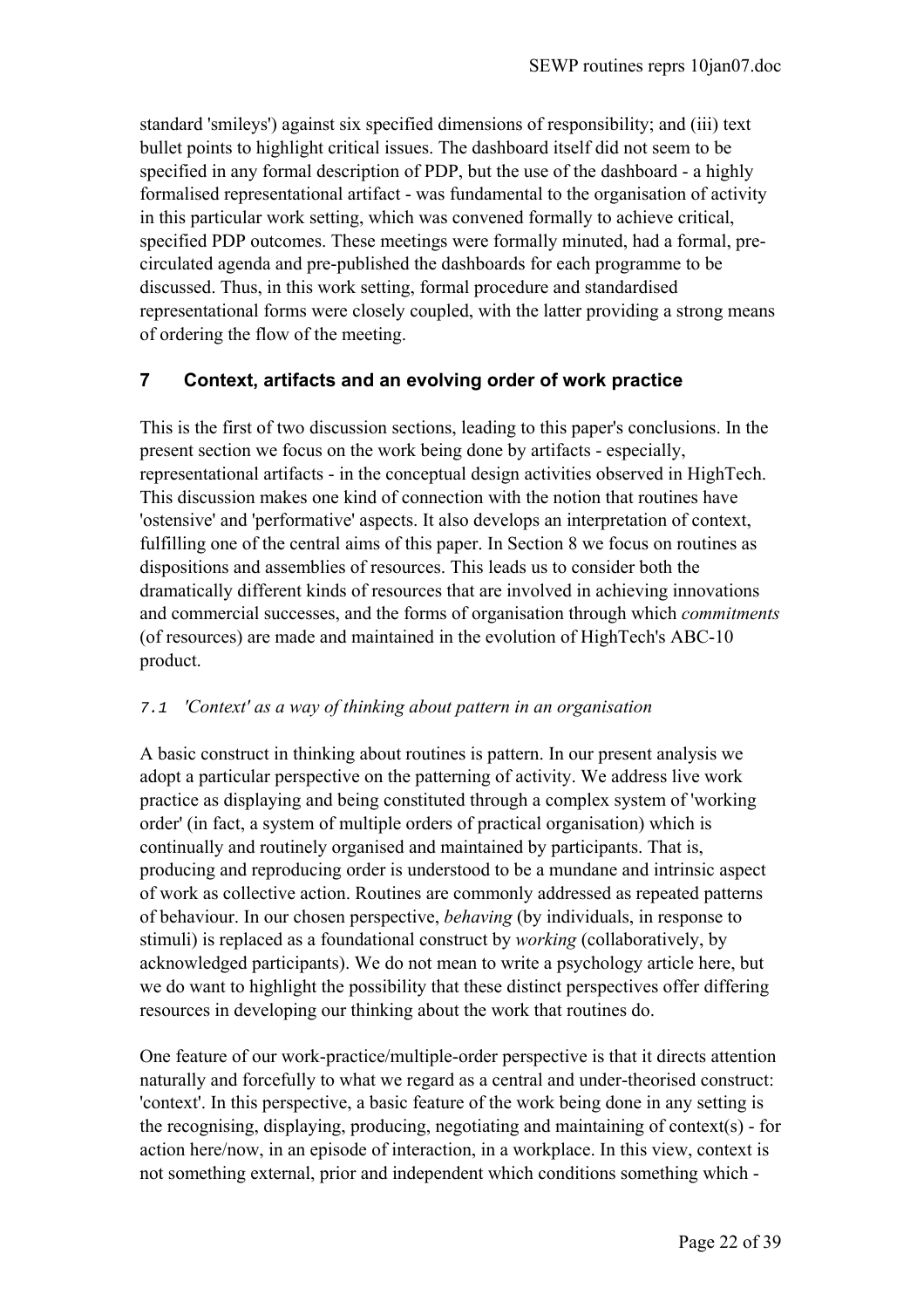standard 'smileys') against six specified dimensions of responsibility; and (iii) text bullet points to highlight critical issues. The dashboard itself did not seem to be specified in any formal description of PDP, but the use of the dashboard - a highly formalised representational artifact - was fundamental to the organisation of activity in this particular work setting, which was convened formally to achieve critical, specified PDP outcomes. These meetings were formally minuted, had a formal, precirculated agenda and pre-published the dashboards for each programme to be discussed. Thus, in this work setting, formal procedure and standardised representational forms were closely coupled, with the latter providing a strong means of ordering the flow of the meeting.

# **7 Context, artifacts and an evolving order of work practice**

This is the first of two discussion sections, leading to this paper's conclusions. In the present section we focus on the work being done by artifacts - especially, representational artifacts - in the conceptual design activities observed in HighTech. This discussion makes one kind of connection with the notion that routines have 'ostensive' and 'performative' aspects. It also develops an interpretation of context, fulfilling one of the central aims of this paper. In Section 8 we focus on routines as dispositions and assemblies of resources. This leads us to consider both the dramatically different kinds of resources that are involved in achieving innovations and commercial successes, and the forms of organisation through which *commitments* (of resources) are made and maintained in the evolution of HighTech's ABC-10 product.

## 7.1 *'Context' as a way of thinking about pattern in an organisation*

A basic construct in thinking about routines is pattern. In our present analysis we adopt a particular perspective on the patterning of activity. We address live work practice as displaying and being constituted through a complex system of 'working order' (in fact, a system of multiple orders of practical organisation) which is continually and routinely organised and maintained by participants. That is, producing and reproducing order is understood to be a mundane and intrinsic aspect of work as collective action. Routines are commonly addressed as repeated patterns of behaviour. In our chosen perspective, *behaving* (by individuals, in response to stimuli) is replaced as a foundational construct by *working* (collaboratively, by acknowledged participants). We do not mean to write a psychology article here, but we do want to highlight the possibility that these distinct perspectives offer differing resources in developing our thinking about the work that routines do.

One feature of our work-practice/multiple-order perspective is that it directs attention naturally and forcefully to what we regard as a central and under-theorised construct: 'context'. In this perspective, a basic feature of the work being done in any setting is the recognising, displaying, producing, negotiating and maintaining of context(s) - for action here/now, in an episode of interaction, in a workplace. In this view, context is not something external, prior and independent which conditions something which -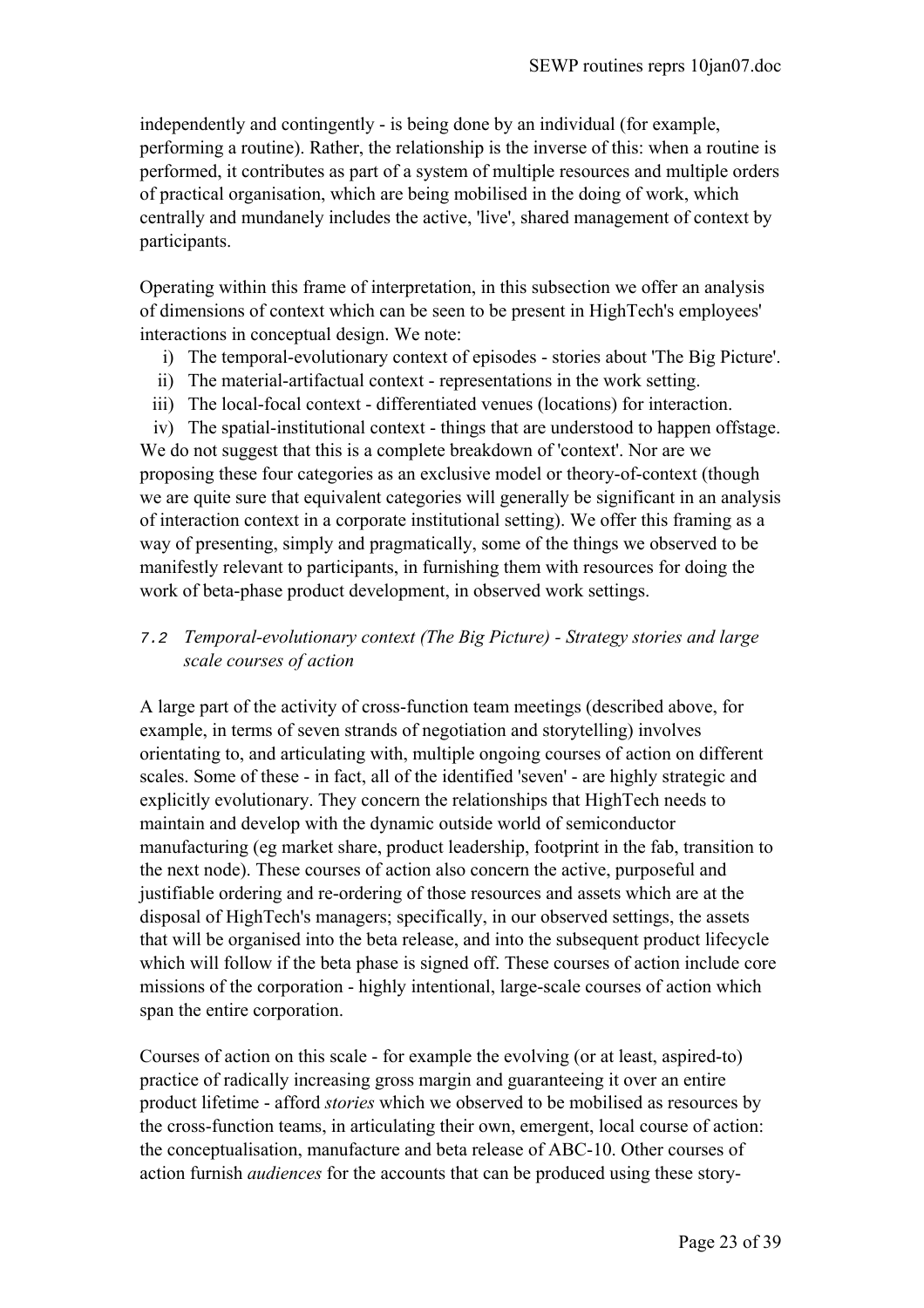independently and contingently - is being done by an individual (for example, performing a routine). Rather, the relationship is the inverse of this: when a routine is performed, it contributes as part of a system of multiple resources and multiple orders of practical organisation, which are being mobilised in the doing of work, which centrally and mundanely includes the active, 'live', shared management of context by participants.

Operating within this frame of interpretation, in this subsection we offer an analysis of dimensions of context which can be seen to be present in HighTech's employees' interactions in conceptual design. We note:

- i) The temporal-evolutionary context of episodes stories about 'The Big Picture'.
- ii) The material-artifactual context representations in the work setting.
- iii) The local-focal context differentiated venues (locations) for interaction.

iv) The spatial-institutional context - things that are understood to happen offstage. We do not suggest that this is a complete breakdown of 'context'. Nor are we proposing these four categories as an exclusive model or theory-of-context (though we are quite sure that equivalent categories will generally be significant in an analysis of interaction context in a corporate institutional setting). We offer this framing as a way of presenting, simply and pragmatically, some of the things we observed to be manifestly relevant to participants, in furnishing them with resources for doing the work of beta-phase product development, in observed work settings.

# 7.2 *Temporal-evolutionary context (The Big Picture) - Strategy stories and large scale courses of action*

A large part of the activity of cross-function team meetings (described above, for example, in terms of seven strands of negotiation and storytelling) involves orientating to, and articulating with, multiple ongoing courses of action on different scales. Some of these - in fact, all of the identified 'seven' - are highly strategic and explicitly evolutionary. They concern the relationships that HighTech needs to maintain and develop with the dynamic outside world of semiconductor manufacturing (eg market share, product leadership, footprint in the fab, transition to the next node). These courses of action also concern the active, purposeful and justifiable ordering and re-ordering of those resources and assets which are at the disposal of HighTech's managers; specifically, in our observed settings, the assets that will be organised into the beta release, and into the subsequent product lifecycle which will follow if the beta phase is signed off. These courses of action include core missions of the corporation - highly intentional, large-scale courses of action which span the entire corporation.

Courses of action on this scale - for example the evolving (or at least, aspired-to) practice of radically increasing gross margin and guaranteeing it over an entire product lifetime - afford *stories* which we observed to be mobilised as resources by the cross-function teams, in articulating their own, emergent, local course of action: the conceptualisation, manufacture and beta release of ABC-10. Other courses of action furnish *audiences* for the accounts that can be produced using these story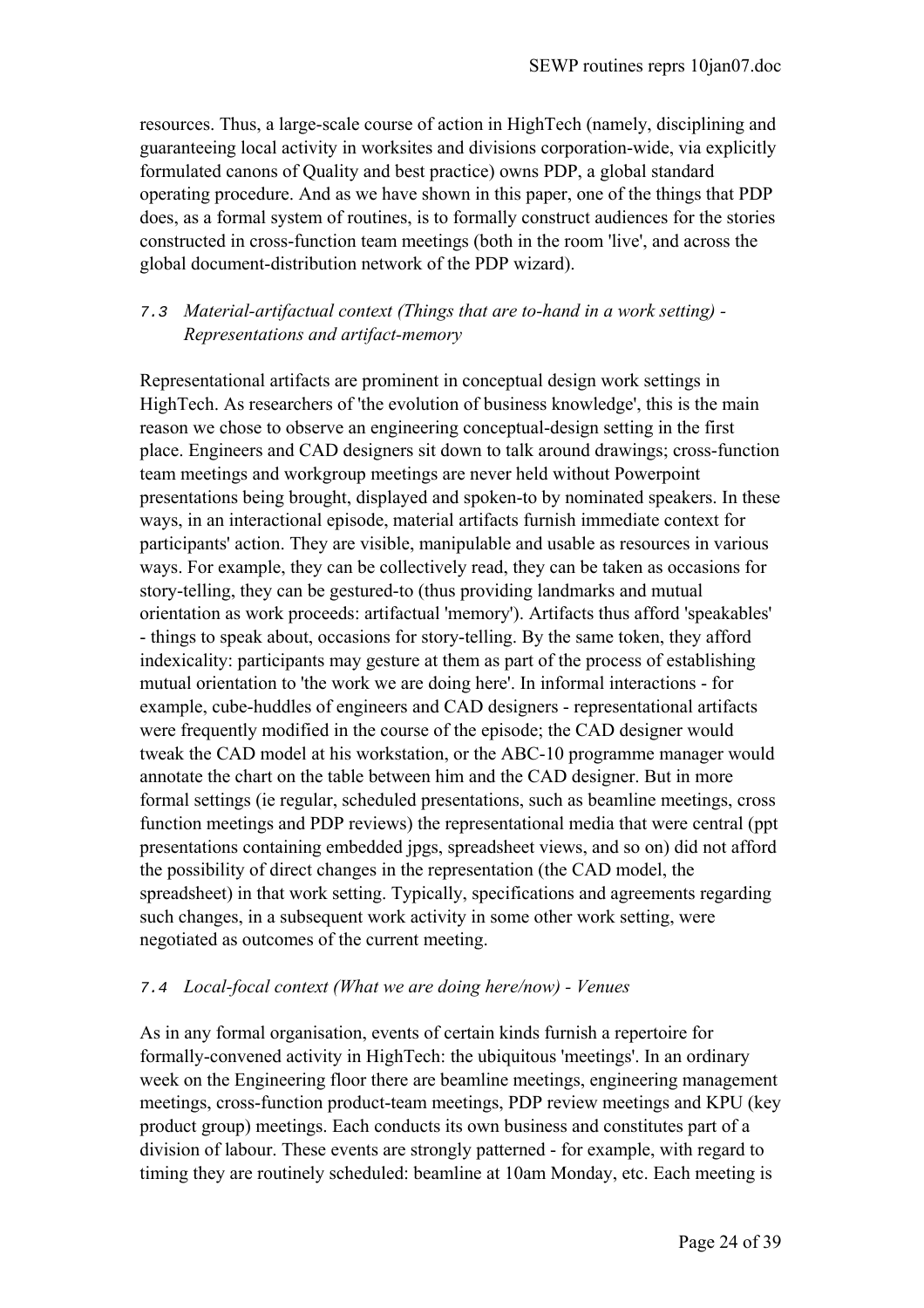resources. Thus, a large-scale course of action in HighTech (namely, disciplining and guaranteeing local activity in worksites and divisions corporation-wide, via explicitly formulated canons of Quality and best practice) owns PDP, a global standard operating procedure. And as we have shown in this paper, one of the things that PDP does, as a formal system of routines, is to formally construct audiences for the stories constructed in cross-function team meetings (both in the room 'live', and across the global document-distribution network of the PDP wizard).

# 7.3 *Material-artifactual context (Things that are to-hand in a work setting) - Representations and artifact-memory*

Representational artifacts are prominent in conceptual design work settings in HighTech. As researchers of 'the evolution of business knowledge', this is the main reason we chose to observe an engineering conceptual-design setting in the first place. Engineers and CAD designers sit down to talk around drawings; cross-function team meetings and workgroup meetings are never held without Powerpoint presentations being brought, displayed and spoken-to by nominated speakers. In these ways, in an interactional episode, material artifacts furnish immediate context for participants' action. They are visible, manipulable and usable as resources in various ways. For example, they can be collectively read, they can be taken as occasions for story-telling, they can be gestured-to (thus providing landmarks and mutual orientation as work proceeds: artifactual 'memory'). Artifacts thus afford 'speakables' - things to speak about, occasions for story-telling. By the same token, they afford indexicality: participants may gesture at them as part of the process of establishing mutual orientation to 'the work we are doing here'. In informal interactions - for example, cube-huddles of engineers and CAD designers - representational artifacts were frequently modified in the course of the episode; the CAD designer would tweak the CAD model at his workstation, or the ABC-10 programme manager would annotate the chart on the table between him and the CAD designer. But in more formal settings (ie regular, scheduled presentations, such as beamline meetings, cross function meetings and PDP reviews) the representational media that were central (ppt presentations containing embedded jpgs, spreadsheet views, and so on) did not afford the possibility of direct changes in the representation (the CAD model, the spreadsheet) in that work setting. Typically, specifications and agreements regarding such changes, in a subsequent work activity in some other work setting, were negotiated as outcomes of the current meeting.

## 7.4 *Local-focal context (What we are doing here/now) - Venues*

As in any formal organisation, events of certain kinds furnish a repertoire for formally-convened activity in HighTech: the ubiquitous 'meetings'. In an ordinary week on the Engineering floor there are beamline meetings, engineering management meetings, cross-function product-team meetings, PDP review meetings and KPU (key product group) meetings. Each conducts its own business and constitutes part of a division of labour. These events are strongly patterned - for example, with regard to timing they are routinely scheduled: beamline at 10am Monday, etc. Each meeting is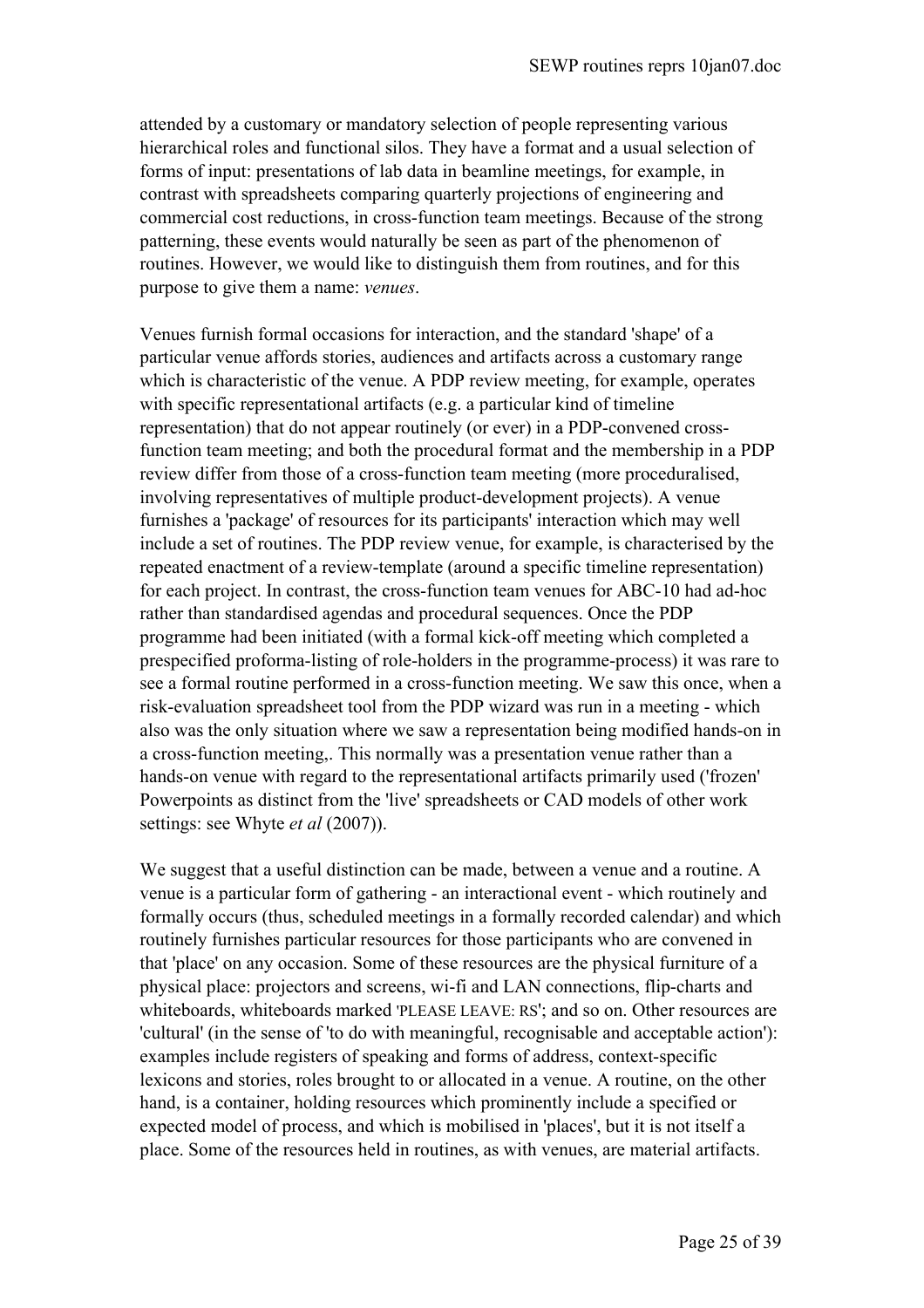attended by a customary or mandatory selection of people representing various hierarchical roles and functional silos. They have a format and a usual selection of forms of input: presentations of lab data in beamline meetings, for example, in contrast with spreadsheets comparing quarterly projections of engineering and commercial cost reductions, in cross-function team meetings. Because of the strong patterning, these events would naturally be seen as part of the phenomenon of routines. However, we would like to distinguish them from routines, and for this purpose to give them a name: *venues*.

Venues furnish formal occasions for interaction, and the standard 'shape' of a particular venue affords stories, audiences and artifacts across a customary range which is characteristic of the venue. A PDP review meeting, for example, operates with specific representational artifacts (e.g. a particular kind of timeline representation) that do not appear routinely (or ever) in a PDP-convened crossfunction team meeting; and both the procedural format and the membership in a PDP review differ from those of a cross-function team meeting (more proceduralised, involving representatives of multiple product-development projects). A venue furnishes a 'package' of resources for its participants' interaction which may well include a set of routines. The PDP review venue, for example, is characterised by the repeated enactment of a review-template (around a specific timeline representation) for each project. In contrast, the cross-function team venues for ABC-10 had ad-hoc rather than standardised agendas and procedural sequences. Once the PDP programme had been initiated (with a formal kick-off meeting which completed a prespecified proforma-listing of role-holders in the programme-process) it was rare to see a formal routine performed in a cross-function meeting. We saw this once, when a risk-evaluation spreadsheet tool from the PDP wizard was run in a meeting - which also was the only situation where we saw a representation being modified hands-on in a cross-function meeting,. This normally was a presentation venue rather than a hands-on venue with regard to the representational artifacts primarily used ('frozen' Powerpoints as distinct from the 'live' spreadsheets or CAD models of other work settings: see Whyte *et al* (2007)).

We suggest that a useful distinction can be made, between a venue and a routine. A venue is a particular form of gathering - an interactional event - which routinely and formally occurs (thus, scheduled meetings in a formally recorded calendar) and which routinely furnishes particular resources for those participants who are convened in that 'place' on any occasion. Some of these resources are the physical furniture of a physical place: projectors and screens, wi-fi and LAN connections, flip-charts and whiteboards, whiteboards marked 'PLEASE LEAVE: RS'; and so on. Other resources are 'cultural' (in the sense of 'to do with meaningful, recognisable and acceptable action'): examples include registers of speaking and forms of address, context-specific lexicons and stories, roles brought to or allocated in a venue. A routine, on the other hand, is a container, holding resources which prominently include a specified or expected model of process, and which is mobilised in 'places', but it is not itself a place. Some of the resources held in routines, as with venues, are material artifacts.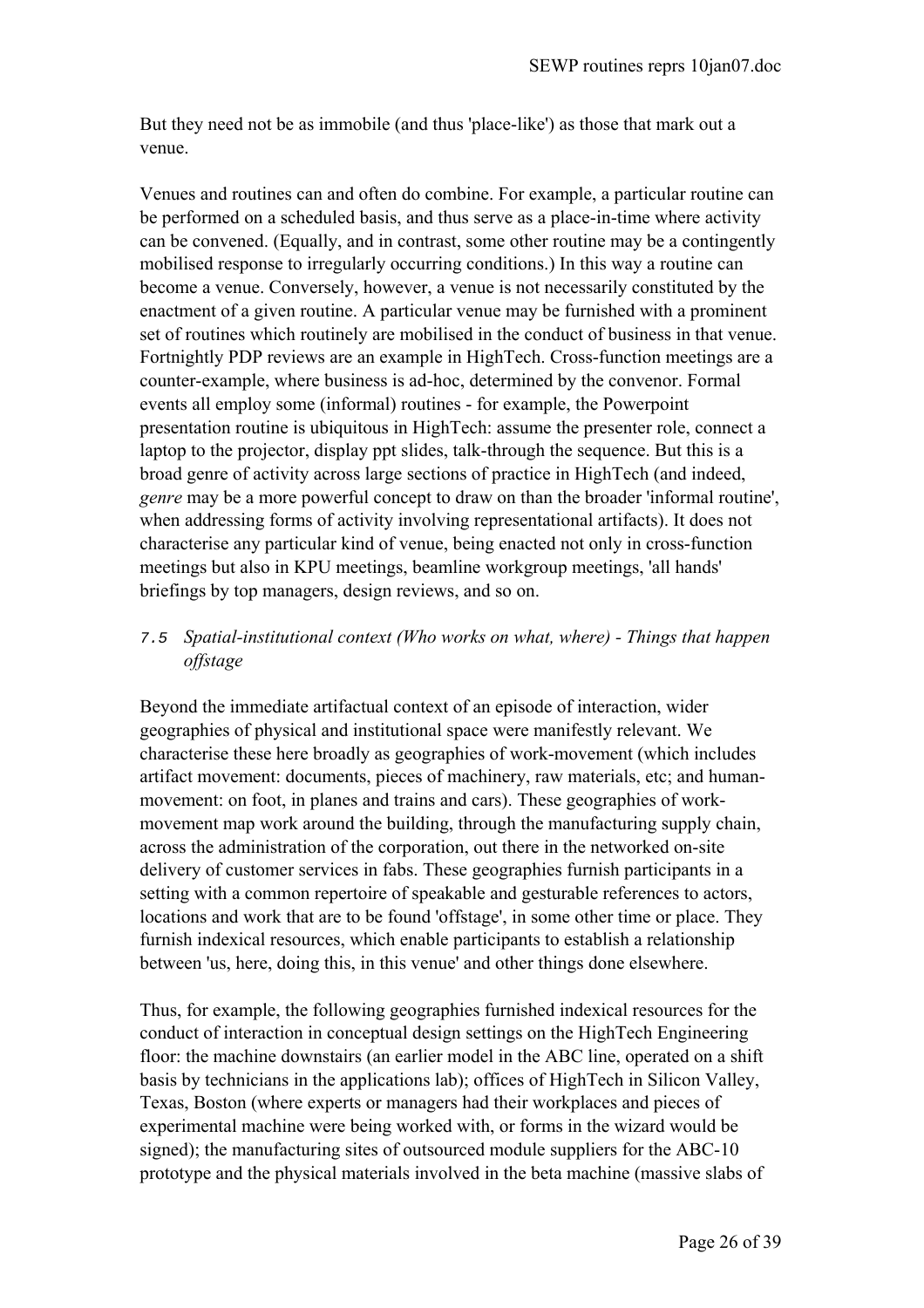But they need not be as immobile (and thus 'place-like') as those that mark out a venue.

Venues and routines can and often do combine. For example, a particular routine can be performed on a scheduled basis, and thus serve as a place-in-time where activity can be convened. (Equally, and in contrast, some other routine may be a contingently mobilised response to irregularly occurring conditions.) In this way a routine can become a venue. Conversely, however, a venue is not necessarily constituted by the enactment of a given routine. A particular venue may be furnished with a prominent set of routines which routinely are mobilised in the conduct of business in that venue. Fortnightly PDP reviews are an example in HighTech. Cross-function meetings are a counter-example, where business is ad-hoc, determined by the convenor. Formal events all employ some (informal) routines - for example, the Powerpoint presentation routine is ubiquitous in HighTech: assume the presenter role, connect a laptop to the projector, display ppt slides, talk-through the sequence. But this is a broad genre of activity across large sections of practice in HighTech (and indeed, *genre* may be a more powerful concept to draw on than the broader 'informal routine', when addressing forms of activity involving representational artifacts). It does not characterise any particular kind of venue, being enacted not only in cross-function meetings but also in KPU meetings, beamline workgroup meetings, 'all hands' briefings by top managers, design reviews, and so on.

# 7.5 *Spatial-institutional context (Who works on what, where) - Things that happen offstage*

Beyond the immediate artifactual context of an episode of interaction, wider geographies of physical and institutional space were manifestly relevant. We characterise these here broadly as geographies of work-movement (which includes artifact movement: documents, pieces of machinery, raw materials, etc; and humanmovement: on foot, in planes and trains and cars). These geographies of workmovement map work around the building, through the manufacturing supply chain, across the administration of the corporation, out there in the networked on-site delivery of customer services in fabs. These geographies furnish participants in a setting with a common repertoire of speakable and gesturable references to actors, locations and work that are to be found 'offstage', in some other time or place. They furnish indexical resources, which enable participants to establish a relationship between 'us, here, doing this, in this venue' and other things done elsewhere.

Thus, for example, the following geographies furnished indexical resources for the conduct of interaction in conceptual design settings on the HighTech Engineering floor: the machine downstairs (an earlier model in the ABC line, operated on a shift basis by technicians in the applications lab); offices of HighTech in Silicon Valley, Texas, Boston (where experts or managers had their workplaces and pieces of experimental machine were being worked with, or forms in the wizard would be signed); the manufacturing sites of outsourced module suppliers for the ABC-10 prototype and the physical materials involved in the beta machine (massive slabs of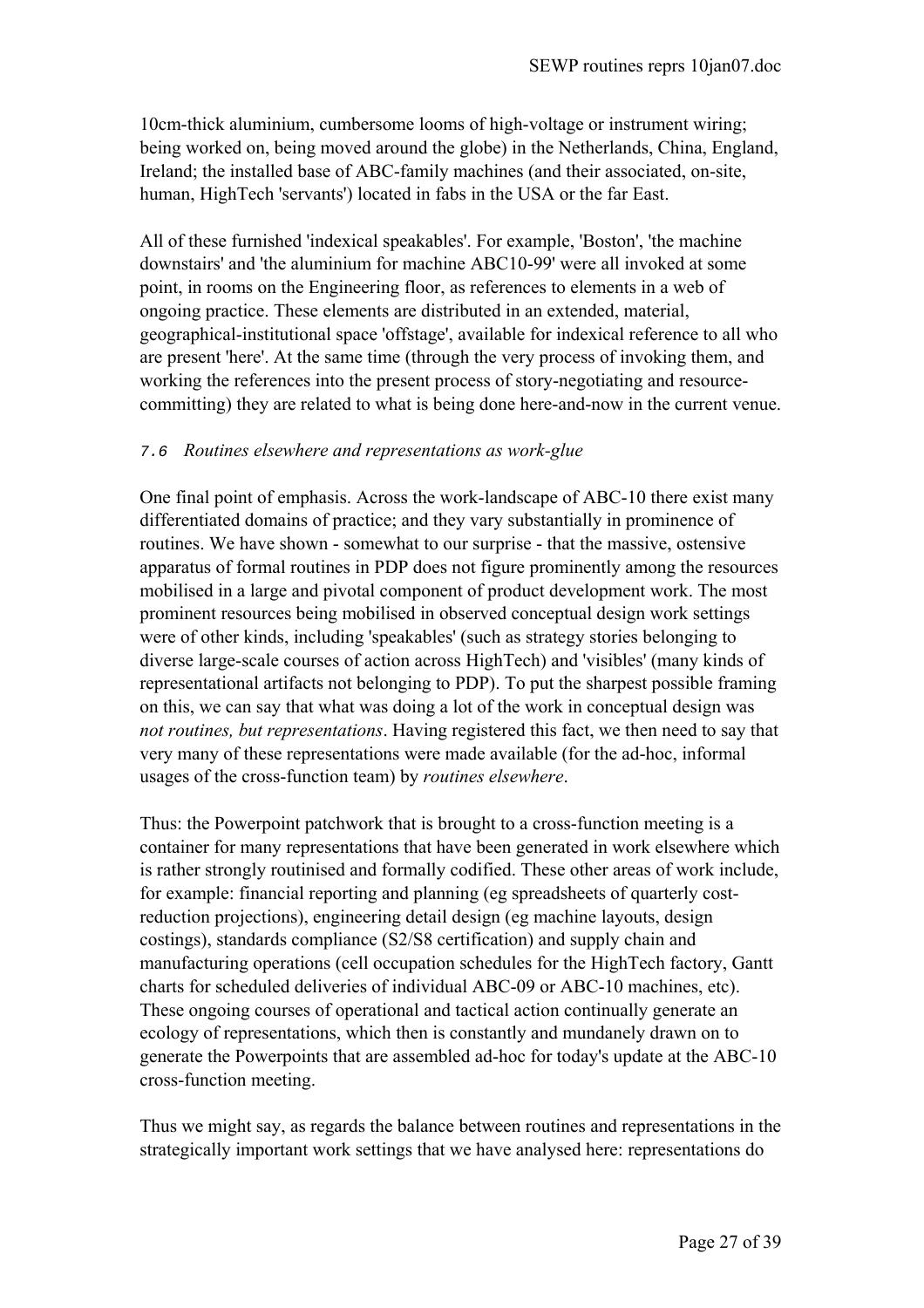10cm-thick aluminium, cumbersome looms of high-voltage or instrument wiring; being worked on, being moved around the globe) in the Netherlands, China, England, Ireland; the installed base of ABC-family machines (and their associated, on-site, human, HighTech 'servants') located in fabs in the USA or the far East.

All of these furnished 'indexical speakables'. For example, 'Boston', 'the machine downstairs' and 'the aluminium for machine ABC10-99' were all invoked at some point, in rooms on the Engineering floor, as references to elements in a web of ongoing practice. These elements are distributed in an extended, material, geographical-institutional space 'offstage', available for indexical reference to all who are present 'here'. At the same time (through the very process of invoking them, and working the references into the present process of story-negotiating and resourcecommitting) they are related to what is being done here-and-now in the current venue.

# 7.6 *Routines elsewhere and representations as work-glue*

One final point of emphasis. Across the work-landscape of ABC-10 there exist many differentiated domains of practice; and they vary substantially in prominence of routines. We have shown - somewhat to our surprise - that the massive, ostensive apparatus of formal routines in PDP does not figure prominently among the resources mobilised in a large and pivotal component of product development work. The most prominent resources being mobilised in observed conceptual design work settings were of other kinds, including 'speakables' (such as strategy stories belonging to diverse large-scale courses of action across HighTech) and 'visibles' (many kinds of representational artifacts not belonging to PDP). To put the sharpest possible framing on this, we can say that what was doing a lot of the work in conceptual design was *not routines, but representations*. Having registered this fact, we then need to say that very many of these representations were made available (for the ad-hoc, informal usages of the cross-function team) by *routines elsewhere*.

Thus: the Powerpoint patchwork that is brought to a cross-function meeting is a container for many representations that have been generated in work elsewhere which is rather strongly routinised and formally codified. These other areas of work include, for example: financial reporting and planning (eg spreadsheets of quarterly costreduction projections), engineering detail design (eg machine layouts, design costings), standards compliance (S2/S8 certification) and supply chain and manufacturing operations (cell occupation schedules for the HighTech factory, Gantt charts for scheduled deliveries of individual ABC-09 or ABC-10 machines, etc). These ongoing courses of operational and tactical action continually generate an ecology of representations, which then is constantly and mundanely drawn on to generate the Powerpoints that are assembled ad-hoc for today's update at the ABC-10 cross-function meeting.

Thus we might say, as regards the balance between routines and representations in the strategically important work settings that we have analysed here: representations do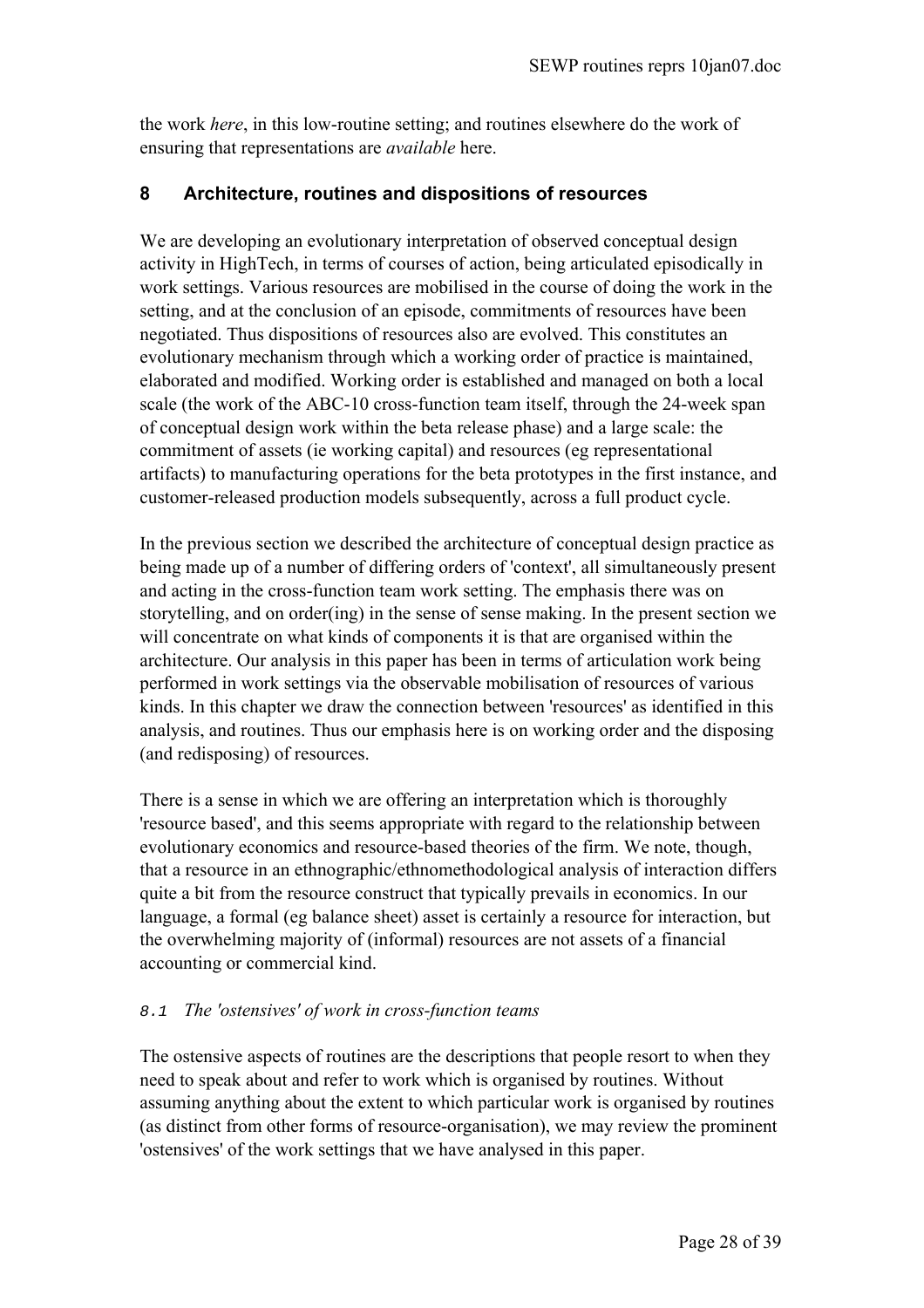the work *here*, in this low-routine setting; and routines elsewhere do the work of ensuring that representations are *available* here.

# **8 Architecture, routines and dispositions of resources**

We are developing an evolutionary interpretation of observed conceptual design activity in HighTech, in terms of courses of action, being articulated episodically in work settings. Various resources are mobilised in the course of doing the work in the setting, and at the conclusion of an episode, commitments of resources have been negotiated. Thus dispositions of resources also are evolved. This constitutes an evolutionary mechanism through which a working order of practice is maintained, elaborated and modified. Working order is established and managed on both a local scale (the work of the ABC-10 cross-function team itself, through the 24-week span of conceptual design work within the beta release phase) and a large scale: the commitment of assets (ie working capital) and resources (eg representational artifacts) to manufacturing operations for the beta prototypes in the first instance, and customer-released production models subsequently, across a full product cycle.

In the previous section we described the architecture of conceptual design practice as being made up of a number of differing orders of 'context', all simultaneously present and acting in the cross-function team work setting. The emphasis there was on storytelling, and on order(ing) in the sense of sense making. In the present section we will concentrate on what kinds of components it is that are organised within the architecture. Our analysis in this paper has been in terms of articulation work being performed in work settings via the observable mobilisation of resources of various kinds. In this chapter we draw the connection between 'resources' as identified in this analysis, and routines. Thus our emphasis here is on working order and the disposing (and redisposing) of resources.

There is a sense in which we are offering an interpretation which is thoroughly 'resource based', and this seems appropriate with regard to the relationship between evolutionary economics and resource-based theories of the firm. We note, though, that a resource in an ethnographic/ethnomethodological analysis of interaction differs quite a bit from the resource construct that typically prevails in economics. In our language, a formal (eg balance sheet) asset is certainly a resource for interaction, but the overwhelming majority of (informal) resources are not assets of a financial accounting or commercial kind.

## 8.1 *The 'ostensives' of work in cross-function teams*

The ostensive aspects of routines are the descriptions that people resort to when they need to speak about and refer to work which is organised by routines. Without assuming anything about the extent to which particular work is organised by routines (as distinct from other forms of resource-organisation), we may review the prominent 'ostensives' of the work settings that we have analysed in this paper.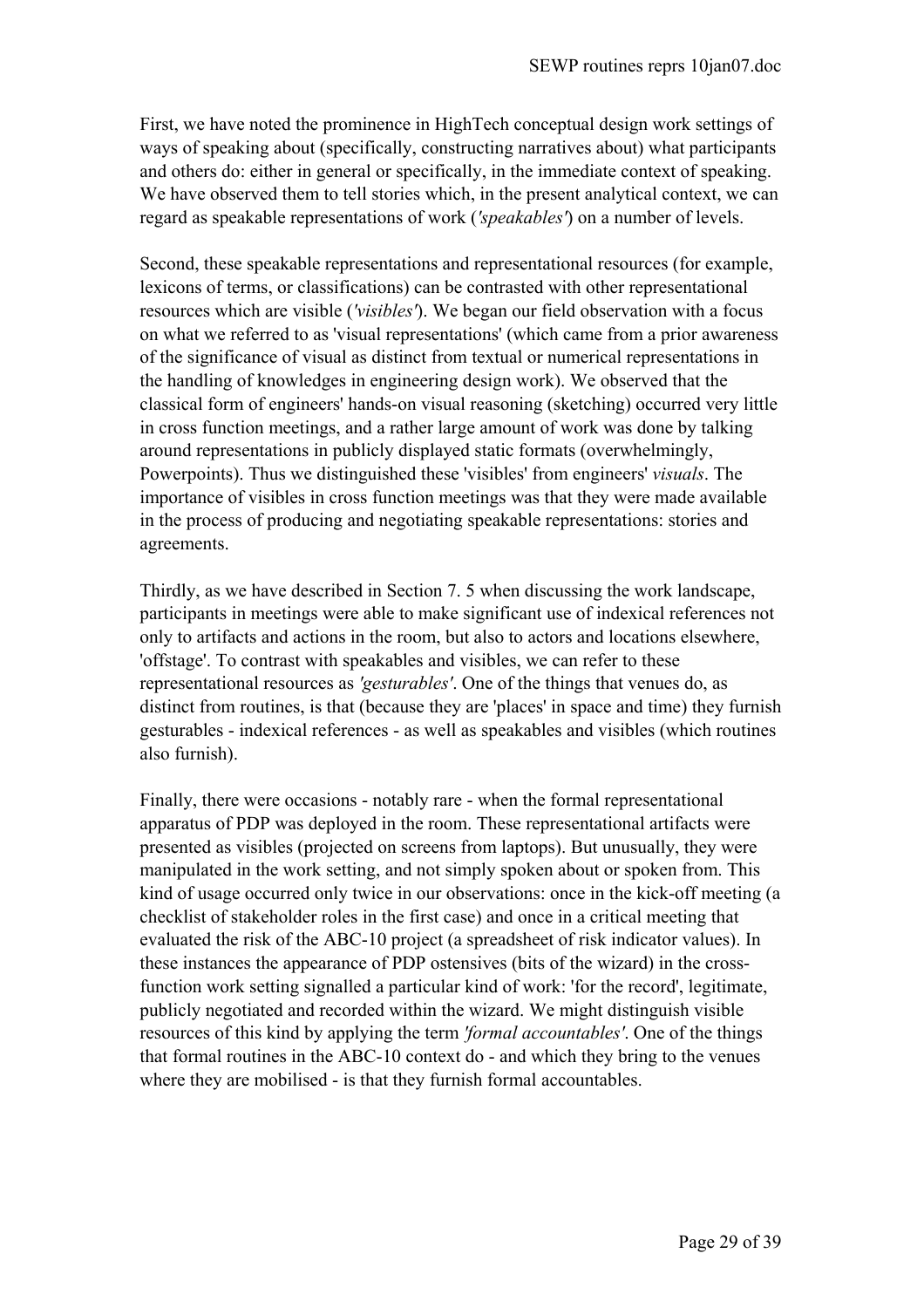First, we have noted the prominence in HighTech conceptual design work settings of ways of speaking about (specifically, constructing narratives about) what participants and others do: either in general or specifically, in the immediate context of speaking. We have observed them to tell stories which, in the present analytical context, we can regard as speakable representations of work (*'speakables'*) on a number of levels.

Second, these speakable representations and representational resources (for example, lexicons of terms, or classifications) can be contrasted with other representational resources which are visible (*'visibles'*). We began our field observation with a focus on what we referred to as 'visual representations' (which came from a prior awareness of the significance of visual as distinct from textual or numerical representations in the handling of knowledges in engineering design work). We observed that the classical form of engineers' hands-on visual reasoning (sketching) occurred very little in cross function meetings, and a rather large amount of work was done by talking around representations in publicly displayed static formats (overwhelmingly, Powerpoints). Thus we distinguished these 'visibles' from engineers' *visuals*. The importance of visibles in cross function meetings was that they were made available in the process of producing and negotiating speakable representations: stories and agreements.

Thirdly, as we have described in Section 7. 5 when discussing the work landscape, participants in meetings were able to make significant use of indexical references not only to artifacts and actions in the room, but also to actors and locations elsewhere, 'offstage'. To contrast with speakables and visibles, we can refer to these representational resources as *'gesturables'*. One of the things that venues do, as distinct from routines, is that (because they are 'places' in space and time) they furnish gesturables - indexical references - as well as speakables and visibles (which routines also furnish).

Finally, there were occasions - notably rare - when the formal representational apparatus of PDP was deployed in the room. These representational artifacts were presented as visibles (projected on screens from laptops). But unusually, they were manipulated in the work setting, and not simply spoken about or spoken from. This kind of usage occurred only twice in our observations: once in the kick-off meeting (a checklist of stakeholder roles in the first case) and once in a critical meeting that evaluated the risk of the ABC-10 project (a spreadsheet of risk indicator values). In these instances the appearance of PDP ostensives (bits of the wizard) in the crossfunction work setting signalled a particular kind of work: 'for the record', legitimate, publicly negotiated and recorded within the wizard. We might distinguish visible resources of this kind by applying the term *'formal accountables'*. One of the things that formal routines in the ABC-10 context do - and which they bring to the venues where they are mobilised - is that they furnish formal accountables.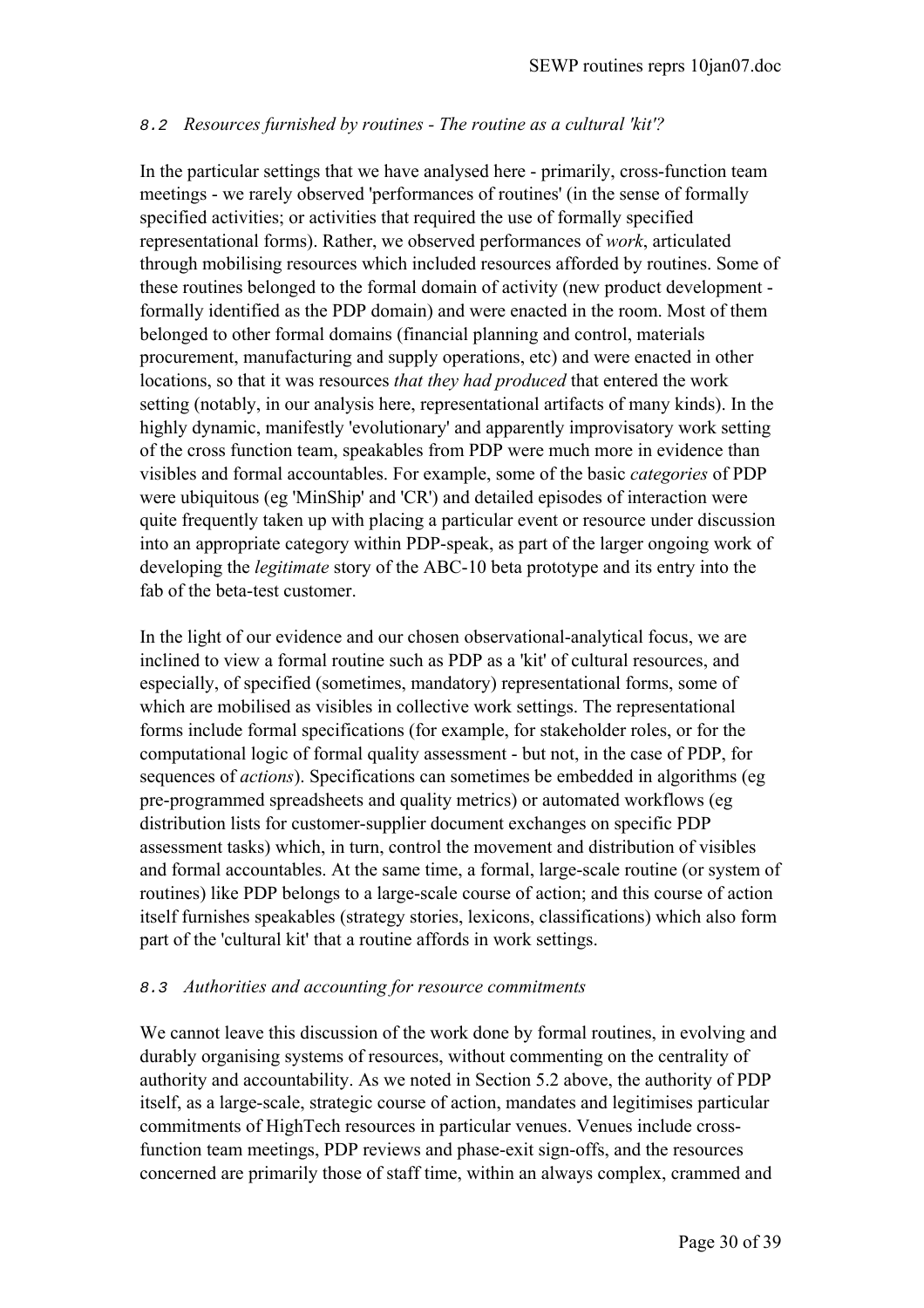# 8.2 *Resources furnished by routines - The routine as a cultural 'kit'?*

In the particular settings that we have analysed here - primarily, cross-function team meetings - we rarely observed 'performances of routines' (in the sense of formally specified activities; or activities that required the use of formally specified representational forms). Rather, we observed performances of *work*, articulated through mobilising resources which included resources afforded by routines. Some of these routines belonged to the formal domain of activity (new product development formally identified as the PDP domain) and were enacted in the room. Most of them belonged to other formal domains (financial planning and control, materials procurement, manufacturing and supply operations, etc) and were enacted in other locations, so that it was resources *that they had produced* that entered the work setting (notably, in our analysis here, representational artifacts of many kinds). In the highly dynamic, manifestly 'evolutionary' and apparently improvisatory work setting of the cross function team, speakables from PDP were much more in evidence than visibles and formal accountables. For example, some of the basic *categories* of PDP were ubiquitous (eg 'MinShip' and 'CR') and detailed episodes of interaction were quite frequently taken up with placing a particular event or resource under discussion into an appropriate category within PDP-speak, as part of the larger ongoing work of developing the *legitimate* story of the ABC-10 beta prototype and its entry into the fab of the beta-test customer.

In the light of our evidence and our chosen observational-analytical focus, we are inclined to view a formal routine such as PDP as a 'kit' of cultural resources, and especially, of specified (sometimes, mandatory) representational forms, some of which are mobilised as visibles in collective work settings. The representational forms include formal specifications (for example, for stakeholder roles, or for the computational logic of formal quality assessment - but not, in the case of PDP, for sequences of *actions*). Specifications can sometimes be embedded in algorithms (eg pre-programmed spreadsheets and quality metrics) or automated workflows (eg distribution lists for customer-supplier document exchanges on specific PDP assessment tasks) which, in turn, control the movement and distribution of visibles and formal accountables. At the same time, a formal, large-scale routine (or system of routines) like PDP belongs to a large-scale course of action; and this course of action itself furnishes speakables (strategy stories, lexicons, classifications) which also form part of the 'cultural kit' that a routine affords in work settings.

## 8.3 *Authorities and accounting for resource commitments*

We cannot leave this discussion of the work done by formal routines, in evolving and durably organising systems of resources, without commenting on the centrality of authority and accountability. As we noted in Section 5.2 above, the authority of PDP itself, as a large-scale, strategic course of action, mandates and legitimises particular commitments of HighTech resources in particular venues. Venues include crossfunction team meetings, PDP reviews and phase-exit sign-offs, and the resources concerned are primarily those of staff time, within an always complex, crammed and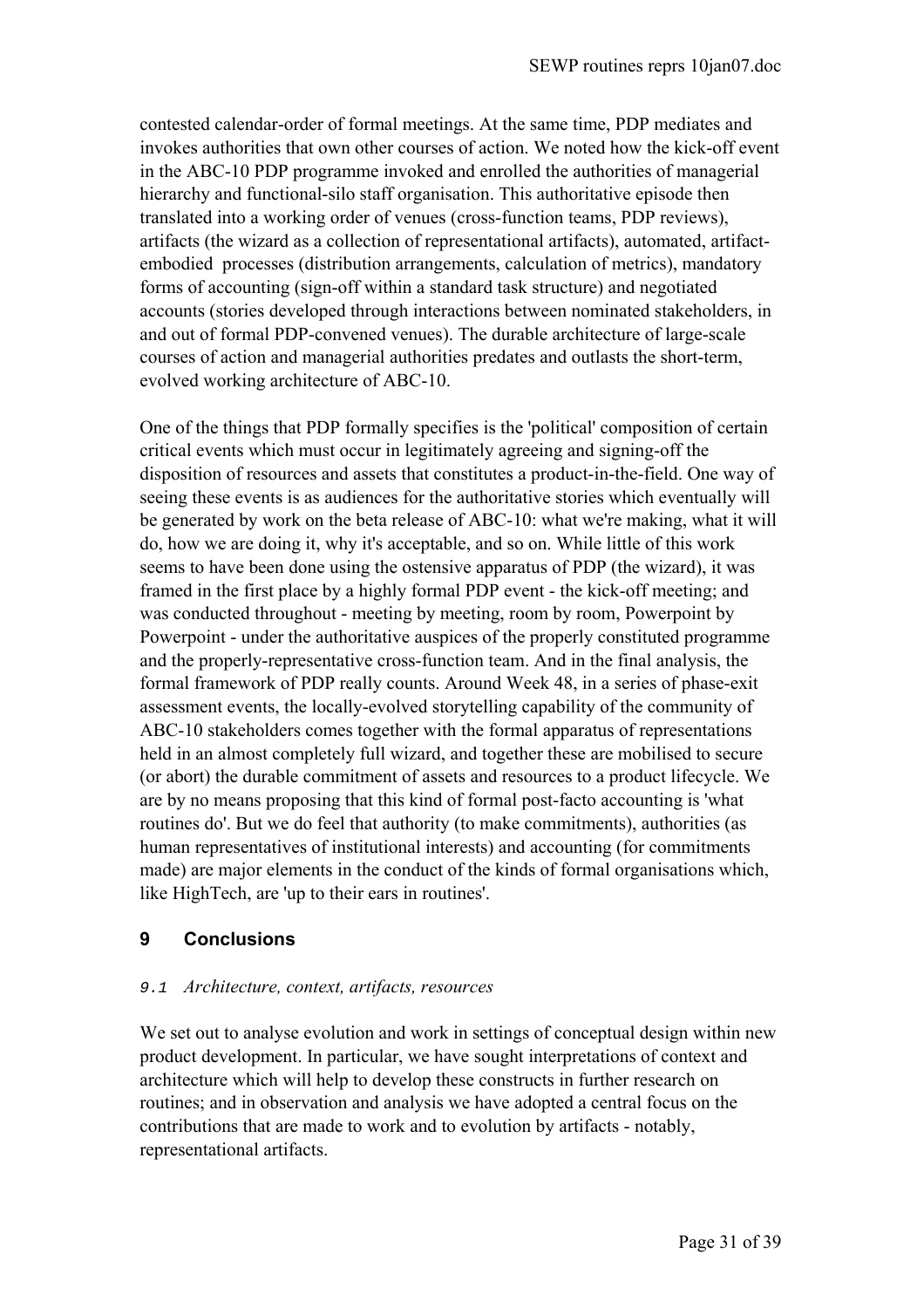contested calendar-order of formal meetings. At the same time, PDP mediates and invokes authorities that own other courses of action. We noted how the kick-off event in the ABC-10 PDP programme invoked and enrolled the authorities of managerial hierarchy and functional-silo staff organisation. This authoritative episode then translated into a working order of venues (cross-function teams, PDP reviews), artifacts (the wizard as a collection of representational artifacts), automated, artifactembodied processes (distribution arrangements, calculation of metrics), mandatory forms of accounting (sign-off within a standard task structure) and negotiated accounts (stories developed through interactions between nominated stakeholders, in and out of formal PDP-convened venues). The durable architecture of large-scale courses of action and managerial authorities predates and outlasts the short-term, evolved working architecture of ABC-10.

One of the things that PDP formally specifies is the 'political' composition of certain critical events which must occur in legitimately agreeing and signing-off the disposition of resources and assets that constitutes a product-in-the-field. One way of seeing these events is as audiences for the authoritative stories which eventually will be generated by work on the beta release of ABC-10: what we're making, what it will do, how we are doing it, why it's acceptable, and so on. While little of this work seems to have been done using the ostensive apparatus of PDP (the wizard), it was framed in the first place by a highly formal PDP event - the kick-off meeting; and was conducted throughout - meeting by meeting, room by room, Powerpoint by Powerpoint - under the authoritative auspices of the properly constituted programme and the properly-representative cross-function team. And in the final analysis, the formal framework of PDP really counts. Around Week 48, in a series of phase-exit assessment events, the locally-evolved storytelling capability of the community of ABC-10 stakeholders comes together with the formal apparatus of representations held in an almost completely full wizard, and together these are mobilised to secure (or abort) the durable commitment of assets and resources to a product lifecycle. We are by no means proposing that this kind of formal post-facto accounting is 'what routines do'. But we do feel that authority (to make commitments), authorities (as human representatives of institutional interests) and accounting (for commitments made) are major elements in the conduct of the kinds of formal organisations which, like HighTech, are 'up to their ears in routines'.

# **9 Conclusions**

## 9.1 *Architecture, context, artifacts, resources*

We set out to analyse evolution and work in settings of conceptual design within new product development. In particular, we have sought interpretations of context and architecture which will help to develop these constructs in further research on routines; and in observation and analysis we have adopted a central focus on the contributions that are made to work and to evolution by artifacts - notably, representational artifacts.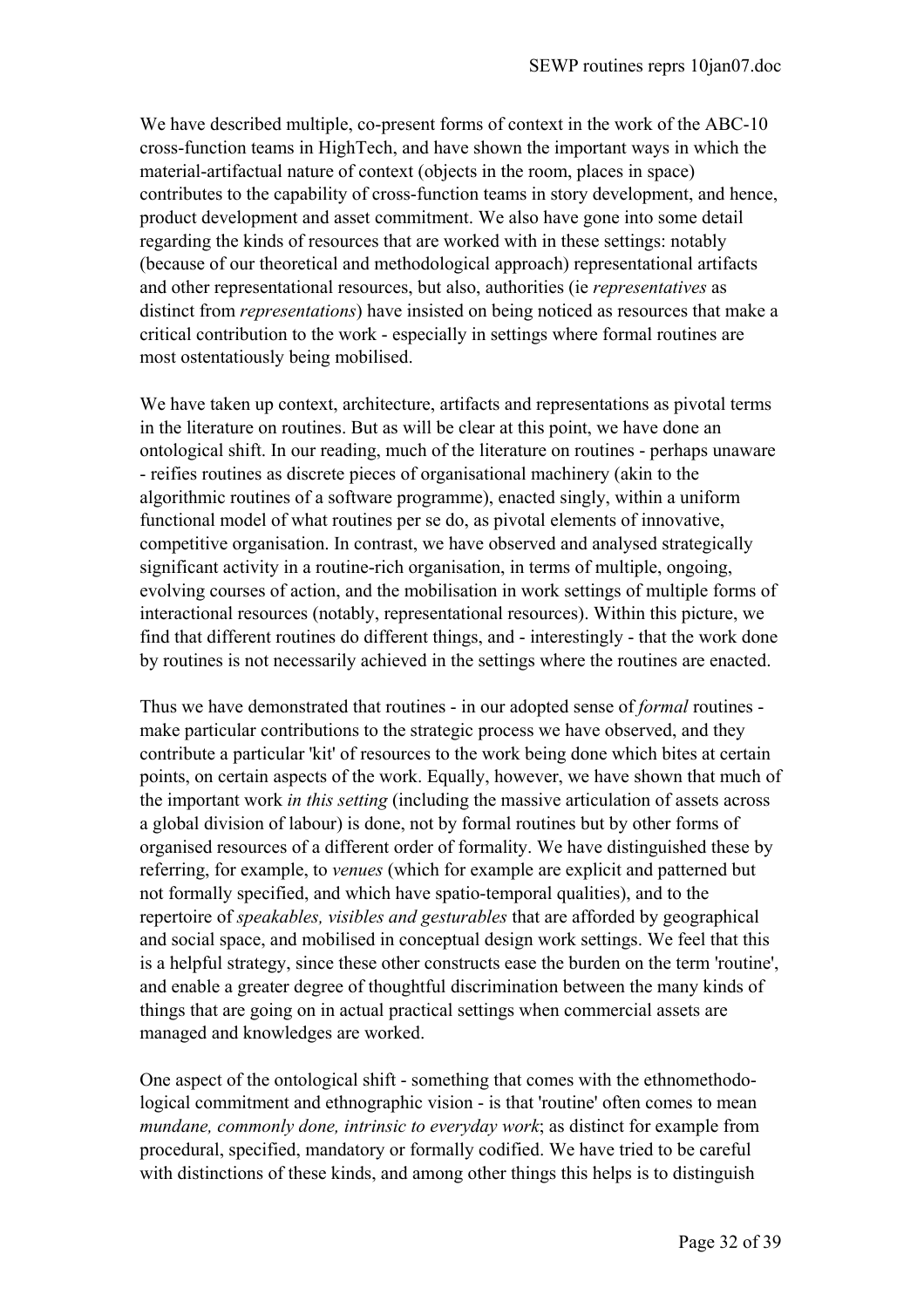We have described multiple, co-present forms of context in the work of the ABC-10 cross-function teams in HighTech, and have shown the important ways in which the material-artifactual nature of context (objects in the room, places in space) contributes to the capability of cross-function teams in story development, and hence, product development and asset commitment. We also have gone into some detail regarding the kinds of resources that are worked with in these settings: notably (because of our theoretical and methodological approach) representational artifacts and other representational resources, but also, authorities (ie *representatives* as distinct from *representations*) have insisted on being noticed as resources that make a critical contribution to the work - especially in settings where formal routines are most ostentatiously being mobilised.

We have taken up context, architecture, artifacts and representations as pivotal terms in the literature on routines. But as will be clear at this point, we have done an ontological shift. In our reading, much of the literature on routines - perhaps unaware - reifies routines as discrete pieces of organisational machinery (akin to the algorithmic routines of a software programme), enacted singly, within a uniform functional model of what routines per se do, as pivotal elements of innovative, competitive organisation. In contrast, we have observed and analysed strategically significant activity in a routine-rich organisation, in terms of multiple, ongoing, evolving courses of action, and the mobilisation in work settings of multiple forms of interactional resources (notably, representational resources). Within this picture, we find that different routines do different things, and - interestingly - that the work done by routines is not necessarily achieved in the settings where the routines are enacted.

Thus we have demonstrated that routines - in our adopted sense of *formal* routines make particular contributions to the strategic process we have observed, and they contribute a particular 'kit' of resources to the work being done which bites at certain points, on certain aspects of the work. Equally, however, we have shown that much of the important work *in this setting* (including the massive articulation of assets across a global division of labour) is done, not by formal routines but by other forms of organised resources of a different order of formality. We have distinguished these by referring, for example, to *venues* (which for example are explicit and patterned but not formally specified, and which have spatio-temporal qualities), and to the repertoire of *speakables, visibles and gesturables* that are afforded by geographical and social space, and mobilised in conceptual design work settings. We feel that this is a helpful strategy, since these other constructs ease the burden on the term 'routine', and enable a greater degree of thoughtful discrimination between the many kinds of things that are going on in actual practical settings when commercial assets are managed and knowledges are worked.

One aspect of the ontological shift - something that comes with the ethnomethodological commitment and ethnographic vision - is that 'routine' often comes to mean *mundane, commonly done, intrinsic to everyday work*; as distinct for example from procedural, specified, mandatory or formally codified. We have tried to be careful with distinctions of these kinds, and among other things this helps is to distinguish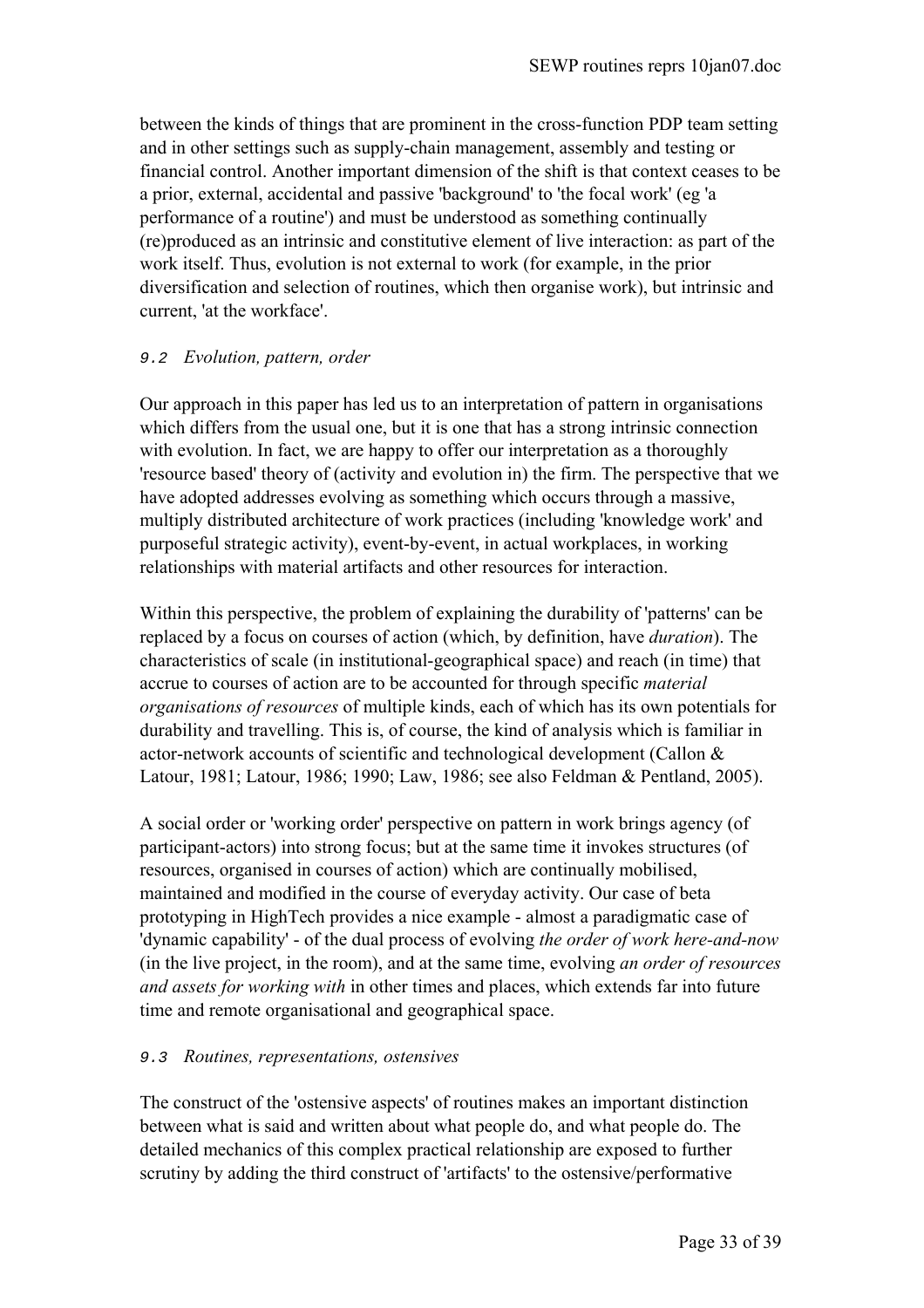between the kinds of things that are prominent in the cross-function PDP team setting and in other settings such as supply-chain management, assembly and testing or financial control. Another important dimension of the shift is that context ceases to be a prior, external, accidental and passive 'background' to 'the focal work' (eg 'a performance of a routine') and must be understood as something continually (re)produced as an intrinsic and constitutive element of live interaction: as part of the work itself. Thus, evolution is not external to work (for example, in the prior diversification and selection of routines, which then organise work), but intrinsic and current, 'at the workface'.

## 9.2 *Evolution, pattern, order*

Our approach in this paper has led us to an interpretation of pattern in organisations which differs from the usual one, but it is one that has a strong intrinsic connection with evolution. In fact, we are happy to offer our interpretation as a thoroughly 'resource based' theory of (activity and evolution in) the firm. The perspective that we have adopted addresses evolving as something which occurs through a massive, multiply distributed architecture of work practices (including 'knowledge work' and purposeful strategic activity), event-by-event, in actual workplaces, in working relationships with material artifacts and other resources for interaction.

Within this perspective, the problem of explaining the durability of 'patterns' can be replaced by a focus on courses of action (which, by definition, have *duration*). The characteristics of scale (in institutional-geographical space) and reach (in time) that accrue to courses of action are to be accounted for through specific *material organisations of resources* of multiple kinds, each of which has its own potentials for durability and travelling. This is, of course, the kind of analysis which is familiar in actor-network accounts of scientific and technological development (Callon & Latour, 1981; Latour, 1986; 1990; Law, 1986; see also Feldman & Pentland, 2005).

A social order or 'working order' perspective on pattern in work brings agency (of participant-actors) into strong focus; but at the same time it invokes structures (of resources, organised in courses of action) which are continually mobilised, maintained and modified in the course of everyday activity. Our case of beta prototyping in HighTech provides a nice example - almost a paradigmatic case of 'dynamic capability' - of the dual process of evolving *the order of work here-and-now* (in the live project, in the room), and at the same time, evolving *an order of resources and assets for working with* in other times and places, which extends far into future time and remote organisational and geographical space.

## 9.3 *Routines, representations, ostensives*

The construct of the 'ostensive aspects' of routines makes an important distinction between what is said and written about what people do, and what people do. The detailed mechanics of this complex practical relationship are exposed to further scrutiny by adding the third construct of 'artifacts' to the ostensive/performative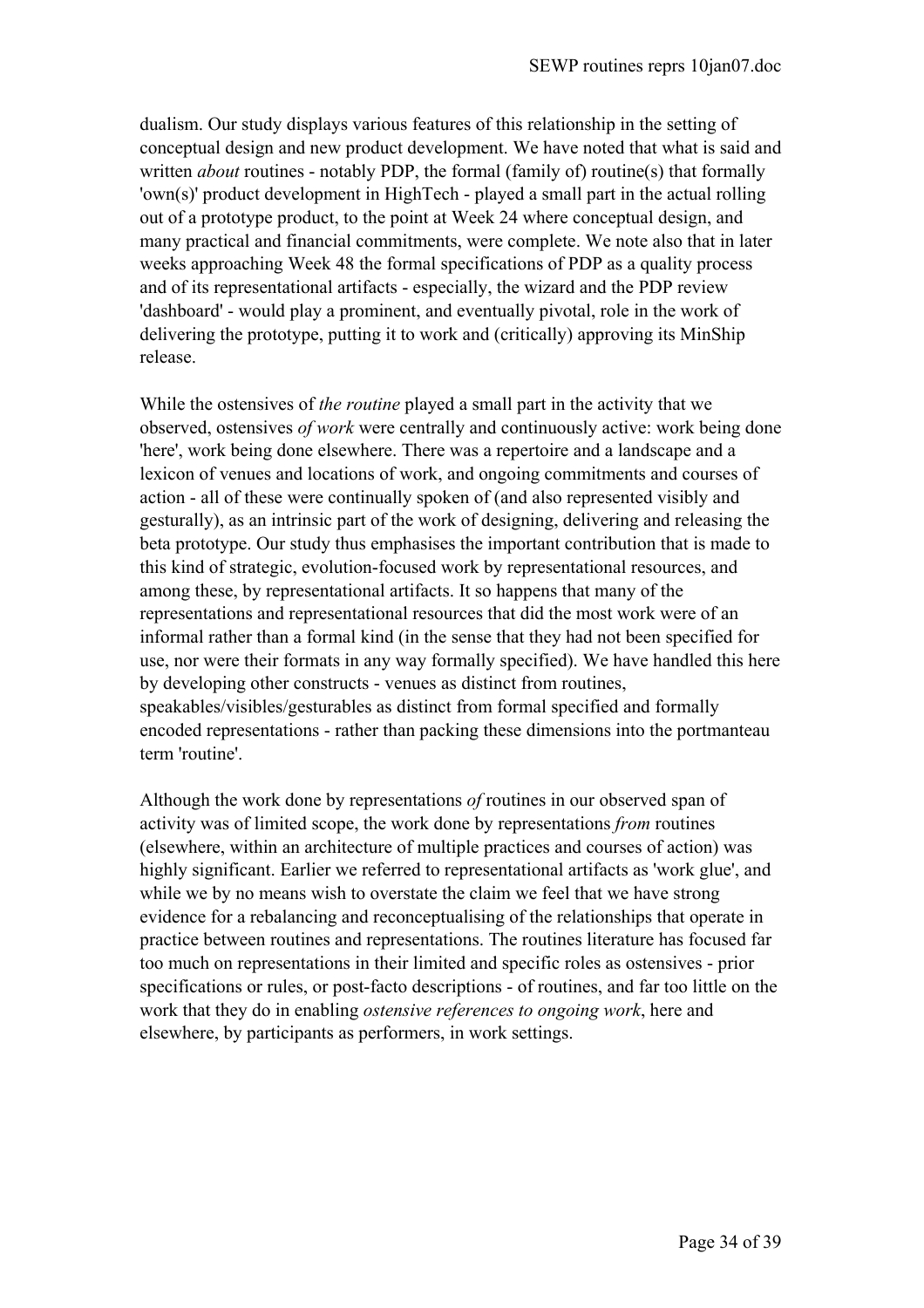dualism. Our study displays various features of this relationship in the setting of conceptual design and new product development. We have noted that what is said and written *about* routines - notably PDP, the formal (family of) routine(s) that formally 'own(s)' product development in HighTech - played a small part in the actual rolling out of a prototype product, to the point at Week 24 where conceptual design, and many practical and financial commitments, were complete. We note also that in later weeks approaching Week 48 the formal specifications of PDP as a quality process and of its representational artifacts - especially, the wizard and the PDP review 'dashboard' - would play a prominent, and eventually pivotal, role in the work of delivering the prototype, putting it to work and (critically) approving its MinShip release.

While the ostensives of *the routine* played a small part in the activity that we observed, ostensives *of work* were centrally and continuously active: work being done 'here', work being done elsewhere. There was a repertoire and a landscape and a lexicon of venues and locations of work, and ongoing commitments and courses of action - all of these were continually spoken of (and also represented visibly and gesturally), as an intrinsic part of the work of designing, delivering and releasing the beta prototype. Our study thus emphasises the important contribution that is made to this kind of strategic, evolution-focused work by representational resources, and among these, by representational artifacts. It so happens that many of the representations and representational resources that did the most work were of an informal rather than a formal kind (in the sense that they had not been specified for use, nor were their formats in any way formally specified). We have handled this here by developing other constructs - venues as distinct from routines, speakables/visibles/gesturables as distinct from formal specified and formally encoded representations - rather than packing these dimensions into the portmanteau term 'routine'.

Although the work done by representations *of* routines in our observed span of activity was of limited scope, the work done by representations *from* routines (elsewhere, within an architecture of multiple practices and courses of action) was highly significant. Earlier we referred to representational artifacts as 'work glue', and while we by no means wish to overstate the claim we feel that we have strong evidence for a rebalancing and reconceptualising of the relationships that operate in practice between routines and representations. The routines literature has focused far too much on representations in their limited and specific roles as ostensives - prior specifications or rules, or post-facto descriptions - of routines, and far too little on the work that they do in enabling *ostensive references to ongoing work*, here and elsewhere, by participants as performers, in work settings.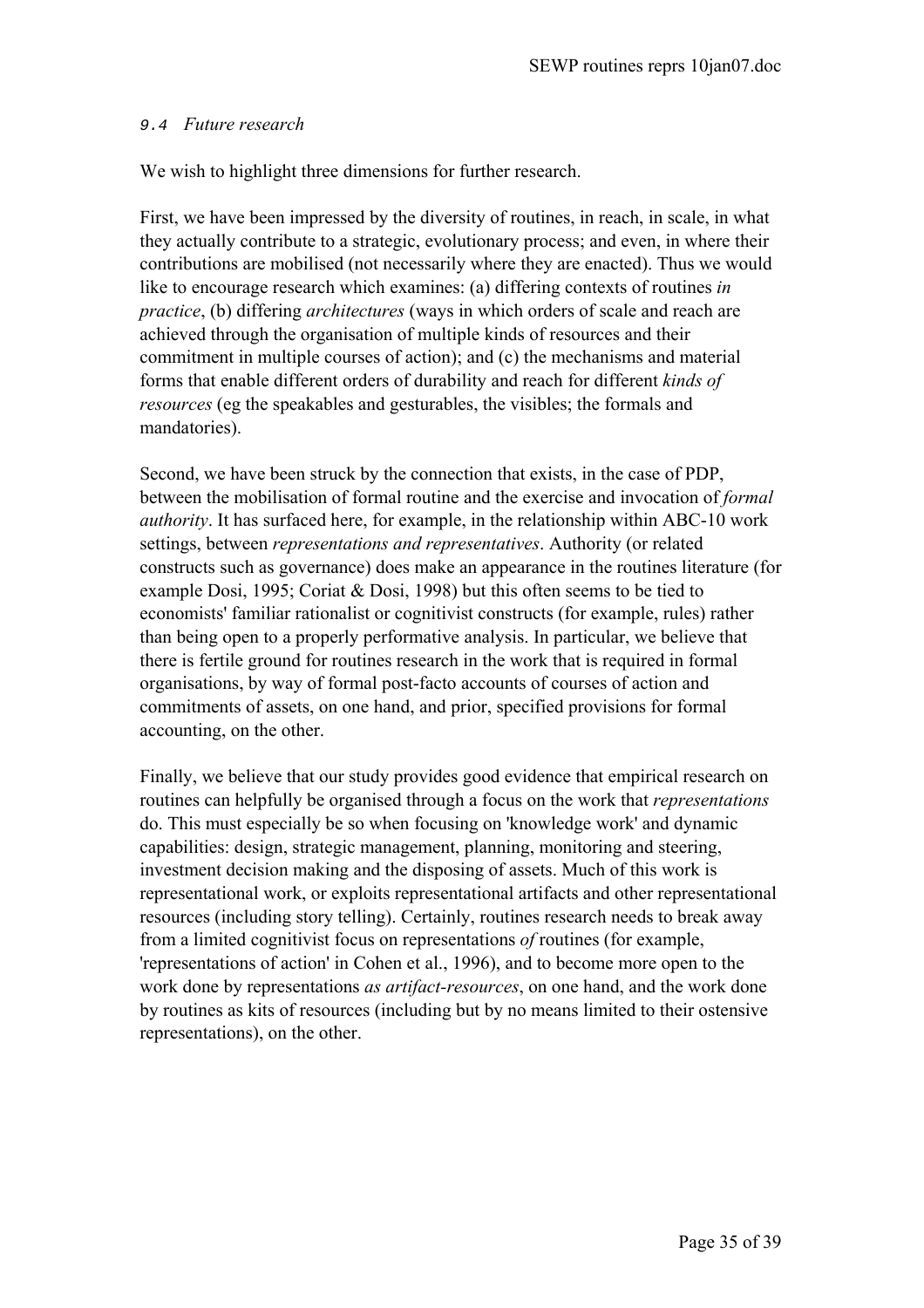## 9.4 *Future research*

We wish to highlight three dimensions for further research.

First, we have been impressed by the diversity of routines, in reach, in scale, in what they actually contribute to a strategic, evolutionary process; and even, in where their contributions are mobilised (not necessarily where they are enacted). Thus we would like to encourage research which examines: (a) differing contexts of routines *in practice*, (b) differing *architectures* (ways in which orders of scale and reach are achieved through the organisation of multiple kinds of resources and their commitment in multiple courses of action); and (c) the mechanisms and material forms that enable different orders of durability and reach for different *kinds of resources* (eg the speakables and gesturables, the visibles; the formals and mandatories).

Second, we have been struck by the connection that exists, in the case of PDP, between the mobilisation of formal routine and the exercise and invocation of *formal authority*. It has surfaced here, for example, in the relationship within ABC-10 work settings, between *representations and representatives*. Authority (or related constructs such as governance) does make an appearance in the routines literature (for example Dosi, 1995; Coriat & Dosi, 1998) but this often seems to be tied to economists' familiar rationalist or cognitivist constructs (for example, rules) rather than being open to a properly performative analysis. In particular, we believe that there is fertile ground for routines research in the work that is required in formal organisations, by way of formal post-facto accounts of courses of action and commitments of assets, on one hand, and prior, specified provisions for formal accounting, on the other.

Finally, we believe that our study provides good evidence that empirical research on routines can helpfully be organised through a focus on the work that *representations* do. This must especially be so when focusing on 'knowledge work' and dynamic capabilities: design, strategic management, planning, monitoring and steering, investment decision making and the disposing of assets. Much of this work is representational work, or exploits representational artifacts and other representational resources (including story telling). Certainly, routines research needs to break away from a limited cognitivist focus on representations *of* routines (for example, 'representations of action' in Cohen et al., 1996), and to become more open to the work done by representations *as artifact-resources*, on one hand, and the work done by routines as kits of resources (including but by no means limited to their ostensive representations), on the other.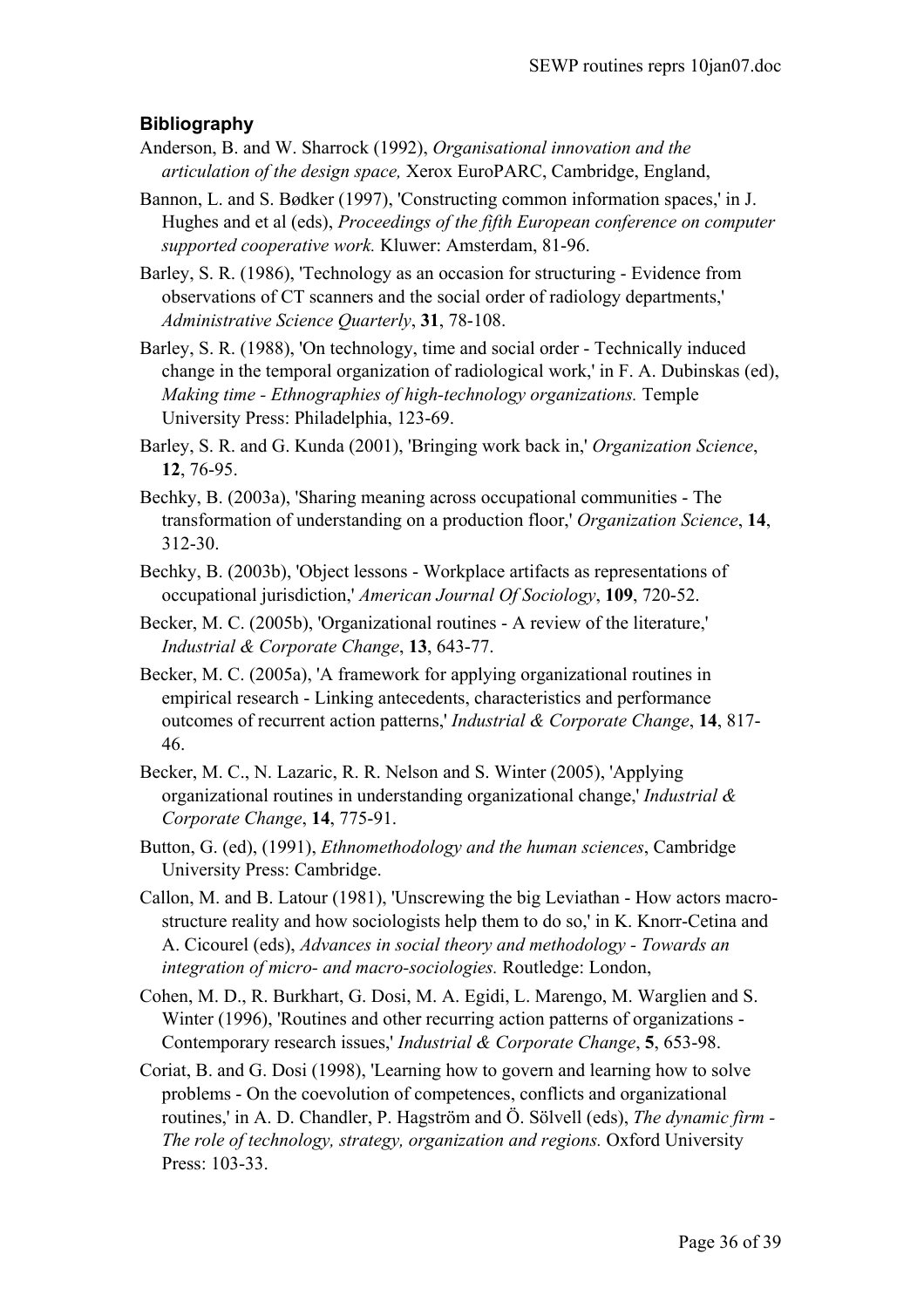# **Bibliography**

- Anderson, B. and W. Sharrock (1992), *Organisational innovation and the articulation of the design space,* Xerox EuroPARC, Cambridge, England,
- Bannon, L. and S. Bødker (1997), 'Constructing common information spaces,' in J. Hughes and et al (eds), *Proceedings of the fifth European conference on computer supported cooperative work.* Kluwer: Amsterdam, 81-96.
- Barley, S. R. (1986), 'Technology as an occasion for structuring Evidence from observations of CT scanners and the social order of radiology departments,' *Administrative Science Quarterly*, **31**, 78-108.
- Barley, S. R. (1988), 'On technology, time and social order Technically induced change in the temporal organization of radiological work,' in F. A. Dubinskas (ed), *Making time - Ethnographies of high-technology organizations.* Temple University Press: Philadelphia, 123-69.
- Barley, S. R. and G. Kunda (2001), 'Bringing work back in,' *Organization Science*, **12**, 76-95.
- Bechky, B. (2003a), 'Sharing meaning across occupational communities The transformation of understanding on a production floor,' *Organization Science*, **14**, 312-30.
- Bechky, B. (2003b), 'Object lessons Workplace artifacts as representations of occupational jurisdiction,' *American Journal Of Sociology*, **109**, 720-52.
- Becker, M. C. (2005b), 'Organizational routines A review of the literature,' *Industrial & Corporate Change*, **13**, 643-77.
- Becker, M. C. (2005a), 'A framework for applying organizational routines in empirical research - Linking antecedents, characteristics and performance outcomes of recurrent action patterns,' *Industrial & Corporate Change*, **14**, 817- 46.
- Becker, M. C., N. Lazaric, R. R. Nelson and S. Winter (2005), 'Applying organizational routines in understanding organizational change,' *Industrial & Corporate Change*, **14**, 775-91.
- Button, G. (ed), (1991), *Ethnomethodology and the human sciences*, Cambridge University Press: Cambridge.
- Callon, M. and B. Latour (1981), 'Unscrewing the big Leviathan How actors macrostructure reality and how sociologists help them to do so,' in K. Knorr-Cetina and A. Cicourel (eds), *Advances in social theory and methodology - Towards an integration of micro- and macro-sociologies.* Routledge: London,
- Cohen, M. D., R. Burkhart, G. Dosi, M. A. Egidi, L. Marengo, M. Warglien and S. Winter (1996), 'Routines and other recurring action patterns of organizations - Contemporary research issues,' *Industrial & Corporate Change*, **5**, 653-98.
- Coriat, B. and G. Dosi (1998), 'Learning how to govern and learning how to solve problems - On the coevolution of competences, conflicts and organizational routines,' in A. D. Chandler, P. Hagström and Ö. Sölvell (eds), *The dynamic firm - The role of technology, strategy, organization and regions.* Oxford University Press: 103-33.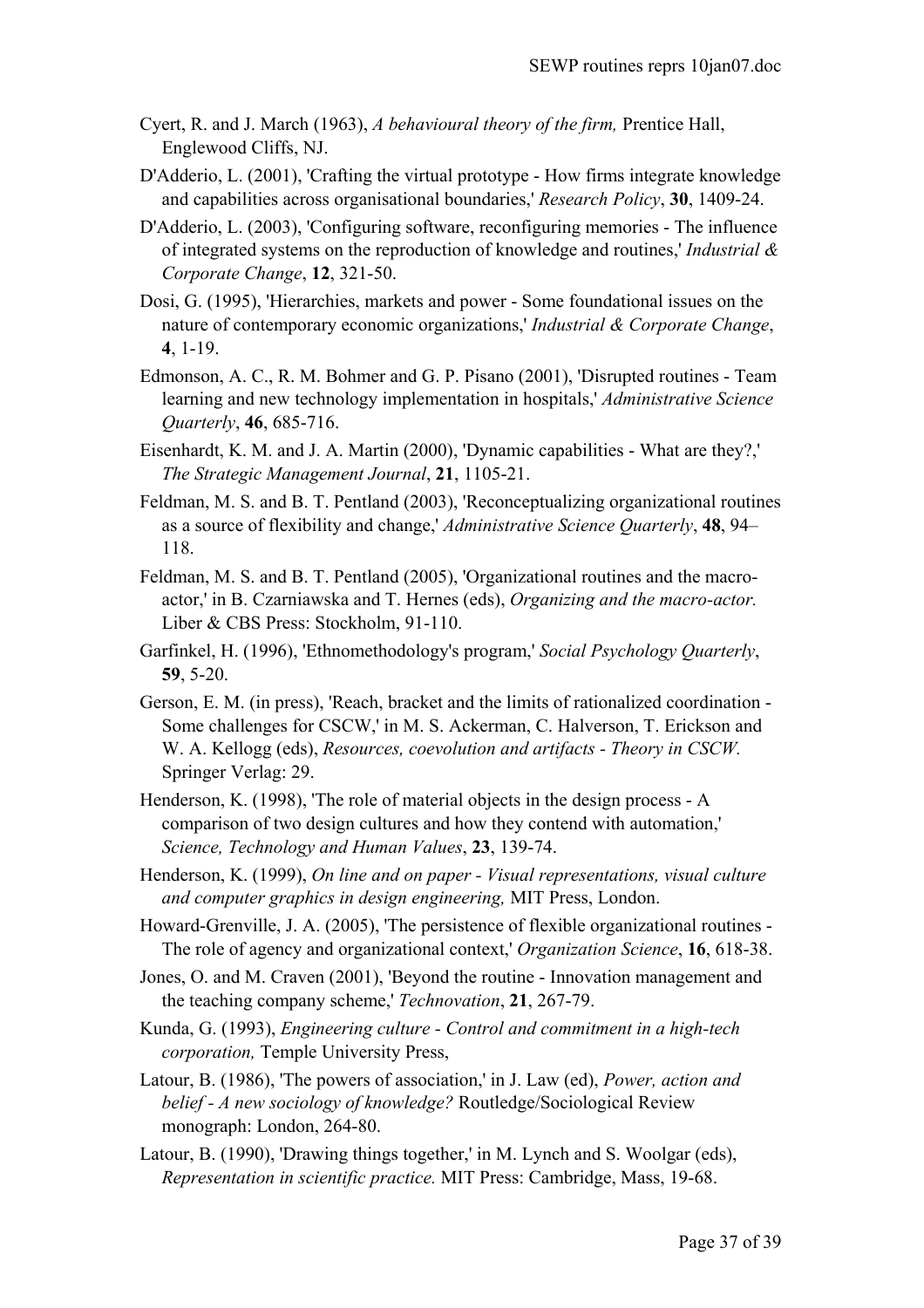- Cyert, R. and J. March (1963), *A behavioural theory of the firm,* Prentice Hall, Englewood Cliffs, NJ.
- D'Adderio, L. (2001), 'Crafting the virtual prototype How firms integrate knowledge and capabilities across organisational boundaries,' *Research Policy*, **30**, 1409-24.
- D'Adderio, L. (2003), 'Configuring software, reconfiguring memories The influence of integrated systems on the reproduction of knowledge and routines,' *Industrial & Corporate Change*, **12**, 321-50.
- Dosi, G. (1995), 'Hierarchies, markets and power Some foundational issues on the nature of contemporary economic organizations,' *Industrial & Corporate Change*, **4**, 1-19.
- Edmonson, A. C., R. M. Bohmer and G. P. Pisano (2001), 'Disrupted routines Team learning and new technology implementation in hospitals,' *Administrative Science Quarterly*, **46**, 685-716.
- Eisenhardt, K. M. and J. A. Martin (2000), 'Dynamic capabilities What are they?,' *The Strategic Management Journal*, **21**, 1105-21.
- Feldman, M. S. and B. T. Pentland (2003), 'Reconceptualizing organizational routines as a source of flexibility and change,' *Administrative Science Quarterly*, **48**, 94– 118.
- Feldman, M. S. and B. T. Pentland (2005), 'Organizational routines and the macroactor,' in B. Czarniawska and T. Hernes (eds), *Organizing and the macro-actor.*  Liber & CBS Press: Stockholm, 91-110.
- Garfinkel, H. (1996), 'Ethnomethodology's program,' *Social Psychology Quarterly*, **59**, 5-20.
- Gerson, E. M. (in press), 'Reach, bracket and the limits of rationalized coordination Some challenges for CSCW,' in M. S. Ackerman, C. Halverson, T. Erickson and W. A. Kellogg (eds), *Resources, coevolution and artifacts - Theory in CSCW.*  Springer Verlag: 29.
- Henderson, K. (1998), 'The role of material objects in the design process A comparison of two design cultures and how they contend with automation,' *Science, Technology and Human Values*, **23**, 139-74.
- Henderson, K. (1999), *On line and on paper Visual representations, visual culture and computer graphics in design engineering,* MIT Press, London.
- Howard-Grenville, J. A. (2005), 'The persistence of flexible organizational routines The role of agency and organizational context,' *Organization Science*, **16**, 618-38.
- Jones, O. and M. Craven (2001), 'Beyond the routine Innovation management and the teaching company scheme,' *Technovation*, **21**, 267-79.
- Kunda, G. (1993), *Engineering culture Control and commitment in a high-tech corporation,* Temple University Press,
- Latour, B. (1986), 'The powers of association,' in J. Law (ed), *Power, action and belief - A new sociology of knowledge?* Routledge/Sociological Review monograph: London, 264-80.
- Latour, B. (1990), 'Drawing things together,' in M. Lynch and S. Woolgar (eds), *Representation in scientific practice.* MIT Press: Cambridge, Mass, 19-68.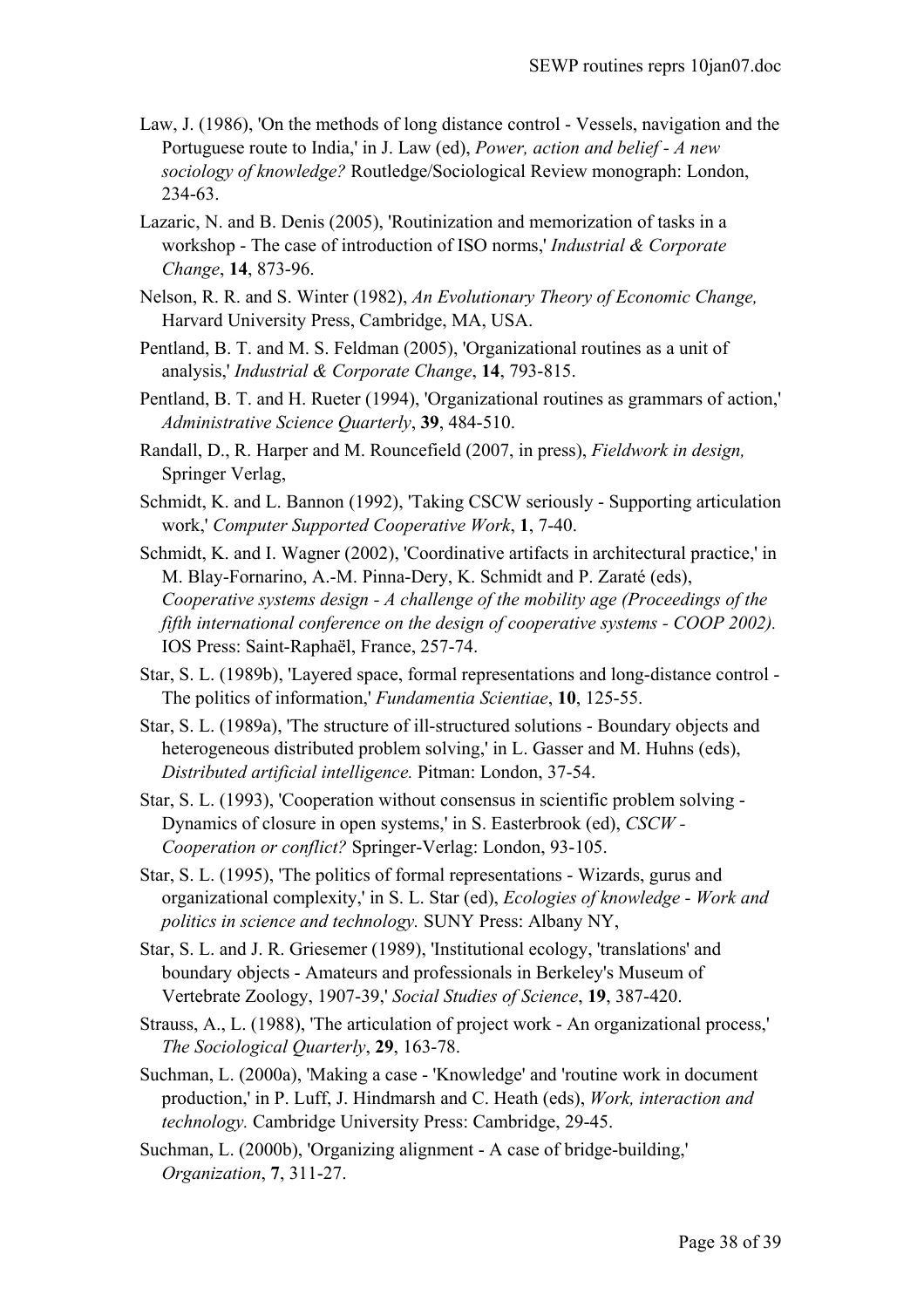- Law, J. (1986), 'On the methods of long distance control Vessels, navigation and the Portuguese route to India,' in J. Law (ed), *Power, action and belief - A new sociology of knowledge?* Routledge/Sociological Review monograph: London, 234-63.
- Lazaric, N. and B. Denis (2005), 'Routinization and memorization of tasks in a workshop - The case of introduction of ISO norms,' *Industrial & Corporate Change*, **14**, 873-96.
- Nelson, R. R. and S. Winter (1982), *An Evolutionary Theory of Economic Change,* Harvard University Press, Cambridge, MA, USA.
- Pentland, B. T. and M. S. Feldman (2005), 'Organizational routines as a unit of analysis,' *Industrial & Corporate Change*, **14**, 793-815.
- Pentland, B. T. and H. Rueter (1994), 'Organizational routines as grammars of action,' *Administrative Science Quarterly*, **39**, 484-510.
- Randall, D., R. Harper and M. Rouncefield (2007, in press), *Fieldwork in design,* Springer Verlag,
- Schmidt, K. and L. Bannon (1992), 'Taking CSCW seriously Supporting articulation work,' *Computer Supported Cooperative Work*, **1**, 7-40.
- Schmidt, K. and I. Wagner (2002), 'Coordinative artifacts in architectural practice,' in M. Blay-Fornarino, A.-M. Pinna-Dery, K. Schmidt and P. Zaraté (eds), *Cooperative systems design - A challenge of the mobility age (Proceedings of the fifth international conference on the design of cooperative systems - COOP 2002).* IOS Press: Saint-Raphaël, France, 257-74.
- Star, S. L. (1989b), 'Layered space, formal representations and long-distance control The politics of information,' *Fundamentia Scientiae*, **10**, 125-55.
- Star, S. L. (1989a), 'The structure of ill-structured solutions Boundary objects and heterogeneous distributed problem solving,' in L. Gasser and M. Huhns (eds), *Distributed artificial intelligence.* Pitman: London, 37-54.
- Star, S. L. (1993), 'Cooperation without consensus in scientific problem solving Dynamics of closure in open systems,' in S. Easterbrook (ed), *CSCW - Cooperation or conflict?* Springer-Verlag: London, 93-105.
- Star, S. L. (1995), 'The politics of formal representations Wizards, gurus and organizational complexity,' in S. L. Star (ed), *Ecologies of knowledge - Work and politics in science and technology.* SUNY Press: Albany NY,
- Star, S. L. and J. R. Griesemer (1989), 'Institutional ecology, 'translations' and boundary objects - Amateurs and professionals in Berkeley's Museum of Vertebrate Zoology, 1907-39,' *Social Studies of Science*, **19**, 387-420.
- Strauss, A., L. (1988), 'The articulation of project work An organizational process,' *The Sociological Quarterly*, **29**, 163-78.
- Suchman, L. (2000a), 'Making a case 'Knowledge' and 'routine work in document production,' in P. Luff, J. Hindmarsh and C. Heath (eds), *Work, interaction and technology.* Cambridge University Press: Cambridge, 29-45.
- Suchman, L. (2000b), 'Organizing alignment A case of bridge-building,' *Organization*, **7**, 311-27.